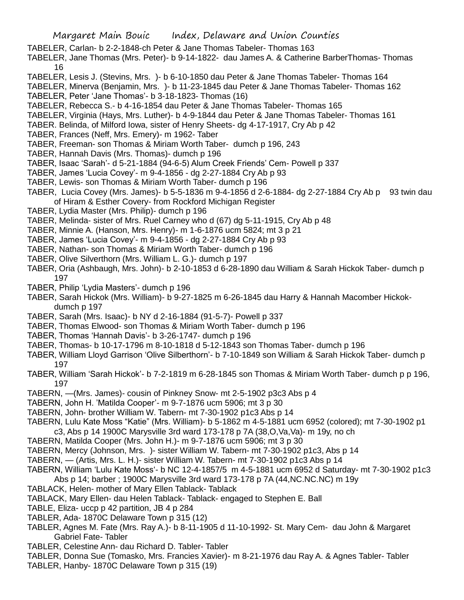- TABELER, Carlan- b 2-2-1848-ch Peter & Jane Thomas Tabeler- Thomas 163
- TABELER, Jane Thomas (Mrs. Peter)- b 9-14-1822- dau James A. & Catherine BarberThomas- Thomas 16
- TABELER, Lesis J. (Stevins, Mrs. )- b 6-10-1850 dau Peter & Jane Thomas Tabeler- Thomas 164
- TABELER, Minerva (Benjamin, Mrs. )- b 11-23-1845 dau Peter & Jane Thomas Tabeler- Thomas 162
- TABELER, Peter 'Jane Thomas'- b 3-18-1823- Thomas (16)
- TABELER, Rebecca S.- b 4-16-1854 dau Peter & Jane Thomas Tabeler- Thomas 165
- TABELER, Virginia (Hays, Mrs. Luther)- b 4-9-1844 dau Peter & Jane Thomas Tabeler- Thomas 161
- TABER. Belinda, of Milford Iowa, sister of Henry Sheets- dg 4-17-1917, Cry Ab p 42
- TABER, Frances (Neff, Mrs. Emery)- m 1962- Taber
- TABER, Freeman- son Thomas & Miriam Worth Taber- dumch p 196, 243
- TABER, Hannah Davis (Mrs. Thomas)- dumch p 196
- TABER, Isaac 'Sarah'- d 5-21-1884 (94-6-5) Alum Creek Friends' Cem- Powell p 337
- TABER, James 'Lucia Covey'- m 9-4-1856 dg 2-27-1884 Cry Ab p 93
- TABER, Lewis- son Thomas & Miriam Worth Taber- dumch p 196
- TABER, Lucia Covey (Mrs. James)- b 5-5-1836 m 9-4-1856 d 2-6-1884- dg 2-27-1884 Cry Ab p 93 twin dau of Hiram & Esther Covery- from Rockford Michigan Register
- TABER, Lydia Master (Mrs. Philip)- dumch p 196
- TABER, Melinda- sister of Mrs. Ruel Carney who d (67) dg 5-11-1915, Cry Ab p 48
- TABER, Minnie A. (Hanson, Mrs. Henry)- m 1-6-1876 ucm 5824; mt 3 p 21
- TABER, James 'Lucia Covey'- m 9-4-1856 dg 2-27-1884 Cry Ab p 93
- TABER, Nathan- son Thomas & Miriam Worth Taber- dumch p 196
- TABER, Olive Silverthorn (Mrs. William L. G.)- dumch p 197
- TABER, Oria (Ashbaugh, Mrs. John)- b 2-10-1853 d 6-28-1890 dau William & Sarah Hickok Taber- dumch p 197
- TABER, Philip 'Lydia Masters'- dumch p 196
- TABER, Sarah Hickok (Mrs. William)- b 9-27-1825 m 6-26-1845 dau Harry & Hannah Macomber Hickokdumch p 197
- TABER, Sarah (Mrs. Isaac)- b NY d 2-16-1884 (91-5-7)- Powell p 337
- TABER, Thomas Elwood- son Thomas & Miriam Worth Taber- dumch p 196
- TABER, Thomas 'Hannah Davis'- b 3-26-1747- dumch p 196
- TABER, Thomas- b 10-17-1796 m 8-10-1818 d 5-12-1843 son Thomas Taber- dumch p 196
- TABER, William Lloyd Garrison 'Olive Silberthorn'- b 7-10-1849 son William & Sarah Hickok Taber- dumch p 197
- TABER, William 'Sarah Hickok'- b 7-2-1819 m 6-28-1845 son Thomas & Miriam Worth Taber- dumch p p 196, 197
- TABERN, —(Mrs. James)- cousin of Pinkney Snow- mt 2-5-1902 p3c3 Abs p 4
- TABERN, John H. 'Matilda Cooper'- m 9-7-1876 ucm 5906; mt 3 p 30
- TABERN, John- brother William W. Tabern- mt 7-30-1902 p1c3 Abs p 14
- TABERN, Lulu Kate Moss "Katie" (Mrs. William)- b 5-1862 m 4-5-1881 ucm 6952 (colored); mt 7-30-1902 p1
- c3, Abs p 14 1900C Marysville 3rd ward 173-178 p 7A (38,O,Va,Va)- m 19y, no ch
- TABERN, Matilda Cooper (Mrs. John H.)- m 9-7-1876 ucm 5906; mt 3 p 30
- TABERN, Mercy (Johnson, Mrs. )- sister William W. Tabern- mt 7-30-1902 p1c3, Abs p 14
- TABERN, (Artis, Mrs. L. H.)- sister William W. Tabern- mt 7-30-1902 p1c3 Abs p 14
- TABERN, William 'Lulu Kate Moss'- b NC 12-4-1857/5 m 4-5-1881 ucm 6952 d Saturday- mt 7-30-1902 p1c3
- Abs p 14; barber ; 1900C Marysville 3rd ward 173-178 p 7A (44,NC.NC.NC) m 19y
- TABLACK, Helen- mother of Mary Ellen Tablack- Tablack
- TABLACK, Mary Ellen- dau Helen Tablack- Tablack- engaged to Stephen E. Ball
- TABLE, Eliza- uccp p 42 partition, JB 4 p 284
- TABLER, Ada- 1870C Delaware Town p 315 (12)
- TABLER, Agnes M. Fate (Mrs. Ray A.)- b 8-11-1905 d 11-10-1992- St. Mary Cem- dau John & Margaret Gabriel Fate- Tabler
- TABLER, Celestine Ann- dau Richard D. Tabler- Tabler
- TABLER, Donna Sue (Tomasko, Mrs. Francies Xavier)- m 8-21-1976 dau Ray A. & Agnes Tabler- Tabler TABLER, Hanby- 1870C Delaware Town p 315 (19)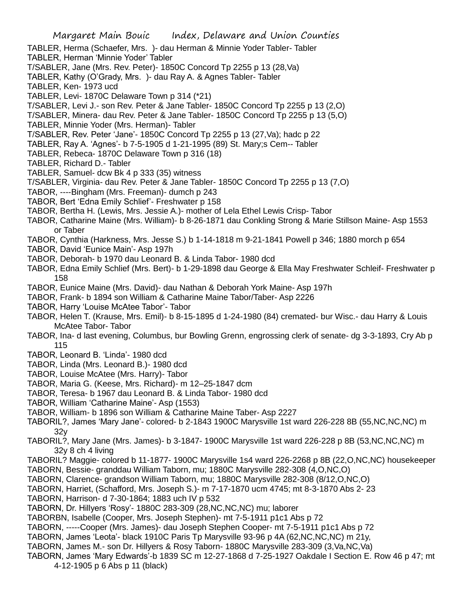Margaret Main Bouic Index, Delaware and Union Counties TABLER, Herma (Schaefer, Mrs. )- dau Herman & Minnie Yoder Tabler- Tabler TABLER, Herman 'Minnie Yoder' Tabler T/SABLER, Jane (Mrs. Rev. Peter)- 1850C Concord Tp 2255 p 13 (28,Va) TABLER, Kathy (O'Grady, Mrs. )- dau Ray A. & Agnes Tabler- Tabler TABLER, Ken- 1973 ucd TABLER, Levi- 1870C Delaware Town p 314 (\*21) T/SABLER, Levi J.- son Rev. Peter & Jane Tabler- 1850C Concord Tp 2255 p 13 (2,O) T/SABLER, Minera- dau Rev. Peter & Jane Tabler- 1850C Concord Tp 2255 p 13 (5,O) TABLER, Minnie Yoder (Mrs. Herman)- Tabler T/SABLER, Rev. Peter 'Jane'- 1850C Concord Tp 2255 p 13 (27,Va); hadc p 22 TABLER, Ray A. 'Agnes'- b 7-5-1905 d 1-21-1995 (89) St. Mary;s Cem-- Tabler TABLER, Rebeca- 1870C Delaware Town p 316 (18) TABLER, Richard D.- Tabler TABLER, Samuel- dcw Bk 4 p 333 (35) witness T/SABLER, Virginia- dau Rev. Peter & Jane Tabler- 1850C Concord Tp 2255 p 13 (7,O) TABOR, ----Bingham (Mrs. Freeman)- dumch p 243 TABOR, Bert 'Edna Emily Schlief'- Freshwater p 158 TABOR, Bertha H. (Lewis, Mrs. Jessie A.)- mother of Lela Ethel Lewis Crisp- Tabor TABOR, Catharine Maine (Mrs. William)- b 8-26-1871 dau Conkling Strong & Marie Stillson Maine- Asp 1553 or Taber TABOR, Cynthia (Harkness, Mrs. Jesse S.) b 1-14-1818 m 9-21-1841 Powell p 346; 1880 morch p 654 TABOR, David 'Eunice Main'- Asp 197h TABOR, Deborah- b 1970 dau Leonard B. & Linda Tabor- 1980 dcd TABOR, Edna Emily Schlief (Mrs. Bert)- b 1-29-1898 dau George & Ella May Freshwater Schleif- Freshwater p 158 TABOR, Eunice Maine (Mrs. David)- dau Nathan & Deborah York Maine- Asp 197h TABOR, Frank- b 1894 son William & Catharine Maine Tabor/Taber- Asp 2226 TABOR, Harry 'Louise McAtee Tabor'- Tabor TABOR, Helen T. (Krause, Mrs. Emil)- b 8-15-1895 d 1-24-1980 (84) cremated- bur Wisc.- dau Harry & Louis McAtee Tabor- Tabor TABOR, Ina- d last evening, Columbus, bur Bowling Grenn, engrossing clerk of senate- dg 3-3-1893, Cry Ab p 115

- TABOR, Leonard B. 'Linda'- 1980 dcd
- TABOR, Linda (Mrs. Leonard B.)- 1980 dcd
- TABOR, Louise McAtee (Mrs. Harry)- Tabor
- TABOR, Maria G. (Keese, Mrs. Richard)- m 12–25-1847 dcm
- TABOR, Teresa- b 1967 dau Leonard B. & Linda Tabor- 1980 dcd
- TABOR, William 'Catharine Maine'- Asp (1553)
- TABOR, William- b 1896 son William & Catharine Maine Taber- Asp 2227
- TABORIL?, James 'Mary Jane'- colored- b 2-1843 1900C Marysville 1st ward 226-228 8B (55,NC,NC,NC) m 32y
- TABORIL?, Mary Jane (Mrs. James)- b 3-1847- 1900C Marysville 1st ward 226-228 p 8B (53,NC,NC,NC) m 32y 8 ch 4 living
- TABORIL? Maggie- colored b 11-1877- 1900C Marysville 1s4 ward 226-2268 p 8B (22,O,NC,NC) housekeeper
- TABORN, Bessie- granddau William Taborn, mu; 1880C Marysville 282-308 (4,O,NC,O)
- TABORN, Clarence- grandson William Taborn, mu; 1880C Marysville 282-308 (8/12,O,NC,O)
- TABORN, Harriet, (Schafford, Mrs. Joseph S.)- m 7-17-1870 ucm 4745; mt 8-3-1870 Abs 2- 23
- TABORN, Harrison- d 7-30-1864; 1883 uch IV p 532
- TABORN, Dr. Hillyers 'Rosy'- 1880C 283-309 (28,NC,NC,NC) mu; laborer
- TABORBN, Isabelle (Cooper, Mrs. Joseph Stephen)- mt 7-5-1911 p1c1 Abs p 72
- TABORN, -----Cooper (Mrs. James)- dau Joseph Stephen Cooper- mt 7-5-1911 p1c1 Abs p 72
- TABORN, James 'Leota'- black 1910C Paris Tp Marysville 93-96 p 4A (62,NC,NC,NC) m 21y,
- TABORN, James M.- son Dr. Hillyers & Rosy Taborn- 1880C Marysville 283-309 (3,Va,NC,Va)
- TABORN, James 'Mary Edwards'-b 1839 SC m 12-27-1868 d 7-25-1927 Oakdale I Section E. Row 46 p 47; mt 4-12-1905 p 6 Abs p 11 (black)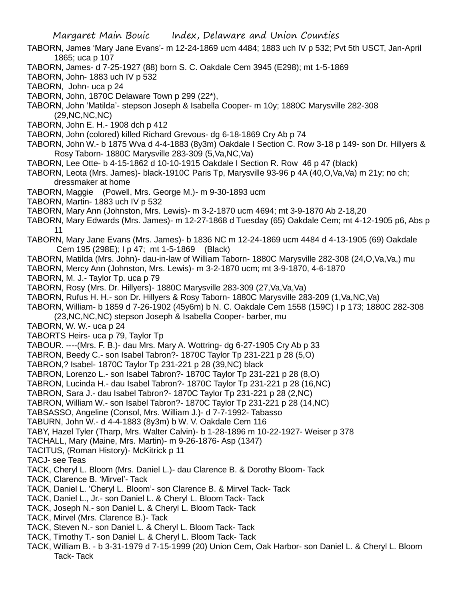TABORN, James 'Mary Jane Evans'- m 12-24-1869 ucm 4484; 1883 uch IV p 532; Pvt 5th USCT, Jan-April 1865; uca p 107

- TABORN, James- d 7-25-1927 (88) born S. C. Oakdale Cem 3945 (E298); mt 1-5-1869
- TABORN, John- 1883 uch IV p 532
- TABORN, John- uca p 24
- TABORN, John, 1870C Delaware Town p 299 (22\*),
- TABORN, John 'Matilda'- stepson Joseph & Isabella Cooper- m 10y; 1880C Marysville 282-308 (29,NC,NC,NC)
- TABORN, John E. H.- 1908 dch p 412
- TABORN, John (colored) killed Richard Grevous- dg 6-18-1869 Cry Ab p 74
- TABORN, John W.- b 1875 Wva d 4-4-1883 (8y3m) Oakdale I Section C. Row 3-18 p 149- son Dr. Hillyers & Rosy Taborn- 1880C Marysville 283-309 (5,Va,NC,Va)
- TABORN, Lee Otte- b 4-15-1862 d 10-10-1915 Oakdale I Section R. Row 46 p 47 (black)
- TABORN, Leota (Mrs. James)- black-1910C Paris Tp, Marysville 93-96 p 4A (40,O,Va,Va) m 21y; no ch; dressmaker at home
- TABORN, Maggie (Powell, Mrs. George M.)- m 9-30-1893 ucm
- TABORN, Martin- 1883 uch IV p 532
- TABORN, Mary Ann (Johnston, Mrs. Lewis)- m 3-2-1870 ucm 4694; mt 3-9-1870 Ab 2-18,20
- TABORN, Mary Edwards (Mrs. James)- m 12-27-1868 d Tuesday (65) Oakdale Cem; mt 4-12-1905 p6, Abs p 11
- TABORN, Mary Jane Evans (Mrs. James)- b 1836 NC m 12-24-1869 ucm 4484 d 4-13-1905 (69) Oakdale Cem 195 (298E); I p 47; mt 1-5-1869 (Black)
- TABORN, Matilda (Mrs. John)- dau-in-law of William Taborn- 1880C Marysville 282-308 (24,O,Va,Va,) mu
- TABORN, Mercy Ann (Johnston, Mrs. Lewis)- m 3-2-1870 ucm; mt 3-9-1870, 4-6-1870
- TABORN, M. J.- Taylor Tp. uca p 79
- TABORN, Rosy (Mrs. Dr. Hillyers)- 1880C Marysville 283-309 (27,Va,Va,Va)
- TABORN, Rufus H. H.- son Dr. Hillyers & Rosy Taborn- 1880C Marysville 283-209 (1,Va,NC,Va)
- TABORN, William- b 1859 d 7-26-1902 (45y6m) b N. C. Oakdale Cem 1558 (159C) I p 173; 1880C 282-308 (23,NC,NC,NC) stepson Joseph & Isabella Cooper- barber, mu
- TABORN, W. W.- uca p 24
- TABORTS Heirs- uca p 79, Taylor Tp
- TABOUR. ----(Mrs. F. B.)- dau Mrs. Mary A. Wottring- dg 6-27-1905 Cry Ab p 33
- TABRON, Beedy C.- son Isabel Tabron?- 1870C Taylor Tp 231-221 p 28 (5,O)
- TABRON,? Isabel- 1870C Taylor Tp 231-221 p 28 (39,NC) black
- TABRON, Lorenzo L.- son Isabel Tabron?- 1870C Taylor Tp 231-221 p 28 (8,O)
- TABRON, Lucinda H.- dau Isabel Tabron?- 1870C Taylor Tp 231-221 p 28 (16,NC)
- TABRON, Sara J.- dau Isabel Tabron?- 1870C Taylor Tp 231-221 p 28 (2,NC)
- TABRON, William W.- son Isabel Tabron?- 1870C Taylor Tp 231-221 p 28 (14,NC)
- TABSASSO, Angeline (Consol, Mrs. William J.)- d 7-7-1992- Tabasso
- TABURN, John W.- d 4-4-1883 (8y3m) b W. V. Oakdale Cem 116
- TABY, Hazel Tyler (Tharp, Mrs. Walter Calvin)- b 1-28-1896 m 10-22-1927- Weiser p 378
- TACHALL, Mary (Maine, Mrs. Martin)- m 9-26-1876- Asp (1347)
- TACITUS, (Roman History)- McKitrick p 11
- TACJ- see Teas
- TACK, Cheryl L. Bloom (Mrs. Daniel L.)- dau Clarence B. & Dorothy Bloom- Tack
- TACK, Clarence B. 'Mirvel'- Tack
- TACK, Daniel L. 'Cheryl L. Bloom'- son Clarence B. & Mirvel Tack- Tack
- TACK, Daniel L., Jr.- son Daniel L. & Cheryl L. Bloom Tack- Tack
- TACK, Joseph N.- son Daniel L. & Cheryl L. Bloom Tack- Tack
- TACK, Mirvel (Mrs. Clarence B.)- Tack
- TACK, Steven N.- son Daniel L. & Cheryl L. Bloom Tack- Tack
- TACK, Timothy T.- son Daniel L. & Cheryl L. Bloom Tack- Tack
- TACK, William B. b 3-31-1979 d 7-15-1999 (20) Union Cem, Oak Harbor- son Daniel L. & Cheryl L. Bloom Tack- Tack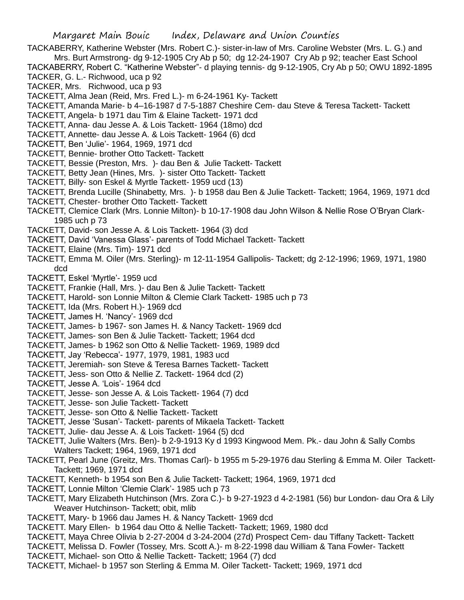- TACKABERRY, Katherine Webster (Mrs. Robert C.)- sister-in-law of Mrs. Caroline Webster (Mrs. L. G.) and Mrs. Burt Armstrong- dg 9-12-1905 Cry Ab p 50; dg 12-24-1907 Cry Ab p 92; teacher East School
- TACKABERRY, Robert C. "Katherine Webster"- d playing tennis- dg 9-12-1905, Cry Ab p 50; OWU 1892-1895 TACKER, G. L.- Richwood, uca p 92
- TACKER, Mrs. Richwood, uca p 93
- TACKETT, Alma Jean (Reid, Mrs. Fred L.)- m 6-24-1961 Ky- Tackett
- TACKETT, Amanda Marie- b 4–16-1987 d 7-5-1887 Cheshire Cem- dau Steve & Teresa Tackett- Tackett
- TACKETT, Angela- b 1971 dau Tim & Elaine Tackett- 1971 dcd
- TACKETT, Anna- dau Jesse A. & Lois Tackett- 1964 (18mo) dcd
- TACKETT, Annette- dau Jesse A. & Lois Tackett- 1964 (6) dcd
- TACKETT, Ben 'Julie'- 1964, 1969, 1971 dcd
- TACKETT, Bennie- brother Otto Tackett- Tackett
- TACKETT, Bessie (Preston, Mrs. )- dau Ben & Julie Tackett- Tackett
- TACKETT, Betty Jean (Hines, Mrs. )- sister Otto Tackett- Tackett
- TACKETT, Billy- son Eskel & Myrtle Tackett- 1959 ucd (13)
- TACKETT, Brenda Lucille (Shinabetty, Mrs. )- b 1958 dau Ben & Julie Tackett- Tackett; 1964, 1969, 1971 dcd
- TACKETT, Chester- brother Otto Tackett- Tackett
- TACKETT, Clemice Clark (Mrs. Lonnie Milton)- b 10-17-1908 dau John Wilson & Nellie Rose O'Bryan Clark-1985 uch p 73
- TACKETT, David- son Jesse A. & Lois Tackett- 1964 (3) dcd
- TACKETT, David 'Vanessa Glass'- parents of Todd Michael Tackett- Tackett
- TACKETT, Elaine (Mrs. Tim)- 1971 dcd
- TACKETT, Emma M. Oiler (Mrs. Sterling)- m 12-11-1954 Gallipolis- Tackett; dg 2-12-1996; 1969, 1971, 1980 dcd
- TACKETT, Eskel 'Myrtle'- 1959 ucd
- TACKETT, Frankie (Hall, Mrs. )- dau Ben & Julie Tackett- Tackett
- TACKETT, Harold- son Lonnie Milton & Clemie Clark Tackett- 1985 uch p 73
- TACKETT, Ida (Mrs. Robert H.)- 1969 dcd
- TACKETT, James H. 'Nancy'- 1969 dcd
- TACKETT, James- b 1967- son James H. & Nancy Tackett- 1969 dcd
- TACKETT, James- son Ben & Julie Tackett- Tackett; 1964 dcd
- TACKETT, James- b 1962 son Otto & Nellie Tackett- 1969, 1989 dcd
- TACKETT, Jay 'Rebecca'- 1977, 1979, 1981, 1983 ucd
- TACKETT, Jeremiah- son Steve & Teresa Barnes Tackett- Tackett
- TACKETT, Jess- son Otto & Nellie Z. Tackett- 1964 dcd (2)
- TACKETT, Jesse A. 'Lois'- 1964 dcd
- TACKETT, Jesse- son Jesse A. & Lois Tackett- 1964 (7) dcd
- TACKETT, Jesse- son Julie Tackett- Tackett
- TACKETT, Jesse- son Otto & Nellie Tackett- Tackett
- TACKETT, Jesse 'Susan'- Tackett- parents of Mikaela Tackett- Tackett
- TACKETT, Julie- dau Jesse A. & Lois Tackett- 1964 (5) dcd
- TACKETT, Julie Walters (Mrs. Ben)- b 2-9-1913 Ky d 1993 Kingwood Mem. Pk.- dau John & Sally Combs Walters Tackett; 1964, 1969, 1971 dcd
- TACKETT, Pearl June (Greitz, Mrs. Thomas Carl)- b 1955 m 5-29-1976 dau Sterling & Emma M. Oiler Tackett-Tackett; 1969, 1971 dcd
- TACKETT, Kenneth- b 1954 son Ben & Julie Tackett- Tackett; 1964, 1969, 1971 dcd
- TACKETT, Lonnie Milton 'Clemie Clark'- 1985 uch p 73
- TACKETT, Mary Elizabeth Hutchinson (Mrs. Zora C.)- b 9-27-1923 d 4-2-1981 (56) bur London- dau Ora & Lily Weaver Hutchinson- Tackett; obit, mlib
- TACKETT, Mary- b 1966 dau James H. & Nancy Tackett- 1969 dcd
- TACKETT. Mary Ellen- b 1964 dau Otto & Nellie Tackett- Tackett; 1969, 1980 dcd
- TACKETT, Maya Chree Olivia b 2-27-2004 d 3-24-2004 (27d) Prospect Cem- dau Tiffany Tackett- Tackett
- TACKETT, Melissa D. Fowler (Tossey, Mrs. Scott A.)- m 8-22-1998 dau William & Tana Fowler- Tackett
- TACKETT, Michael- son Otto & Nellie Tackett- Tackett; 1964 (7) dcd
- TACKETT, Michael- b 1957 son Sterling & Emma M. Oiler Tackett- Tackett; 1969, 1971 dcd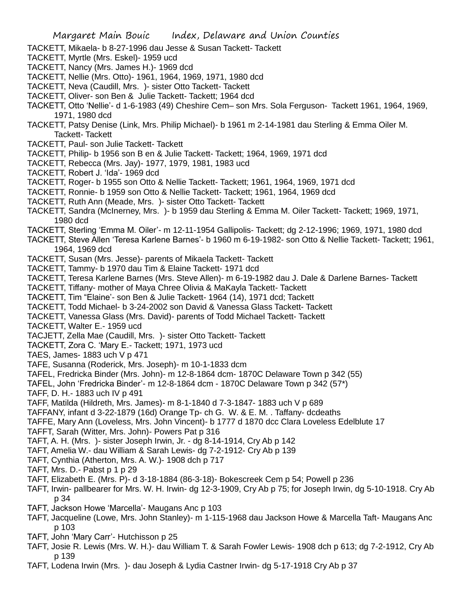- TACKETT, Mikaela- b 8-27-1996 dau Jesse & Susan Tackett- Tackett
- TACKETT, Myrtle (Mrs. Eskel)- 1959 ucd
- TACKETT, Nancy (Mrs. James H.)- 1969 dcd
- TACKETT, Nellie (Mrs. Otto)- 1961, 1964, 1969, 1971, 1980 dcd
- TACKETT, Neva (Caudill, Mrs. )- sister Otto Tackett- Tackett
- TACKETT, Oliver- son Ben & Julie Tackett- Tackett; 1964 dcd
- TACKETT, Otto 'Nellie'- d 1-6-1983 (49) Cheshire Cem– son Mrs. Sola Ferguson- Tackett 1961, 1964, 1969, 1971, 1980 dcd
- TACKETT, Patsy Denise (Link, Mrs. Philip Michael)- b 1961 m 2-14-1981 dau Sterling & Emma Oiler M. Tackett- Tackett
- TACKETT, Paul- son Julie Tackett- Tackett
- TACKETT, Philip- b 1956 son B en & Julie Tackett- Tackett; 1964, 1969, 1971 dcd
- TACKETT, Rebecca (Mrs. Jay)- 1977, 1979, 1981, 1983 ucd
- TACKETT, Robert J. 'Ida'- 1969 dcd
- TACKETT, Roger- b 1955 son Otto & Nellie Tackett- Tackett; 1961, 1964, 1969, 1971 dcd
- TACKETT, Ronnie- b 1959 son Otto & Nellie Tackett- Tackett; 1961, 1964, 1969 dcd
- TACKETT, Ruth Ann (Meade, Mrs. )- sister Otto Tackett- Tackett
- TACKETT, Sandra (McInerney, Mrs. )- b 1959 dau Sterling & Emma M. Oiler Tackett- Tackett; 1969, 1971, 1980 dcd
- TACKETT, Sterling 'Emma M. Oiler'- m 12-11-1954 Gallipolis- Tackett; dg 2-12-1996; 1969, 1971, 1980 dcd
- TACKETT, Steve Allen 'Teresa Karlene Barnes'- b 1960 m 6-19-1982- son Otto & Nellie Tackett- Tackett; 1961, 1964, 1969 dcd
- TACKETT, Susan (Mrs. Jesse)- parents of Mikaela Tackett- Tackett
- TACKETT, Tammy- b 1970 dau Tim & Elaine Tackett- 1971 dcd
- TACKETT, Teresa Karlene Barnes (Mrs. Steve Allen)- m 6-19-1982 dau J. Dale & Darlene Barnes- Tackett
- TACKETT, Tiffany- mother of Maya Chree Olivia & MaKayla Tackett- Tackett
- TACKETT, Tim "Elaine'- son Ben & Julie Tackett- 1964 (14), 1971 dcd; Tackett
- TACKETT, Todd Michael- b 3-24-2002 son David & Vanessa Glass Tackett- Tackett
- TACKETT, Vanessa Glass (Mrs. David)- parents of Todd Michael Tackett- Tackett
- TACKETT, Walter E.- 1959 ucd
- TACJETT, Zella Mae (Caudill, Mrs. )- sister Otto Tackett- Tackett
- TACKETT, Zora C. 'Mary E.- Tackett; 1971, 1973 ucd
- TAES, James- 1883 uch V p 471
- TAFE, Susanna (Roderick, Mrs. Joseph)- m 10-1-1833 dcm
- TAFEL, Fredricka Binder (Mrs. John)- m 12-8-1864 dcm- 1870C Delaware Town p 342 (55)
- TAFEL, John 'Fredricka Binder'- m 12-8-1864 dcm 1870C Delaware Town p 342 (57\*)
- TAFF, D. H.- 1883 uch IV p 491
- TAFF, Matilda (Hildreth, Mrs. James)- m 8-1-1840 d 7-3-1847- 1883 uch V p 689
- TAFFANY, infant d 3-22-1879 (16d) Orange Tp- ch G. W. & E. M. . Taffany- dcdeaths
- TAFFE, Mary Ann (Loveless, Mrs. John Vincent)- b 1777 d 1870 dcc Clara Loveless Edelblute 17
- TAFFT, Sarah (Witter, Mrs. John)- Powers Pat p 316
- TAFT, A. H. (Mrs. )- sister Joseph Irwin, Jr. dg 8-14-1914, Cry Ab p 142
- TAFT, Amelia W.- dau William & Sarah Lewis- dg 7-2-1912- Cry Ab p 139
- TAFT, Cynthia (Atherton, Mrs. A. W.)- 1908 dch p 717
- TAFT, Mrs. D.- Pabst p 1 p 29
- TAFT, Elizabeth E. (Mrs. P)- d 3-18-1884 (86-3-18)- Bokescreek Cem p 54; Powell p 236
- TAFT, Irwin- pallbearer for Mrs. W. H. Irwin- dg 12-3-1909, Cry Ab p 75; for Joseph Irwin, dg 5-10-1918. Cry Ab p 34
- TAFT, Jackson Howe 'Marcella'- Maugans Anc p 103
- TAFT, Jacqueline (Lowe, Mrs. John Stanley)- m 1-115-1968 dau Jackson Howe & Marcella Taft- Maugans Anc p 103
- TAFT, John 'Mary Carr'- Hutchisson p 25
- TAFT, Josie R. Lewis (Mrs. W. H.)- dau William T. & Sarah Fowler Lewis- 1908 dch p 613; dg 7-2-1912, Cry Ab p 139
- TAFT, Lodena Irwin (Mrs. )- dau Joseph & Lydia Castner Irwin- dg 5-17-1918 Cry Ab p 37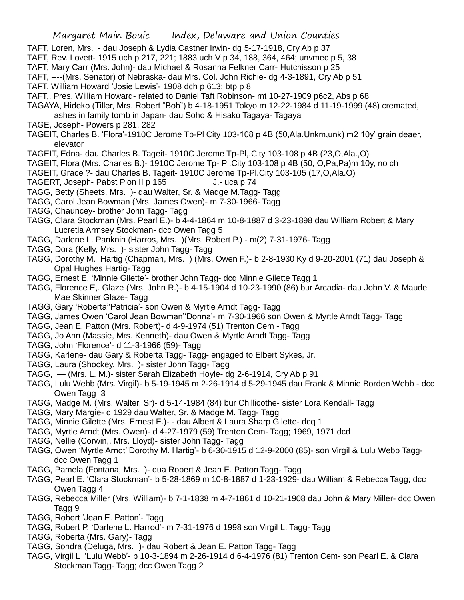- TAFT, Loren, Mrs. dau Joseph & Lydia Castner Irwin- dg 5-17-1918, Cry Ab p 37
- TAFT, Rev. Lovett- 1915 uch p 217, 221; 1883 uch V p 34, 188, 364, 464; unvmec p 5, 38
- TAFT, Mary Carr (Mrs. John)- dau Michael & Rosanna Felkner Carr- Hutchisson p 25
- TAFT, ----(Mrs. Senator) of Nebraska- dau Mrs. Col. John Richie- dg 4-3-1891, Cry Ab p 51
- TAFT, William Howard 'Josie Lewis'- 1908 dch p 613; btp p 8
- TAFT,. Pres. William Howard- related to Daniel Taft Robinson- mt 10-27-1909 p6c2, Abs p 68
- TAGAYA, Hideko (Tiller, Mrs. Robert "Bob") b 4-18-1951 Tokyo m 12-22-1984 d 11-19-1999 (48) cremated, ashes in family tomb in Japan- dau Soho & Hisako Tagaya- Tagaya
- TAGE, Joseph- Powers p 281, 282
- TAGEIT, Charles B. 'Flora'-1910C Jerome Tp-Pl City 103-108 p 4B (50,Ala.Unkm,unk) m2 10y' grain deaer, elevator
- TAGEIT, Edna- dau Charles B. Tageit- 1910C Jerome Tp-Pl,.City 103-108 p 4B (23,O,Ala.,O)
- TAGEIT, Flora (Mrs. Charles B.)- 1910C Jerome Tp- Pl.City 103-108 p 4B (50, O,Pa,Pa)m 10y, no ch
- TAGEIT, Grace ?- dau Charles B. Tageit- 1910C Jerome Tp-Pl.City 103-105 (17,O,Ala.O)
- TAGERT, Joseph- Pabst Pion II p 165 J.- uca p 74
- TAGG, Betty (Sheets, Mrs. )- dau Walter, Sr. & Madge M.Tagg- Tagg
- TAGG, Carol Jean Bowman (Mrs. James Owen)- m 7-30-1966- Tagg
- TAGG, Chauncey- brother John Tagg- Tagg
- TAGG, Clara Stockman (Mrs. Pearl E.)- b 4-4-1864 m 10-8-1887 d 3-23-1898 dau William Robert & Mary Lucretia Armsey Stockman- dcc Owen Tagg 5
- TAGG, Darlene L. Panknin (Harros, Mrs. )(Mrs. Robert P.) m(2) 7-31-1976- Tagg
- TAGG, Dora (Kelly, Mrs. )- sister John Tagg- Tagg
- TAGG, Dorothy M. Hartig (Chapman, Mrs. ) (Mrs. Owen F.)- b 2-8-1930 Ky d 9-20-2001 (71) dau Joseph & Opal Hughes Hartig- Tagg
- TAGG, Ernest E. 'Minnie Gilette'- brother John Tagg- dcq Minnie Gilette Tagg 1
- TAGG, Florence E,. Glaze (Mrs. John R.)- b 4-15-1904 d 10-23-1990 (86) bur Arcadia- dau John V. & Maude Mae Skinner Glaze- Tagg
- TAGG, Gary 'Roberta''Patricia'- son Owen & Myrtle Arndt Tagg- Tagg
- TAGG, James Owen 'Carol Jean Bowman''Donna'- m 7-30-1966 son Owen & Myrtle Arndt Tagg- Tagg
- TAGG, Jean E. Patton (Mrs. Robert)- d 4-9-1974 (51) Trenton Cem Tagg
- TAGG, Jo Ann (Massie, Mrs. Kenneth)- dau Owen & Myrtle Arndt Tagg- Tagg
- TAGG, John 'Florence'- d 11-3-1966 (59)- Tagg
- TAGG, Karlene- dau Gary & Roberta Tagg- Tagg- engaged to Elbert Sykes, Jr.
- TAGG, Laura (Shockey, Mrs. )- sister John Tagg- Tagg
- TAGG, (Mrs. L. M.)- sister Sarah Elizabeth Hoyle- dg 2-6-1914, Cry Ab p 91
- TAGG, Lulu Webb (Mrs. Virgil)- b 5-19-1945 m 2-26-1914 d 5-29-1945 dau Frank & Minnie Borden Webb dcc Owen Tagg 3
- TAGG, Madge M. (Mrs. Walter, Sr)- d 5-14-1984 (84) bur Chillicothe- sister Lora Kendall- Tagg
- TAGG, Mary Margie- d 1929 dau Walter, Sr. & Madge M. Tagg- Tagg
- TAGG, Minnie Gilette (Mrs. Ernest E.)- dau Albert & Laura Sharp Gilette- dcq 1
- TAGG, Myrtle Arndt (Mrs. Owen)- d 4-27-1979 (59) Trenton Cem- Tagg; 1969, 1971 dcd
- TAGG, Nellie (Corwin,, Mrs. Lloyd)- sister John Tagg- Tagg
- TAGG, Owen 'Myrtle Arndt''Dorothy M. Hartig'- b 6-30-1915 d 12-9-2000 (85)- son Virgil & Lulu Webb Taggdcc Owen Tagg 1
- TAGG, Pamela (Fontana, Mrs. )- dua Robert & Jean E. Patton Tagg- Tagg
- TAGG, Pearl E. 'Clara Stockman'- b 5-28-1869 m 10-8-1887 d 1-23-1929- dau William & Rebecca Tagg; dcc Owen Tagg 4
- TAGG, Rebecca Miller (Mrs. William)- b 7-1-1838 m 4-7-1861 d 10-21-1908 dau John & Mary Miller- dcc Owen Tagg 9
- TAGG, Robert 'Jean E. Patton'- Tagg
- TAGG, Robert P. 'Darlene L. Harrod'- m 7-31-1976 d 1998 son Virgil L. Tagg- Tagg
- TAGG, Roberta (Mrs. Gary)- Tagg
- TAGG, Sondra (Deluga, Mrs. )- dau Robert & Jean E. Patton Tagg- Tagg
- TAGG, Virgil L 'Lulu Webb'- b 10-3-1894 m 2-26-1914 d 6-4-1976 (81) Trenton Cem- son Pearl E. & Clara Stockman Tagg- Tagg; dcc Owen Tagg 2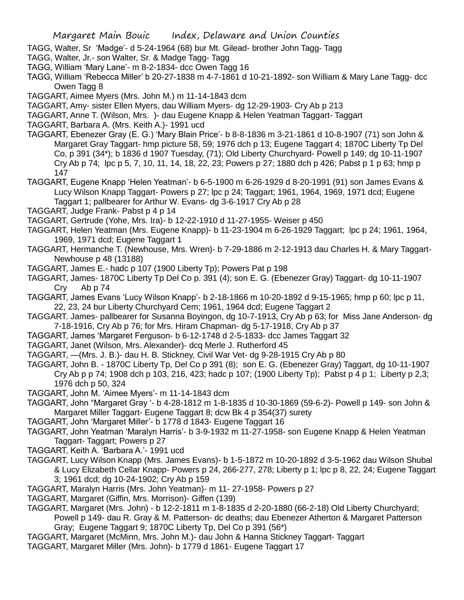- TAGG, Walter, Sr 'Madge'- d 5-24-1964 (68) bur Mt. Gilead- brother John Tagg- Tagg
- TAGG, Walter, Jr.- son Walter, Sr. & Madge Tagg- Tagg
- TAGG, William 'Mary Lane'- m 8-2-1834- dcc Owen Tagg 16
- TAGG, William 'Rebecca Miller' b 20-27-1838 m 4-7-1861 d 10-21-1892- son William & Mary Lane Tagg- dcc Owen Tagg 8
- TAGGART, Aimee Myers (Mrs. John M.) m 11-14-1843 dcm
- TAGGART, Amy- sister Ellen Myers, dau William Myers- dg 12-29-1903- Cry Ab p 213
- TAGGART, Anne T. (Wilson, Mrs. )- dau Eugene Knapp & Helen Yeatman Taggart- Taggart
- TAGGART, Barbara A. (Mrs. Keith A.)- 1991 ucd
- TAGGART, Ebenezer Gray (E. G.) 'Mary Blain Price'- b 8-8-1836 m 3-21-1861 d 10-8-1907 (71) son John & Margaret Gray Taggart- hmp picture 58, 59; 1976 dch p 13; Eugene Taggart 4; 1870C Liberty Tp Del Co, p 391 (34\*); b 1836 d 1907 Tuesday, (71); Old Liberty Churchyard- Powell p 149; dg 10-11-1907 Cry Ab p 74; lpc p 5, 7, 10, 11, 14, 18, 22, 23; Powers p 27; 1880 dch p 426; Pabst p 1 p 63; hmp p 147
- TAGGART, Eugene Knapp 'Helen Yeatman'- b 6-5-1900 m 6-26-1929 d 8-20-1991 (91) son James Evans & Lucy Wilson Knapp Taggart- Powers p 27; lpc p 24; Taggart; 1961, 1964, 1969, 1971 dcd; Eugene Taggart 1; pallbearer for Arthur W. Evans- dg 3-6-1917 Cry Ab p 28
- TAGGART, Judge Frank- Pabst p 4 p 14
- TAGGART, Gertrude (Yohe, Mrs. Ira)- b 12-22-1910 d 11-27-1955- Weiser p 450
- TAGGART, Helen Yeatman (Mrs. Eugene Knapp)- b 11-23-1904 m 6-26-1929 Taggart; lpc p 24; 1961, 1964, 1969, 1971 dcd; Eugene Taggart 1
- TAGGART, Hermanche T. (Newhouse, Mrs. Wren)- b 7-29-1886 m 2-12-1913 dau Charles H. & Mary Taggart-Newhouse p 48 (13188)
- TAGGART, James E.- hadc p 107 (1900 Liberty Tp); Powers Pat p 198
- TAGGART, James- 1870C Liberty Tp Del Co p. 391 (4); son E. G. (Ebenezer Gray) Taggart- dg 10-11-1907 Cry Ab p 74
- TAGGART, James Evans 'Lucy Wilson Knapp'- b 2-18-1866 m 10-20-1892 d 9-15-1965; hmp p 60; lpc p 11, 22, 23, 24 bur Liberty Churchyard Cem; 1961, 1964 dcd; Eugene Taggart 2
- TAGGART. James- pallbearer for Susanna Boyingon, dg 10-7-1913, Cry Ab p 63; for Miss Jane Anderson- dg 7-18-1916, Cry Ab p 76; for Mrs. Hiram Chapman- dg 5-17-1918, Cry Ab p 37
- TAGGART, James 'Margaret Ferguson- b 6-12-1748 d 2-5-1833- dcc James Taggart 32
- TAGGART, Janet (Wilson, Mrs. Alexander)- dcq Merle J. Rutherford 45
- TAGGART, —(Mrs. J. B.)- dau H. B. Stickney, Civil War Vet- dg 9-28-1915 Cry Ab p 80
- TAGGART, John B. 1870C Liberty Tp, Del Co p 391 (8); son E. G. (Ebenezer Gray) Taggart, dg 10-11-1907 Cry Ab p p 74; 1908 dch p 103, 216, 423; hadc p 107; (1900 Liberty Tp); Pabst p 4 p 1; Liberty p 2,3; 1976 dch p 50, 324
- TAGGART, John M. 'Aimee Myers'- m 11-14-1843 dcm
- TAGGART, John "Margaret Gray '- b 4-28-1812 m 1-8-1835 d 10-30-1869 (59-6-2)- Powell p 149- son John & Margaret Miller Taggart- Eugene Taggart 8; dcw Bk 4 p 354(37) surety
- TAGGART, John 'Margaret Miller'- b 1778 d 1843- Eugene Taggart 16
- TAGGART, John Yeatman 'Maralyn Harris'- b 3-9-1932 m 11-27-1958- son Eugene Knapp & Helen Yeatman Taggart- Taggart; Powers p 27
- TAGGART, Keith A. 'Barbara A.'- 1991 ucd
- TAGGART, Lucy Wilson Knapp (Mrs. James Evans)- b 1-5-1872 m 10-20-1892 d 3-5-1962 dau Wilson Shubal & Lucy Elizabeth Cellar Knapp- Powers p 24, 266-277, 278; Liberty p 1; lpc p 8, 22, 24; Eugene Taggart 3; 1961 dcd; dg 10-24-1902; Cry Ab p 159
- TAGGART, Maralyn Harris (Mrs. John Yeatman)- m 11- 27-1958- Powers p 27
- TAGGART, Margaret (Giffin, Mrs. Morrison)- Giffen (139)
- TAGGART, Margaret (Mrs. John) b 12-2-1811 m 1-8-1835 d 2-20-1880 (66-2-18) Old Liberty Churchyard; Powell p 149- dau R. Gray & M. Patterson- dc deaths; dau Ebenezer Atherton & Margaret Patterson Gray; Eugene Taggart 9; 1870C Liberty Tp, Del Co p 391 (56\*)
- TAGGART, Margaret (McMinn, Mrs. John M.)- dau John & Hanna Stickney Taggart- Taggart
- TAGGART, Margaret Miller (Mrs. John)- b 1779 d 1861- Eugene Taggart 17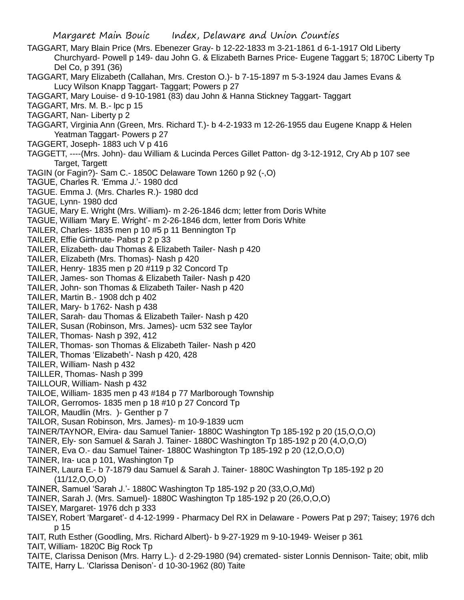- TAGGART, Mary Blain Price (Mrs. Ebenezer Gray- b 12-22-1833 m 3-21-1861 d 6-1-1917 Old Liberty Churchyard- Powell p 149- dau John G. & Elizabeth Barnes Price- Eugene Taggart 5; 1870C Liberty Tp Del Co, p 391 (36)
- TAGGART, Mary Elizabeth (Callahan, Mrs. Creston O.)- b 7-15-1897 m 5-3-1924 dau James Evans & Lucy Wilson Knapp Taggart- Taggart; Powers p 27
- TAGGART, Mary Louise- d 9-10-1981 (83) dau John & Hanna Stickney Taggart- Taggart
- TAGGART, Mrs. M. B.- lpc p 15
- TAGGART, Nan- Liberty p 2
- TAGGART, Virginia Ann (Green, Mrs. Richard T.)- b 4-2-1933 m 12-26-1955 dau Eugene Knapp & Helen Yeatman Taggart- Powers p 27
- TAGGERT, Joseph- 1883 uch V p 416
- TAGGETT, ----(Mrs. John)- dau William & Lucinda Perces Gillet Patton- dg 3-12-1912, Cry Ab p 107 see Target, Targett
- TAGIN (or Fagin?)- Sam C.- 1850C Delaware Town 1260 p 92 (-,O)
- TAGUE, Charles R. 'Emma J.'- 1980 dcd
- TAGUE. Emma J. (Mrs. Charles R.)- 1980 dcd
- TAGUE, Lynn- 1980 dcd
- TAGUE, Mary E. Wright (Mrs. William)- m 2-26-1846 dcm; letter from Doris White
- TAGUE, William 'Mary E. Wright'- m 2-26-1846 dcm, letter from Doris White
- TAILER, Charles- 1835 men p 10 #5 p 11 Bennington Tp
- TAILER, Effie Girthrute- Pabst p 2 p 33
- TAILER, Elizabeth- dau Thomas & Elizabeth Tailer- Nash p 420
- TAILER, Elizabeth (Mrs. Thomas)- Nash p 420
- TAILER, Henry- 1835 men p 20 #119 p 32 Concord Tp
- TAILER, James- son Thomas & Elizabeth Tailer- Nash p 420
- TAILER, John- son Thomas & Elizabeth Tailer- Nash p 420
- TAILER, Martin B.- 1908 dch p 402
- TAILER, Mary- b 1762- Nash p 438
- TAILER, Sarah- dau Thomas & Elizabeth Tailer- Nash p 420
- TAILER, Susan (Robinson, Mrs. James)- ucm 532 see Taylor
- TAILER, Thomas- Nash p 392, 412
- TAILER, Thomas- son Thomas & Elizabeth Tailer- Nash p 420
- TAILER, Thomas 'Elizabeth'- Nash p 420, 428
- TAILER, William- Nash p 432
- TAILLER, Thomas- Nash p 399
- TAILLOUR, William- Nash p 432
- TAILOE, William- 1835 men p 43 #184 p 77 Marlborough Township
- TAILOR, Gerromos- 1835 men p 18 #10 p 27 Concord Tp
- TAILOR, Maudlin (Mrs. )- Genther p 7
- TAILOR, Susan Robinson, Mrs. James)- m 10-9-1839 ucm
- TAINER/TAYNOR, Elvira- dau Samuel Tanier- 1880C Washington Tp 185-192 p 20 (15,O,O,O)
- TAINER, Ely- son Samuel & Sarah J. Tainer- 1880C Washington Tp 185-192 p 20 (4,O,O,O)
- TAINER, Eva O.- dau Samuel Tainer- 1880C Washington Tp 185-192 p 20 (12,O,O,O)
- TAINER, Ira- uca p 101, Washington Tp
- TAINER, Laura E.- b 7-1879 dau Samuel & Sarah J. Tainer- 1880C Washington Tp 185-192 p 20 (11/12,O,O,O)
- TAINER, Samuel 'Sarah J.'- 1880C Washington Tp 185-192 p 20 (33,O,O,Md)
- TAINER, Sarah J. (Mrs. Samuel)- 1880C Washington Tp 185-192 p 20 (26,O,O,O)
- TAISEY, Margaret- 1976 dch p 333
- TAISEY, Robert 'Margaret'- d 4-12-1999 Pharmacy Del RX in Delaware Powers Pat p 297; Taisey; 1976 dch p 15
- TAIT, Ruth Esther (Goodling, Mrs. Richard Albert)- b 9-27-1929 m 9-10-1949- Weiser p 361
- TAIT, William- 1820C Big Rock Tp
- TAITE, Clarissa Denison (Mrs. Harry L.)- d 2-29-1980 (94) cremated- sister Lonnis Dennison- Taite; obit, mlib TAITE, Harry L. 'Clarissa Denison'- d 10-30-1962 (80) Taite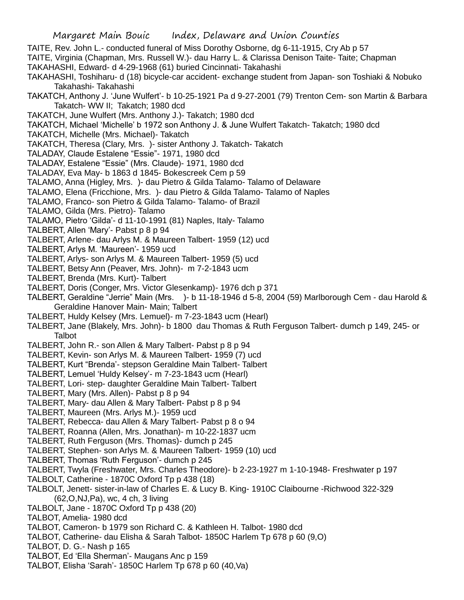TAITE, Rev. John L.- conducted funeral of Miss Dorothy Osborne, dg 6-11-1915, Cry Ab p 57

- TAITE, Virginia (Chapman, Mrs. Russell W.)- dau Harry L. & Clarissa Denison Taite- Taite; Chapman
- TAKAHASHI, Edward- d 4-29-1968 (61) buried Cincinnati- Takahashi
- TAKAHASHI, Toshiharu- d (18) bicycle-car accident- exchange student from Japan- son Toshiaki & Nobuko Takahashi- Takahashi
- TAKATCH, Anthony J. 'June Wulfert'- b 10-25-1921 Pa d 9-27-2001 (79) Trenton Cem- son Martin & Barbara Takatch- WW II; Takatch; 1980 dcd
- TAKATCH, June Wulfert (Mrs. Anthony J.)- Takatch; 1980 dcd
- TAKATCH, Michael 'Michelle' b 1972 son Anthony J. & June Wulfert Takatch- Takatch; 1980 dcd
- TAKATCH, Michelle (Mrs. Michael)- Takatch
- TAKATCH, Theresa (Clary, Mrs. )- sister Anthony J. Takatch- Takatch
- TALADAY, Claude Estalene "Essie"- 1971, 1980 dcd
- TALADAY, Estalene "Essie" (Mrs. Claude)- 1971, 1980 dcd
- TALADAY, Eva May- b 1863 d 1845- Bokescreek Cem p 59
- TALAMO, Anna (Higley, Mrs. )- dau Pietro & Gilda Talamo- Talamo of Delaware
- TALAMO, Elena (Fricchione, Mrs. )- dau Pietro & Gilda Talamo- Talamo of Naples
- TALAMO, Franco- son Pietro & Gilda Talamo- Talamo- of Brazil
- TALAMO, Gilda (Mrs. Pietro)- Talamo
- TALAMO, Pietro 'Gilda'- d 11-10-1991 (81) Naples, Italy- Talamo
- TALBERT, Allen 'Mary'- Pabst p 8 p 94
- TALBERT, Arlene- dau Arlys M. & Maureen Talbert- 1959 (12) ucd
- TALBERT, Arlys M. 'Maureen'- 1959 ucd
- TALBERT, Arlys- son Arlys M. & Maureen Talbert- 1959 (5) ucd
- TALBERT, Betsy Ann (Peaver, Mrs. John)- m 7-2-1843 ucm
- TALBERT, Brenda (Mrs. Kurt)- Talbert
- TALBERT, Doris (Conger, Mrs. Victor Glesenkamp)- 1976 dch p 371
- TALBERT, Geraldine "Jerrie" Main (Mrs. )- b 11-18-1946 d 5-8, 2004 (59) Marlborough Cem dau Harold & Geraldine Hanover Main- Main; Talbert
- TALBERT, Huldy Kelsey (Mrs. Lemuel)- m 7-23-1843 ucm (Hearl)
- TALBERT, Jane (Blakely, Mrs. John)- b 1800 dau Thomas & Ruth Ferguson Talbert- dumch p 149, 245- or Talbot
- TALBERT, John R.- son Allen & Mary Talbert- Pabst p 8 p 94
- TALBERT, Kevin- son Arlys M. & Maureen Talbert- 1959 (7) ucd
- TALBERT, Kurt "Brenda'- stepson Geraldine Main Talbert- Talbert
- TALBERT, Lemuel 'Huldy Kelsey'- m 7-23-1843 ucm (Hearl)
- TALBERT, Lori- step- daughter Geraldine Main Talbert- Talbert
- TALBERT, Mary (Mrs. Allen)- Pabst p 8 p 94
- TALBERT, Mary- dau Allen & Mary Talbert- Pabst p 8 p 94
- TALBERT, Maureen (Mrs. Arlys M.)- 1959 ucd
- TALBERT, Rebecca- dau Allen & Mary Talbert- Pabst p 8 o 94
- TALBERT, Roanna (Allen, Mrs. Jonathan)- m 10-22-1837 ucm
- TALBERT, Ruth Ferguson (Mrs. Thomas)- dumch p 245
- TALBERT, Stephen- son Arlys M. & Maureen Talbert- 1959 (10) ucd
- TALBERT, Thomas 'Ruth Ferguson'- dumch p 245
- TALBERT, Twyla (Freshwater, Mrs. Charles Theodore)- b 2-23-1927 m 1-10-1948- Freshwater p 197
- TALBOLT, Catherine 1870C Oxford Tp p 438 (18)
- TALBOLT, Jenett- sister-in-law of Charles E. & Lucy B. King- 1910C Claibourne -Richwood 322-329 (62,O,NJ,Pa), wc, 4 ch, 3 living
- TALBOLT, Jane 1870C Oxford Tp p 438 (20)
- TALBOT, Amelia- 1980 dcd
- TALBOT, Cameron- b 1979 son Richard C. & Kathleen H. Talbot- 1980 dcd
- TALBOT, Catherine- dau Elisha & Sarah Talbot- 1850C Harlem Tp 678 p 60 (9,O)
- TALBOT, D. G.- Nash p 165
- TALBOT, Ed 'Ella Sherman'- Maugans Anc p 159
- TALBOT, Elisha 'Sarah'- 1850C Harlem Tp 678 p 60 (40,Va)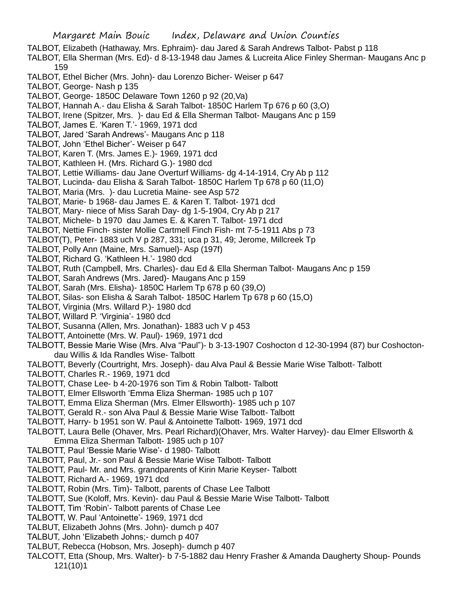Margaret Main Bouic Index, Delaware and Union Counties TALBOT, Elizabeth (Hathaway, Mrs. Ephraim)- dau Jared & Sarah Andrews Talbot- Pabst p 118 TALBOT, Ella Sherman (Mrs. Ed)- d 8-13-1948 dau James & Lucreita Alice Finley Sherman- Maugans Anc p 159 TALBOT, Ethel Bicher (Mrs. John)- dau Lorenzo Bicher- Weiser p 647 TALBOT, George- Nash p 135 TALBOT, George- 1850C Delaware Town 1260 p 92 (20,Va) TALBOT, Hannah A.- dau Elisha & Sarah Talbot- 1850C Harlem Tp 676 p 60 (3,O) TALBOT, Irene (Spitzer, Mrs. )- dau Ed & Ella Sherman Talbot- Maugans Anc p 159 TALBOT, James E. 'Karen T.'- 1969, 1971 dcd TALBOT, Jared 'Sarah Andrews'- Maugans Anc p 118 TALBOT, John 'Ethel Bicher'- Weiser p 647 TALBOT, Karen T. (Mrs. James E.)- 1969, 1971 dcd TALBOT, Kathleen H. (Mrs. Richard G.)- 1980 dcd TALBOT, Lettie Williams- dau Jane Overturf Williams- dg 4-14-1914, Cry Ab p 112 TALBOT, Lucinda- dau Elisha & Sarah Talbot- 1850C Harlem Tp 678 p 60 (11,O) TALBOT, Maria (Mrs. )- dau Lucretia Maine- see Asp 572 TALBOT, Marie- b 1968- dau James E. & Karen T. Talbot- 1971 dcd TALBOT, Mary- niece of Miss Sarah Day- dg 1-5-1904, Cry Ab p 217 TALBOT, Michele- b 1970 dau James E. & Karen T. Talbot- 1971 dcd TALBOT, Nettie Finch- sister Mollie Cartmell Finch Fish- mt 7-5-1911 Abs p 73 TALBOT(T), Peter- 1883 uch V p 287, 331; uca p 31, 49; Jerome, Millcreek Tp TALBOT, Polly Ann (Maine, Mrs. Samuel)- Asp (197f) TALBOT, Richard G. 'Kathleen H.'- 1980 dcd TALBOT, Ruth (Campbell, Mrs. Charles)- dau Ed & Ella Sherman Talbot- Maugans Anc p 159 TALBOT, Sarah Andrews (Mrs. Jared)- Maugans Anc p 159 TALBOT, Sarah (Mrs. Elisha)- 1850C Harlem Tp 678 p 60 (39,O) TALBOT, Silas- son Elisha & Sarah Talbot- 1850C Harlem Tp 678 p 60 (15,O) TALBOT, Virginia (Mrs. Willard P.)- 1980 dcd TALBOT, Willard P. 'Virginia'- 1980 dcd TALBOT, Susanna (Allen, Mrs. Jonathan)- 1883 uch V p 453 TALBOTT, Antoinette (Mrs. W. Paul)- 1969, 1971 dcd TALBOTT, Bessie Marie Wise (Mrs. Alva "Paul")- b 3-13-1907 Coshocton d 12-30-1994 (87) bur Coshoctondau Willis & Ida Randles Wise- Talbott TALBOTT, Beverly (Courtright, Mrs. Joseph)- dau Alva Paul & Bessie Marie Wise Talbott- Talbott TALBOTT, Charles R.- 1969, 1971 dcd TALBOTT, Chase Lee- b 4-20-1976 son Tim & Robin Talbott- Talbott

- TALBOTT, Elmer Ellsworth 'Emma Eliza Sherman- 1985 uch p 107
- TALBOTT, Emma Eliza Sherman (Mrs. Elmer Ellsworth)- 1985 uch p 107
- TALBOTT, Gerald R.- son Alva Paul & Bessie Marie Wise Talbott- Talbott
- TALBOTT, Harry- b 1951 son W. Paul & Antoinette Talbott- 1969, 1971 dcd
- TALBOTT, Laura Belle (Ohaver, Mrs. Pearl Richard)(Ohaver, Mrs. Walter Harvey)- dau Elmer Ellsworth & Emma Eliza Sherman Talbott- 1985 uch p 107
- TALBOTT, Paul 'Bessie Marie Wise'- d 1980- Talbott
- TALBOTT, Paul, Jr.- son Paul & Bessie Marie Wise Talbott- Talbott
- TALBOTT, Paul- Mr. and Mrs. grandparents of Kirin Marie Keyser- Talbott
- TALBOTT, Richard A.- 1969, 1971 dcd
- TALBOTT, Robin (Mrs. Tim)- Talbott, parents of Chase Lee Talbott
- TALBOTT, Sue (Koloff, Mrs. Kevin)- dau Paul & Bessie Marie Wise Talbott- Talbott
- TALBOTT, Tim 'Robin'- Talbott parents of Chase Lee
- TALBOTT, W. Paul 'Antoinette'- 1969, 1971 dcd
- TALBUT, Elizabeth Johns (Mrs. John)- dumch p 407
- TALBUT, John 'Elizabeth Johns;- dumch p 407
- TALBUT, Rebecca (Hobson, Mrs. Joseph)- dumch p 407
- TALCOTT, Etta (Shoup, Mrs. Walter)- b 7-5-1882 dau Henry Frasher & Amanda Daugherty Shoup- Pounds 121(10)1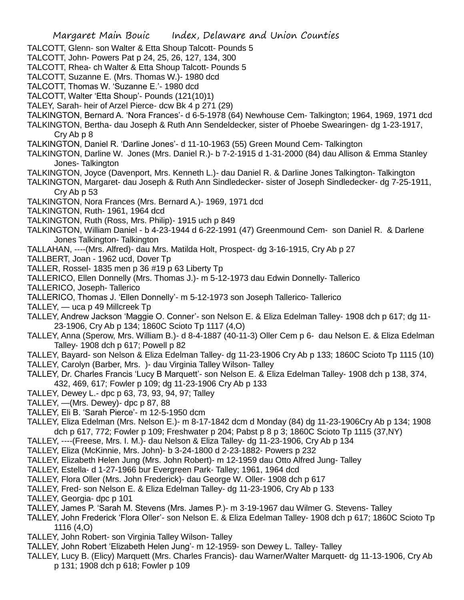- TALCOTT, Glenn- son Walter & Etta Shoup Talcott- Pounds 5
- TALCOTT, John- Powers Pat p 24, 25, 26, 127, 134, 300
- TALCOTT, Rhea- ch Walter & Etta Shoup Talcott- Pounds 5
- TALCOTT, Suzanne E. (Mrs. Thomas W.)- 1980 dcd
- TALCOTT, Thomas W. 'Suzanne E.'- 1980 dcd
- TALCOTT, Walter 'Etta Shoup'- Pounds (121(10)1)
- TALEY, Sarah- heir of Arzel Pierce- dcw Bk 4 p 271 (29)
- TALKINGTON, Bernard A. 'Nora Frances'- d 6-5-1978 (64) Newhouse Cem- Talkington; 1964, 1969, 1971 dcd
- TALKINGTON, Bertha- dau Joseph & Ruth Ann Sendeldecker, sister of Phoebe Swearingen- dg 1-23-1917, Cry Ab p 8
- TALKINGTON, Daniel R. 'Darline Jones'- d 11-10-1963 (55) Green Mound Cem- Talkington
- TALKINGTON, Darline W. Jones (Mrs. Daniel R.)- b 7-2-1915 d 1-31-2000 (84) dau Allison & Emma Stanley Jones- Talkington
- TALKINGTON, Joyce (Davenport, Mrs. Kenneth L.)- dau Daniel R. & Darline Jones Talkington- Talkington
- TALKINGTON, Margaret- dau Joseph & Ruth Ann Sindledecker- sister of Joseph Sindledecker- dg 7-25-1911, Cry Ab p 53
- TALKINGTON, Nora Frances (Mrs. Bernard A.)- 1969, 1971 dcd
- TALKINGTON, Ruth- 1961, 1964 dcd
- TALKINGTON, Ruth (Ross, Mrs. Philip)- 1915 uch p 849
- TALKINGTON, William Daniel b 4-23-1944 d 6-22-1991 (47) Greenmound Cem- son Daniel R. & Darlene Jones Talkington- Talkington
- TALLAHAN, ----(Mrs. Alfred)- dau Mrs. Matilda Holt, Prospect- dg 3-16-1915, Cry Ab p 27
- TALLBERT, Joan 1962 ucd, Dover Tp
- TALLER, Rossel- 1835 men p 36 #19 p 63 Liberty Tp
- TALLERICO, Ellen Donnelly (Mrs. Thomas J.)- m 5-12-1973 dau Edwin Donnelly- Tallerico
- TALLERICO, Joseph- Tallerico
- TALLERICO, Thomas J. 'Ellen Donnelly'- m 5-12-1973 son Joseph Tallerico- Tallerico
- TALLEY, uca p 49 Millcreek Tp
- TALLEY, Andrew Jackson 'Maggie O. Conner'- son Nelson E. & Eliza Edelman Talley- 1908 dch p 617; dg 11- 23-1906, Cry Ab p 134; 1860C Scioto Tp 1117 (4,O)
- TALLEY, Anna (Sperow, Mrs. William B.)- d 8-4-1887 (40-11-3) Oller Cem p 6- dau Nelson E. & Eliza Edelman Talley- 1908 dch p 617; Powell p 82
- TALLEY, Bayard- son Nelson & Eliza Edelman Talley- dg 11-23-1906 Cry Ab p 133; 1860C Scioto Tp 1115 (10)
- TALLEY, Carolyn (Barber, Mrs. )- dau Virginia Talley Wilson- Talley
- TALLEY, Dr. Charles Francis 'Lucy B Marquett'- son Nelson E. & Eliza Edelman Talley- 1908 dch p 138, 374, 432, 469, 617; Fowler p 109; dg 11-23-1906 Cry Ab p 133
- TALLEY, Dewey L.- dpc p 63, 73, 93, 94, 97; Talley
- TALLEY, —(Mrs. Dewey)- dpc p 87, 88
- TALLEY, Eli B. 'Sarah Pierce'- m 12-5-1950 dcm
- TALLEY, Eliza Edelman (Mrs. Nelson E.)- m 8-17-1842 dcm d Monday (84) dg 11-23-1906Cry Ab p 134; 1908 dch p 617, 772; Fowler p 109; Freshwater p 204; Pabst p 8 p 3; 1860C Scioto Tp 1115 (37,NY)
- TALLEY, ----(Freese, Mrs. I. M.)- dau Nelson & Eliza Talley- dg 11-23-1906, Cry Ab p 134
- TALLEY, Eliza (McKinnie, Mrs. John)- b 3-24-1800 d 2-23-1882- Powers p 232
- TALLEY, Elizabeth Helen Jung (Mrs. John Robert)- m 12-1959 dau Otto Alfred Jung- Talley
- TALLEY, Estella- d 1-27-1966 bur Evergreen Park- Talley; 1961, 1964 dcd
- TALLEY, Flora Oller (Mrs. John Frederick)- dau George W. Oller- 1908 dch p 617
- TALLEY, Fred- son Nelson E. & Eliza Edelman Talley- dg 11-23-1906, Cry Ab p 133
- TALLEY, Georgia- dpc p 101
- TALLEY, James P. 'Sarah M. Stevens (Mrs. James P.)- m 3-19-1967 dau Wilmer G. Stevens- Talley
- TALLEY, John Frederick 'Flora Oller'- son Nelson E. & Eliza Edelman Talley- 1908 dch p 617; 1860C Scioto Tp 1116 (4,O)
- TALLEY, John Robert- son Virginia Talley Wilson- Talley
- TALLEY, John Robert 'Elizabeth Helen Jung'- m 12-1959- son Dewey L. Talley- Talley
- TALLEY, Lucy B. (Elicy) Marquett (Mrs. Charles Francis)- dau Warner/Walter Marquett- dg 11-13-1906, Cry Ab p 131; 1908 dch p 618; Fowler p 109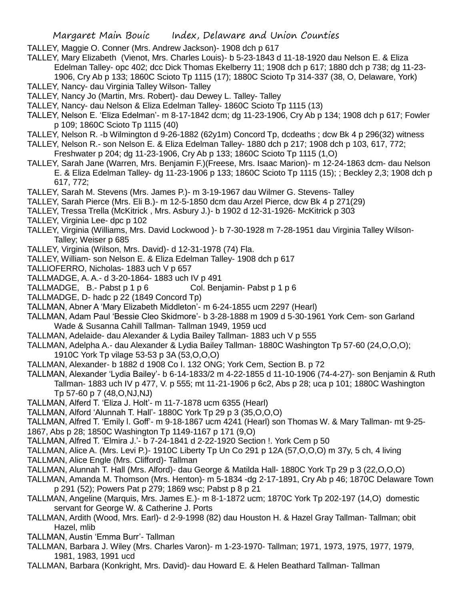- TALLEY, Maggie O. Conner (Mrs. Andrew Jackson)- 1908 dch p 617
- TALLEY, Mary Elizabeth (Vienot, Mrs. Charles Louis)- b 5-23-1843 d 11-18-1920 dau Nelson E. & Eliza Edelman Talley- opc 402; dcc Dick Thomas Ekelberry 11; 1908 dch p 617; 1880 dch p 738; dg 11-23-

1906, Cry Ab p 133; 1860C Scioto Tp 1115 (17); 1880C Scioto Tp 314-337 (38, O, Delaware, York) TALLEY, Nancy- dau Virginia Talley Wilson- Talley

- TALLEY, Nancy Jo (Martin, Mrs. Robert)- dau Dewey L. Talley- Talley
- TALLEY, Nancy- dau Nelson & Eliza Edelman Talley- 1860C Scioto Tp 1115 (13)
- TALLEY, Nelson E. 'Eliza Edelman'- m 8-17-1842 dcm; dg 11-23-1906, Cry Ab p 134; 1908 dch p 617; Fowler p 109; 1860C Scioto Tp 1115 (40)
- TALLEY, Nelson R. -b Wilmington d 9-26-1882 (62y1m) Concord Tp, dcdeaths ; dcw Bk 4 p 296(32) witness
- TALLEY, Nelson R.- son Nelson E. & Eliza Edelman Talley- 1880 dch p 217; 1908 dch p 103, 617, 772; Freshwater p 204; dg 11-23-1906, Cry Ab p 133; 1860C Scioto Tp 1115 (1,O)
- TALLEY, Sarah Jane (Warren, Mrs. Benjamin F.)(Freese, Mrs. Isaac Marion)- m 12-24-1863 dcm- dau Nelson E. & Eliza Edelman Talley- dg 11-23-1906 p 133; 1860C Scioto Tp 1115 (15); ; Beckley 2,3; 1908 dch p 617, 772;
- TALLEY, Sarah M. Stevens (Mrs. James P.)- m 3-19-1967 dau Wilmer G. Stevens- Talley
- TALLEY, Sarah Pierce (Mrs. Eli B.)- m 12-5-1850 dcm dau Arzel Pierce, dcw Bk 4 p 271(29)
- TALLEY, Tressa Trella (McKitrick , Mrs. Asbury J.)- b 1902 d 12-31-1926- McKitrick p 303
- TALLEY, Virginia Lee- dpc p 102
- TALLEY, Virginia (Williams, Mrs. David Lockwood )- b 7-30-1928 m 7-28-1951 dau Virginia Talley Wilson-Talley; Weiser p 685
- TALLEY, Virginia (Wilson, Mrs. David)- d 12-31-1978 (74) Fla.
- TALLEY, William- son Nelson E. & Eliza Edelman Talley- 1908 dch p 617
- TALLIOFERRO, Nicholas- 1883 uch V p 657
- TALLMADGE, A. A.- d 3-20-1864- 1883 uch IV p 491
- TALLMADGE, B.- Pabst p 1 p 6 Col. Benjamin- Pabst p 1 p 6
- TALLMADGE, D- hadc p 22 (1849 Concord Tp)
- TALLMAN, Abner A 'Mary Elizabeth Middleton'- m 6-24-1855 ucm 2297 (Hearl)
- TALLMAN, Adam Paul 'Bessie Cleo Skidmore'- b 3-28-1888 m 1909 d 5-30-1961 York Cem- son Garland Wade & Susanna Cahill Tallman- Tallman 1949, 1959 ucd
- TALLMAN, Adelaide- dau Alexander & Lydia Bailey Tallman- 1883 uch V p 555
- TALLMAN, Adelpha A.- dau Alexander & Lydia Bailey Tallman- 1880C Washington Tp 57-60 (24,O,O,O);
	- 1910C York Tp vilage 53-53 p 3A (53,O,O,O)
- TALLMAN, Alexander- b 1882 d 1908 Co I. 132 ONG; York Cem, Section B. p 72
- TALLMAN, Alexander 'Lydia Bailey'- b 6-14-1833/2 m 4-22-1855 d 11-10-1906 (74-4-27)- son Benjamin & Ruth Tallman- 1883 uch IV p 477, V. p 555; mt 11-21-1906 p 6c2, Abs p 28; uca p 101; 1880C Washington Tp 57-60 p 7 (48,O,NJ,NJ)
- TALLMAN, Alferd T. 'Eliza J. Holt'- m 11-7-1878 ucm 6355 (Hearl)
- TALLMAN, Alford 'Alunnah T. Hall'- 1880C York Tp 29 p 3 (35,O,O,O)
- TALLMAN, Alfred T. 'Emily l. Goff'- m 9-18-1867 ucm 4241 (Hearl) son Thomas W. & Mary Tallman- mt 9-25-
- 1867, Abs p 28; 1850C Washington Tp 1149-1167 p 171 (9,O)
- TALLMAN, Alfred T. 'Elmira J.'- b 7-24-1841 d 2-22-1920 Section !. York Cem p 50
- TALLMAN, Alice A. (Mrs. Levi P.)- 1910C Liberty Tp Un Co 291 p 12A (57,O,O,O) m 37y, 5 ch, 4 living
- TALLMAN, Alice Engle (Mrs. Clifford)- Tallman
- TALLMAN, Alunnah T. Hall (Mrs. Alford)- dau George & Matilda Hall- 1880C York Tp 29 p 3 (22,O,O,O)
- TALLMAN, Amanda M. Thomson (Mrs. Henton)- m 5-1834 -dg 2-17-1891, Cry Ab p 46; 1870C Delaware Town p 291 (52); Powers Pat p 279; 1869 wsc; Pabst p 8 p 21
- TALLMAN, Angeline (Marquis, Mrs. James E.)- m 8-1-1872 ucm; 1870C York Tp 202-197 (14,O) domestic servant for George W. & Catherine J. Ports
- TALLMAN, Ardith (Wood, Mrs. Earl)- d 2-9-1998 (82) dau Houston H. & Hazel Gray Tallman- Tallman; obit Hazel, mlib
- TALLMAN, Austin 'Emma Burr'- Tallman
- TALLMAN, Barbara J. Wiley (Mrs. Charles Varon)- m 1-23-1970- Tallman; 1971, 1973, 1975, 1977, 1979, 1981, 1983, 1991 ucd
- TALLMAN, Barbara (Konkright, Mrs. David)- dau Howard E. & Helen Beathard Tallman- Tallman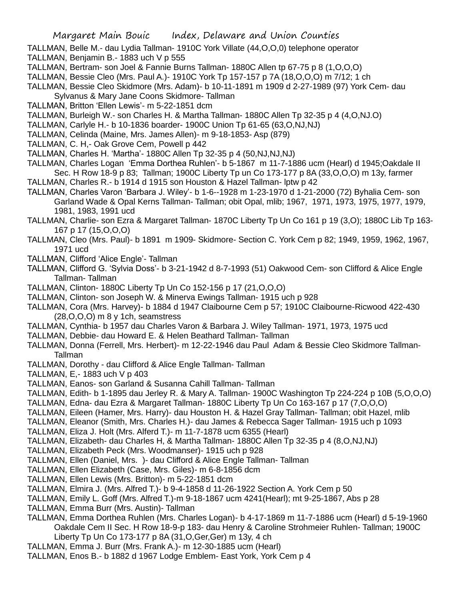- TALLMAN, Belle M.- dau Lydia Tallman- 1910C York Villate (44,O,O,0) telephone operator
- TALLMAN, Benjamin B.- 1883 uch V p 555
- TALLMAN, Bertram- son Joel & Fannie Burns Tallman- 1880C Allen tp 67-75 p 8 (1,O,O,O)
- TALLMAN, Bessie Cleo (Mrs. Paul A.)- 1910C York Tp 157-157 p 7A (18,O,O,O) m 7/12; 1 ch
- TALLMAN, Bessie Cleo Skidmore (Mrs. Adam)- b 10-11-1891 m 1909 d 2-27-1989 (97) York Cem- dau Sylvanus & Mary Jane Coons Skidmore- Tallman
- TALLMAN, Britton 'Ellen Lewis'- m 5-22-1851 dcm
- TALLMAN, Burleigh W.- son Charles H. & Martha Tallman- 1880C Allen Tp 32-35 p 4 (4,O,NJ.O)
- TALLMAN, Carlyle H.- b 10-1836 boarder- 1900C Union Tp 61-65 (63,O,NJ,NJ)
- TALLMAN, Celinda (Maine, Mrs. James Allen)- m 9-18-1853- Asp (879)
- TALLMAN, C. H,- Oak Grove Cem, Powell p 442
- TALLMAN, Charles H. 'Martha'- 1880C Allen Tp 32-35 p 4 (50,NJ,NJ,NJ)
- TALLMAN, Charles Logan 'Emma Dorthea Ruhlen'- b 5-1867 m 11-7-1886 ucm (Hearl) d 1945;Oakdale II Sec. H Row 18-9 p 83; Tallman; 1900C Liberty Tp un Co 173-177 p 8A (33,O,O,O) m 13y, farmer
- TALLMAN, Charles R.- b 1914 d 1915 son Houston & Hazel Tallman- lptw p 42
- TALLMAN, Charles Varon 'Barbara J. Wiley'- b 1-6--1928 m 1-23-1970 d 1-21-2000 (72) Byhalia Cem- son Garland Wade & Opal Kerns Tallman- Tallman; obit Opal, mlib; 1967, 1971, 1973, 1975, 1977, 1979, 1981, 1983, 1991 ucd
- TALLMAN, Charlie- son Ezra & Margaret Tallman- 1870C Liberty Tp Un Co 161 p 19 (3,O); 1880C Lib Tp 163- 167 p 17 (15,O,O,O)
- TALLMAN, Cleo (Mrs. Paul)- b 1891 m 1909- Skidmore- Section C. York Cem p 82; 1949, 1959, 1962, 1967, 1971 ucd
- TALLMAN, Clifford 'Alice Engle'- Tallman
- TALLMAN, Clifford G. 'Sylvia Doss'- b 3-21-1942 d 8-7-1993 (51) Oakwood Cem- son Clifford & Alice Engle Tallman- Tallman
- TALLMAN, Clinton- 1880C Liberty Tp Un Co 152-156 p 17 (21,O,O,O)
- TALLMAN, Clinton- son Joseph W. & Minerva Ewings Tallman- 1915 uch p 928
- TALLMAN, Cora (Mrs. Harvey)- b 1884 d 1947 Claibourne Cem p 57; 1910C Claibourne-Ricwood 422-430 (28,O,O,O) m 8 y 1ch, seamstress
- TALLMAN, Cynthia- b 1957 dau Charles Varon & Barbara J. Wiley Tallman- 1971, 1973, 1975 ucd
- TALLMAN, Debbie- dau Howard E. & Helen Beathard Tallman- Tallman
- TALLMAN, Donna (Ferrell, Mrs. Herbert)- m 12-22-1946 dau Paul Adam & Bessie Cleo Skidmore Tallman-Tallman
- TALLMAN, Dorothy dau Clifford & Alice Engle Tallman- Tallman
- TALLMAN, E,- 1883 uch V p 403
- TALLMAN, Eanos- son Garland & Susanna Cahill Tallman- Tallman
- TALLMAN, Edith- b 1-1895 dau Jerley R. & Mary A. Tallman- 1900C Washington Tp 224-224 p 10B (5,O,O,O)
- TALLMAN, Edna- dau Ezra & Margaret Tallman- 1880C Liberty Tp Un Co 163-167 p 17 (7,O,O,O)
- TALLMAN, Eileen (Hamer, Mrs. Harry)- dau Houston H. & Hazel Gray Tallman- Tallman; obit Hazel, mlib
- TALLMAN, Eleanor (Smith, Mrs. Charles H.)- dau James & Rebecca Sager Tallman- 1915 uch p 1093
- TALLMAN, Eliza J. Holt (Mrs. Alferd T.)- m 11-7-1878 ucm 6355 (Hearl)
- TALLMAN, Elizabeth- dau Charles H, & Martha Tallman- 1880C Allen Tp 32-35 p 4 (8,O,NJ,NJ)
- TALLMAN, Elizabeth Peck (Mrs. Woodmanser)- 1915 uch p 928
- TALLMAN, Ellen (Daniel, Mrs. )- dau Clifford & Alice Engle Tallman- Tallman
- TALLMAN, Ellen Elizabeth (Case, Mrs. Giles)- m 6-8-1856 dcm
- TALLMAN, Ellen Lewis (Mrs. Britton)- m 5-22-1851 dcm
- TALLMAN, Elmira J. (Mrs. Alfred T.)- b 9-4-1858 d 11-26-1922 Section A. York Cem p 50
- TALLMAN, Emily L. Goff (Mrs. Alfred T.)-m 9-18-1867 ucm 4241(Hearl); mt 9-25-1867, Abs p 28
- TALLMAN, Emma Burr (Mrs. Austin)- Tallman
- TALLMAN, Emma Dorthea Ruhlen (Mrs. Charles Logan)- b 4-17-1869 m 11-7-1886 ucm (Hearl) d 5-19-1960 Oakdale Cem II Sec. H Row 18-9-p 183- dau Henry & Caroline Strohmeier Ruhlen- Tallman; 1900C Liberty Tp Un Co 173-177 p 8A (31,O,Ger,Ger) m 13y, 4 ch
- TALLMAN, Emma J. Burr (Mrs. Frank A.)- m 12-30-1885 ucm (Hearl)
- TALLMAN, Enos B.- b 1882 d 1967 Lodge Emblem- East York, York Cem p 4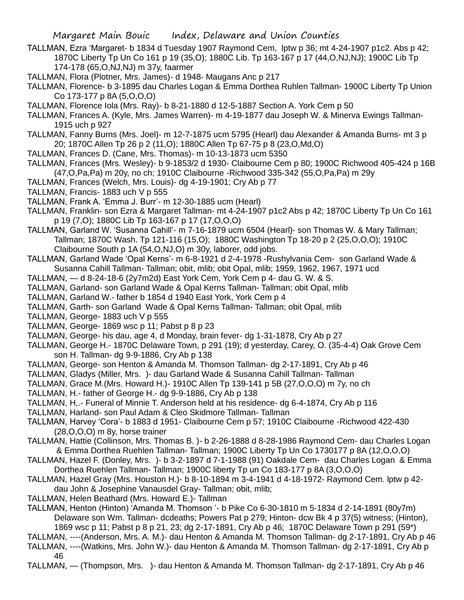- TALLMAN, Ezra 'Margaret- b 1834 d Tuesday 1907 Raymond Cem, lptw p 36; mt 4-24-1907 p1c2. Abs p 42; 1870C Liberty Tp Un Co 161 p 19 (35,O); 1880C Lib. Tp 163-167 p 17 (44,O,NJ,NJ); 1900C Lib Tp 174-178 (65,O,NJ,NJ) m 37y, faarmer
- TALLMAN, Flora (Plotner, Mrs. James)- d 1948- Maugans Anc p 217
- TALLMAN, Florence- b 3-1895 dau Charles Logan & Emma Dorthea Ruhlen Tallman- 1900C Liberty Tp Union Co 173-177 p 8A (5,O,O,O)
- TALLMAN, Florence Iola (Mrs. Ray)- b 8-21-1880 d 12-5-1887 Section A. York Cem p 50
- TALLMAN, Frances A. (Kyle, Mrs. James Warren)- m 4-19-1877 dau Joseph W. & Minerva Ewings Tallman-1915 uch p 927
- TALLMAN, Fanny Burns (Mrs. Joel)- m 12-7-1875 ucm 5795 (Hearl) dau Alexander & Amanda Burns- mt 3 p 20; 1870C Allen Tp 26 p 2 (11,O); 1880C Allen Tp 67-75 p 8 (23,O,Md,O)
- TALLMAN, Frances D. (Cane, Mrs. Thomas)- m 10-13-1873 ucm 5350
- TALLMAN, Frances (Mrs. Wesley)- b 9-1853/2 d 1930- Claibourne Cem p 80; 1900C Richwood 405-424 p 16B (47,O,Pa,Pa) m 20y, no ch; 1910C Claibourne -Richwood 335-342 (55,O,Pa,Pa) m 29y
- TALLMAN, Frances (Welch, Mrs. Louis)- dg 4-19-1901; Cry Ab p 77
- TALLMAN, Francis- 1883 uch V p 555
- TALLMAN, Frank A. 'Emma J. Burr'- m 12-30-1885 ucm (Hearl)
- TALLMAN, Franklin- son Ezra & Margaret Tallman- mt 4-24-1907 p1c2 Abs p 42; 1870C Liberty Tp Un Co 161 p 19 (7,O); 1880C Lib Tp 163-167 p 17 (17,O,O,O)
- TALLMAN, Garland W. 'Susanna Cahill'- m 7-16-1879 ucm 6504 (Hearl)- son Thomas W. & Mary Tallman; Tallman; 1870C Wash. Tp 121-116 (15,O); 1880C Washington Tp 18-20 p 2 (25,O,O,O); 1910C Claibourne South p 1A (54,O,NJ,O) m 30y, laborer, odd jobs.
- TALLMAN, Garland Wade 'Opal Kerns'- m 6-8-1921 d 2-4-1978 -Rushylvania Cem- son Garland Wade & Susanna Cahill Tallman- Tallman; obit, mlib; obit Opal, mlib; 1959, 1962, 1967, 1971 ucd
- TALLMAN, d 8-24-18-6 (2y7m2d) East York Cem, York Cem p 4- dau G. W. & S.
- TALLMAN, Garland- son Garland Wade & Opal Kerns Tallman- Tallman; obit Opal, mlib
- TALLMAN, Garland W.- father b 1854 d 1940 East York, York Cem p 4
- TALLMAN, Garth- son Garland Wade & Opal Kerns Tallman- Tallman; obit Opal, mlib
- TALLMAN, George- 1883 uch V p 555
- TALLMAN, George- 1869 wsc p 11; Pabst p 8 p 23
- TALLMAN, George- his dau, age 4, d Monday, brain fever- dg 1-31-1878, Cry Ab p 27
- TALLMAN, George H.- 1870C Delaware Town, p 291 (19); d yesterday, Carey, O. (35-4-4) Oak Grove Cem son H. Tallman- dg 9-9-1886, Cry Ab p 138
- TALLMAN, George- son Henton & Amanda M. Thomson Tallman- dg 2-17-1891, Cry Ab p 46
- TALLMAN, Gladys (Miller, Mrs. )- dau Garland Wade & Susanna Cahill Tallman- Tallman
- TALLMAN, Grace M.(Mrs. Howard H.)- 1910C Allen Tp 139-141 p 5B (27,O,O,O) m 7y, no ch
- TALLMAN, H.- father of George H.- dg 9-9-1886, Cry Ab p 138
- TALLMAN, H,.- Funeral of Minnie T. Anderson held at his residence- dg 6-4-1874, Cry Ab p 116
- TALLMAN, Harland- son Paul Adam & Cleo Skidmore Tallman- Tallman
- TALLMAN, Harvey 'Cora'- b 1883 d 1951- Claibourne Cem p 57; 1910C Claibourne -Richwood 422-430 (28,O,O,O) m 8y, horse trainer
- TALLMAN, Hattie (Collinson, Mrs. Thomas B. )- b 2-26-1888 d 8-28-1986 Raymond Cem- dau Charles Logan & Emma Dorthea Ruehlen Tallman- Tallman; 1900C Liberty Tp Un Co 1730177 p 8A (12,O,O,O)
- TALLMAN, Hazel F. (Donley, Mrs. )- b 3-2-1897 d 7-1-1988 (91) Oakdale Cem- dau Charles Logan & Emma Dorthea Ruehlen Tallman- Tallman; 1900C liberty Tp un Co 183-177 p 8A (3,O,O,O)
- TALLMAN, Hazel Gray (Mrs. Houston H.)- b 8-10-1894 m 3-4-1941 d 4-18-1972- Raymond Cem. lptw p 42 dau John & Josephine Vanausdel Gray- Tallman; obit, mlib;
- TALLMAN, Helen Beathard (Mrs. Howard E.)- Tallman
- TALLMAN, Henton (Hinton) 'Amanda M. Thomson '- b Pike Co 6-30-1810 m 5-1834 d 2-14-1891 (80y7m) Delaware son Wm. Tallman- dcdeaths; Powers Pat p 279; Hinton- dcw Bk 4 p 37(5) witness; (Hinton), 1869 wsc p 11; Pabst p 8 p 21, 23; dg 2-17-1891, Cry Ab p 46; 1870C Delaware Town p 291 (59\*)
- TALLMAN, ----(Anderson, Mrs. A. M.)- dau Henton & Amanda M. Thomson Tallman- dg 2-17-1891, Cry Ab p 46
- TALLMAN, ----(Watkins, Mrs. John W.)- dau Henton & Amanda M. Thomson Tallman- dg 2-17-1891, Cry Ab p 46
- TALLMAN, (Thompson, Mrs. )- dau Henton & Amanda M. Thomson Tallman- dg 2-17-1891, Cry Ab p 46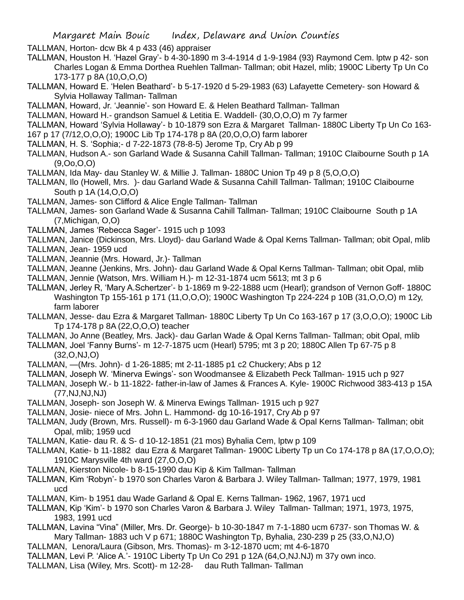TALLMAN, Horton- dcw Bk 4 p 433 (46) appraiser

- TALLMAN, Houston H. 'Hazel Gray'- b 4-30-1890 m 3-4-1914 d 1-9-1984 (93) Raymond Cem. lptw p 42- son Charles Logan & Emma Dorthea Ruehlen Tallman- Tallman; obit Hazel, mlib; 1900C Liberty Tp Un Co 173-177 p 8A (10,O,O,O)
- TALLMAN, Howard E. 'Helen Beathard'- b 5-17-1920 d 5-29-1983 (63) Lafayette Cemetery- son Howard & Sylvia Hollaway Tallman- Tallman
- TALLMAN, Howard, Jr. 'Jeannie'- son Howard E. & Helen Beathard Tallman- Tallman
- TALLMAN, Howard H.- grandson Samuel & Letitia E. Waddell- (30,O,O,O) m 7y farmer
- TALLMAN, Howard 'Sylvia Hollaway'- b 10-1879 son Ezra & Margaret Tallman- 1880C Liberty Tp Un Co 163-
- 167 p 17 (7/12,O,O,O); 1900C Lib Tp 174-178 p 8A (20,O,O,O) farm laborer
- TALLMAN, H. S. 'Sophia;- d 7-22-1873 (78-8-5) Jerome Tp, Cry Ab p 99
- TALLMAN, Hudson A.- son Garland Wade & Susanna Cahill Tallman- Tallman; 1910C Claibourne South p 1A (9,Oo,O,O)
- TALLMAN, Ida May- dau Stanley W. & Millie J. Tallman- 1880C Union Tp 49 p 8 (5,O,O,O)
- TALLMAN, Ilo (Howell, Mrs. )- dau Garland Wade & Susanna Cahill Tallman- Tallman; 1910C Claibourne South p 1A (14,O,O,O)
- TALLMAN, James- son Clifford & Alice Engle Tallman- Tallman
- TALLMAN, James- son Garland Wade & Susanna Cahill Tallman- Tallman; 1910C Claibourne South p 1A (7,Michigan, O,O)
- TALLMAN, James 'Rebecca Sager'- 1915 uch p 1093
- TALLMAN, Janice (Dickinson, Mrs. Lloyd)- dau Garland Wade & Opal Kerns Tallman- Tallman; obit Opal, mlib TALLMAN, Jean- 1959 ucd
- TALLMAN, Jeannie (Mrs. Howard, Jr.)- Tallman
- TALLMAN, Jeanne (Jenkins, Mrs. John)- dau Garland Wade & Opal Kerns Tallman- Tallman; obit Opal, mlib
- TALLMAN, Jennie (Watson, Mrs. William H.)- m 12-31-1874 ucm 5613; mt 3 p 6
- TALLMAN, Jerley R, 'Mary A.Schertzer'- b 1-1869 m 9-22-1888 ucm (Hearl); grandson of Vernon Goff- 1880C Washington Tp 155-161 p 171 (11,O,O,O); 1900C Washington Tp 224-224 p 10B (31,O,O,O) m 12y, farm laborer
- TALLMAN, Jesse- dau Ezra & Margaret Tallman- 1880C Liberty Tp Un Co 163-167 p 17 (3,O,O,O); 1900C Lib Tp 174-178 p 8A (22,O,O,O) teacher
- TALLMAN, Jo Anne (Beatley, Mrs. Jack)- dau Garlan Wade & Opal Kerns Tallman- Tallman; obit Opal, mlib
- TALLMAN, Joel 'Fanny Burns'- m 12-7-1875 ucm (Hearl) 5795; mt 3 p 20; 1880C Allen Tp 67-75 p 8 (32,O,NJ,O)
- TALLMAN, —(Mrs. John)- d 1-26-1885; mt 2-11-1885 p1 c2 Chuckery; Abs p 12
- TALLMAN, Joseph W. 'Minerva Ewings'- son Woodmansee & Elizabeth Peck Tallman- 1915 uch p 927
- TALLMAN, Joseph W.- b 11-1822- father-in-law of James & Frances A. Kyle- 1900C Richwood 383-413 p 15A (77,NJ,NJ,NJ)
- TALLMAN, Joseph- son Joseph W. & Minerva Ewings Tallman- 1915 uch p 927
- TALLMAN, Josie- niece of Mrs. John L. Hammond- dg 10-16-1917, Cry Ab p 97
- TALLMAN, Judy (Brown, Mrs. Russell)- m 6-3-1960 dau Garland Wade & Opal Kerns Tallman- Tallman; obit Opal, mlib; 1959 ucd
- TALLMAN, Katie- dau R. & S- d 10-12-1851 (21 mos) Byhalia Cem, lptw p 109
- TALLMAN, Katie- b 11-1882 dau Ezra & Margaret Tallman- 1900C Liberty Tp un Co 174-178 p 8A (17,O,O,O); 1910C Marysville 4th ward (27,O,O,O)
- TALLMAN, Kierston Nicole- b 8-15-1990 dau Kip & Kim Tallman- Tallman
- TALLMAN, Kim 'Robyn'- b 1970 son Charles Varon & Barbara J. Wiley Tallman- Tallman; 1977, 1979, 1981 ucd
- TALLMAN, Kim- b 1951 dau Wade Garland & Opal E. Kerns Tallman- 1962, 1967, 1971 ucd
- TALLMAN, Kip 'Kim'- b 1970 son Charles Varon & Barbara J. Wiley Tallman- Tallman; 1971, 1973, 1975, 1983, 1991 ucd
- TALLMAN, Lavina "Vina" (Miller, Mrs. Dr. George)- b 10-30-1847 m 7-1-1880 ucm 6737- son Thomas W. & Mary Tallman- 1883 uch V p 671; 1880C Washington Tp, Byhalia, 230-239 p 25 (33,O,NJ,O)
- TALLMAN, Lenora/Laura (Gibson, Mrs. Thomas)- m 3-12-1870 ucm; mt 4-6-1870
- TALLMAN, Levi P. 'Alice A.'- 1910C Liberty Tp Un Co 291 p 12A (64,O,NJ.NJ) m 37y own inco.
- TALLMAN, Lisa (Wiley, Mrs. Scott)- m 12-28- dau Ruth Tallman- Tallman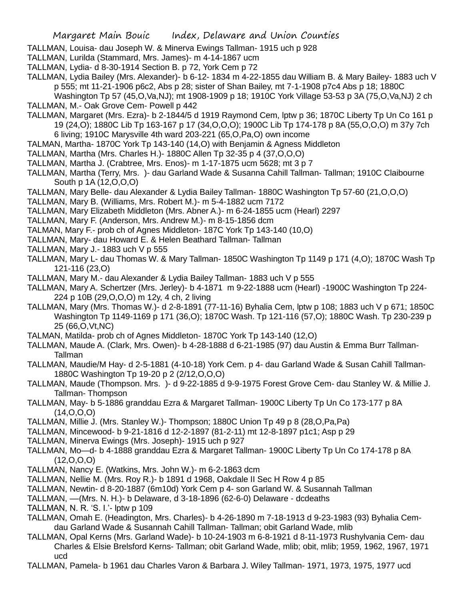- TALLMAN, Louisa- dau Joseph W. & Minerva Ewings Tallman- 1915 uch p 928
- TALLMAN, Lurilda (Stammard, Mrs. James)- m 4-14-1867 ucm
- TALLMAN, Lydia- d 8-30-1914 Section B. p 72, York Cem p 72
- TALLMAN, Lydia Bailey (Mrs. Alexander)- b 6-12- 1834 m 4-22-1855 dau William B. & Mary Bailey- 1883 uch V p 555; mt 11-21-1906 p6c2, Abs p 28; sister of Shan Bailey, mt 7-1-1908 p7c4 Abs p 18; 1880C Washington Tp 57 (45,O,Va,NJ); mt 1908-1909 p 18; 1910C York Village 53-53 p 3A (75,O,Va,NJ) 2 ch
- TALLMAN, M.- Oak Grove Cem- Powell p 442
- TALLMAN, Margaret (Mrs. Ezra)- b 2-1844/5 d 1919 Raymond Cem, lptw p 36; 1870C Liberty Tp Un Co 161 p 19 (24,O); 1880C Lib Tp 163-167 p 17 (34,O,O,O); 1900C Lib Tp 174-178 p 8A (55,O,O,O) m 37y 7ch 6 living; 1910C Marysville 4th ward 203-221 (65,O,Pa,O) own income
- TALMAN, Martha- 1870C York Tp 143-140 (14,O) with Benjamin & Agness Middleton
- TALLMAN, Martha (Mrs. Charles H.)- 1880C Allen Tp 32-35 p 4 (37,O,O,O)
- TALLMAN, Martha J. (Crabtree, Mrs. Enos)- m 1-17-1875 ucm 5628; mt 3 p 7
- TALLMAN, Martha (Terry, Mrs. )- dau Garland Wade & Susanna Cahill Tallman- Tallman; 1910C Claibourne South p 1A (12,O,O,O)
- TALLMAN, Mary Belle- dau Alexander & Lydia Bailey Tallman- 1880C Washington Tp 57-60 (21,O,O,O)
- TALLMAN, Mary B. (Williams, Mrs. Robert M.)- m 5-4-1882 ucm 7172
- TALLMAN, Mary Elizabeth Middleton (Mrs. Abner A.)- m 6-24-1855 ucm (Hearl) 2297
- TALLMAN, Mary F. (Anderson, Mrs. Andrew M.)- m 8-15-1856 dcm
- TALMAN, Mary F.- prob ch of Agnes Middleton- 187C York Tp 143-140 (10,O)
- TALLMAN, Mary- dau Howard E. & Helen Beathard Tallman- Tallman
- TALLMAN, Mary J.- 1883 uch V p 555
- TALLMAN, Mary L- dau Thomas W. & Mary Tallman- 1850C Washington Tp 1149 p 171 (4,O); 1870C Wash Tp 121-116 (23,O)
- TALLMAN, Mary M.- dau Alexander & Lydia Bailey Tallman- 1883 uch V p 555
- TALLMAN, Mary A. Schertzer (Mrs. Jerley)- b 4-1871 m 9-22-1888 ucm (Hearl) -1900C Washington Tp 224- 224 p 10B (29,O,O,O) m 12y, 4 ch, 2 living
- TALLMAN, Mary (Mrs. Thomas W.)- d 2-8-1891 (77-11-16) Byhalia Cem, lptw p 108; 1883 uch V p 671; 1850C Washington Tp 1149-1169 p 171 (36,O); 1870C Wash. Tp 121-116 (57,O); 1880C Wash. Tp 230-239 p 25 (66,O,Vt,NC)
- TALMAN, Matilda- prob ch of Agnes Middleton- 1870C York Tp 143-140 (12,O)
- TALLMAN, Maude A. (Clark, Mrs. Owen)- b 4-28-1888 d 6-21-1985 (97) dau Austin & Emma Burr Tallman-Tallman
- TALLMAN, Maudie/M Hay- d 2-5-1881 (4-10-18) York Cem. p 4- dau Garland Wade & Susan Cahill Tallman-1880C Washington Tp 19-20 p 2 (2/12,O,O,O)
- TALLMAN, Maude (Thompson. Mrs. )- d 9-22-1885 d 9-9-1975 Forest Grove Cem- dau Stanley W. & Millie J. Tallman- Thompson
- TALLMAN, May- b 5-1886 granddau Ezra & Margaret Tallman- 1900C Liberty Tp Un Co 173-177 p 8A  $(14, 0, 0, 0)$
- TALLMAN, Millie J. (Mrs. Stanley W.)- Thompson; 1880C Union Tp 49 p 8 (28,O,Pa,Pa)
- TALLMAN, Mincewood- b 9-21-1816 d 12-2-1897 (81-2-11) mt 12-8-1897 p1c1; Asp p 29
- TALLMAN, Minerva Ewings (Mrs. Joseph)- 1915 uch p 927
- TALLMAN, Mo—d- b 4-1888 granddau Ezra & Margaret Tallman- 1900C Liberty Tp Un Co 174-178 p 8A  $(12,0,0,0)$
- TALLMAN, Nancy E. (Watkins, Mrs. John W.)- m 6-2-1863 dcm
- TALLMAN, Nellie M. (Mrs. Roy R.)- b 1891 d 1968, Oakdale II Sec H Row 4 p 85
- TALLMAN, Newtin- d 8-20-1887 (6m10d) York Cem p 4- son Garland W. & Susannah Tallman
- TALLMAN, ––(Mrs. N. H.)- b Delaware, d 3-18-1896 (62-6-0) Delaware dcdeaths
- TALLMAN, N. R. 'S. I.'- lptw p 109
- TALLMAN, Omah E. (Headington, Mrs. Charles)- b 4-26-1890 m 7-18-1913 d 9-23-1983 (93) Byhalia Cemdau Garland Wade & Susannah Cahill Tallman- Tallman; obit Garland Wade, mlib
- TALLMAN, Opal Kerns (Mrs. Garland Wade)- b 10-24-1903 m 6-8-1921 d 8-11-1973 Rushylvania Cem- dau Charles & Elsie Brelsford Kerns- Tallman; obit Garland Wade, mlib; obit, mlib; 1959, 1962, 1967, 1971 ucd
- TALLMAN, Pamela- b 1961 dau Charles Varon & Barbara J. Wiley Tallman- 1971, 1973, 1975, 1977 ucd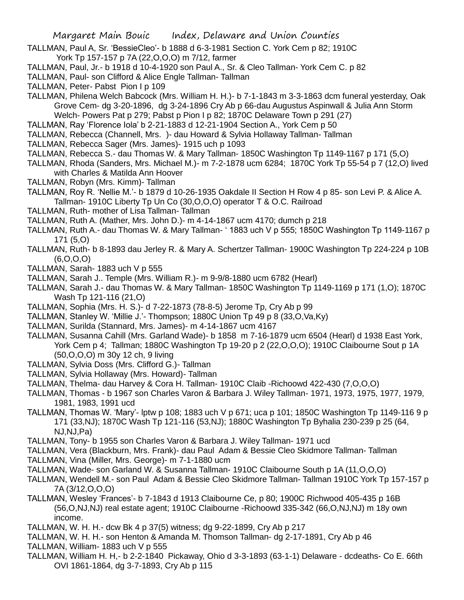- TALLMAN, Paul A, Sr. 'BessieCleo'- b 1888 d 6-3-1981 Section C. York Cem p 82; 1910C York Tp 157-157 p 7A (22,O,O,O) m 7/12, farmer
- TALLMAN, Paul, Jr.- b 1918 d 10-4-1920 son Paul A., Sr. & Cleo Tallman- York Cem C. p 82
- TALLMAN, Paul- son Clifford & Alice Engle Tallman- Tallman
- TALLMAN, Peter- Pabst Pion I p 109
- TALLMAN, Philena Welch Babcock (Mrs. William H. H.)- b 7-1-1843 m 3-3-1863 dcm funeral yesterday, Oak Grove Cem- dg 3-20-1896, dg 3-24-1896 Cry Ab p 66-dau Augustus Aspinwall & Julia Ann Storm Welch- Powers Pat p 279; Pabst p Pion I p 82; 1870C Delaware Town p 291 (27)
- TALLMAN, Ray 'Florence Iola' b 2-21-1883 d 12-21-1904 Section A., York Cem p 50
- TALLMAN, Rebecca (Channell, Mrs. )- dau Howard & Sylvia Hollaway Tallman- Tallman
- TALLMAN, Rebecca Sager (Mrs. James)- 1915 uch p 1093
- TALLMAN, Rebecca S.- dau Thomas W. & Mary Tallman- 1850C Washington Tp 1149-1167 p 171 (5,O)
- TALLMAN, Rhoda (Sanders, Mrs. Michael M.)- m 7-2-1878 ucm 6284; 1870C York Tp 55-54 p 7 (12,O) lived with Charles & Matilda Ann Hoover
- TALLMAN, Robyn (Mrs. Kimm)- Tallman
- TALLMAN, Roy R. 'Nellie M.'- b 1879 d 10-26-1935 Oakdale II Section H Row 4 p 85- son Levi P. & Alice A. Tallman- 1910C Liberty Tp Un Co (30,O,O,O) operator T & O.C. Railroad
- TALLMAN, Ruth- mother of Lisa Tallman- Tallman
- TALLMAN, Ruth A. (Mather, Mrs. John D.)- m 4-14-1867 ucm 4170; dumch p 218
- TALLMAN, Ruth A.- dau Thomas W. & Mary Tallman- ' 1883 uch V p 555; 1850C Washington Tp 1149-1167 p 171 (5,O)
- TALLMAN, Ruth- b 8-1893 dau Jerley R. & Mary A. Schertzer Tallman- 1900C Washington Tp 224-224 p 10B (6,O,O,O)
- TALLMAN, Sarah- 1883 uch V p 555
- TALLMAN, Sarah J.. Temple (Mrs. William R.)- m 9-9/8-1880 ucm 6782 (Hearl)
- TALLMAN, Sarah J.- dau Thomas W. & Mary Tallman- 1850C Washington Tp 1149-1169 p 171 (1,O); 1870C Wash Tp 121-116 (21,O)
- TALLMAN, Sophia (Mrs. H. S.)- d 7-22-1873 (78-8-5) Jerome Tp, Cry Ab p 99
- TALLMAN, Stanley W. 'Millie J.'- Thompson; 1880C Union Tp 49 p 8 (33,O,Va,Ky)
- TALLMAN, Surilda (Stannard, Mrs. James)- m 4-14-1867 ucm 4167
- TALLMAN, Susanna Cahill (Mrs. Garland Wade)- b 1858 m 7-16-1879 ucm 6504 (Hearl) d 1938 East York, York Cem p 4; Tallman; 1880C Washington Tp 19-20 p 2 (22, O, O, O); 1910C Claibourne Sout p 1A (50,O,O,O) m 30y 12 ch, 9 living
- TALLMAN, Sylvia Doss (Mrs. Clifford G.)- Tallman
- TALLMAN, Sylvia Hollaway (Mrs. Howard)- Tallman
- TALLMAN, Thelma- dau Harvey & Cora H. Tallman- 1910C Claib -Richoowd 422-430 (7,O,O,O)
- TALLMAN, Thomas b 1967 son Charles Varon & Barbara J. Wiley Tallman- 1971, 1973, 1975, 1977, 1979, 1981, 1983, 1991 ucd
- TALLMAN, Thomas W. 'Mary'- lptw p 108; 1883 uch V p 671; uca p 101; 1850C Washington Tp 1149-116 9 p 171 (33,NJ); 1870C Wash Tp 121-116 (53,NJ); 1880C Washington Tp Byhalia 230-239 p 25 (64, NJ,NJ,Pa)
- TALLMAN, Tony- b 1955 son Charles Varon & Barbara J. Wiley Tallman- 1971 ucd
- TALLMAN, Vera (Blackburn, Mrs. Frank)- dau Paul Adam & Bessie Cleo Skidmore Tallman- Tallman
- TALLMAN, Vina (Miller, Mrs. George)- m 7-1-1880 ucm
- TALLMAN, Wade- son Garland W. & Susanna Tallman- 1910C Claibourne South p 1A (11,O,O,O)
- TALLMAN, Wendell M.- son Paul Adam & Bessie Cleo Skidmore Tallman- Tallman 1910C York Tp 157-157 p 7A (3/12,O,O,O)
- TALLMAN, Wesley 'Frances'- b 7-1843 d 1913 Claibourne Ce, p 80; 1900C Richwood 405-435 p 16B (56,O,NJ,NJ) real estate agent; 1910C Claibourne -Richoowd 335-342 (66,O,NJ,NJ) m 18y own income.
- TALLMAN, W. H. H.- dcw Bk 4 p 37(5) witness; dg 9-22-1899, Cry Ab p 217
- TALLMAN, W. H. H.- son Henton & Amanda M. Thomson Tallman- dg 2-17-1891, Cry Ab p 46
- TALLMAN, William- 1883 uch V p 555
- TALLMAN, William H. H,- b 2-2-1840 Pickaway, Ohio d 3-3-1893 (63-1-1) Delaware dcdeaths- Co E. 66th OVI 1861-1864, dg 3-7-1893, Cry Ab p 115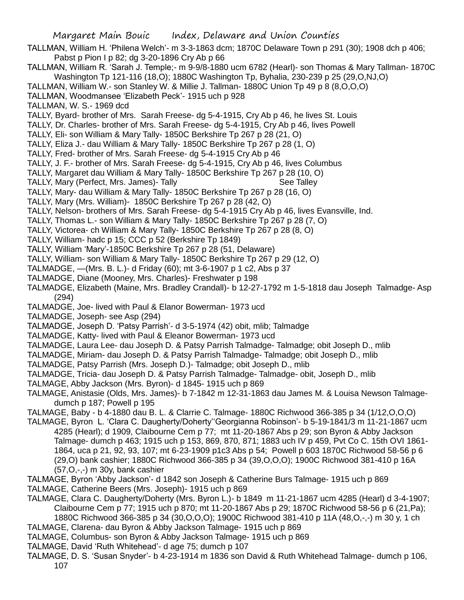Margaret Main Bouic Index, Delaware and Union Counties TALLMAN, William H. 'Philena Welch'- m 3-3-1863 dcm; 1870C Delaware Town p 291 (30); 1908 dch p 406; Pabst p Pion I p 82; dg 3-20-1896 Cry Ab p 66 TALLMAN, William R. 'Sarah J. Temple;- m 9-9/8-1880 ucm 6782 (Hearl)- son Thomas & Mary Tallman- 1870C Washington Tp 121-116 (18,O); 1880C Washington Tp, Byhalia, 230-239 p 25 (29,O,NJ,O) TALLMAN, William W.- son Stanley W. & Millie J. Tallman- 1880C Union Tp 49 p 8 (8,O,O,O) TALLMAN, Woodmansee 'Elizabeth Peck'- 1915 uch p 928 TALLMAN, W. S.- 1969 dcd TALLY, Byard- brother of Mrs. Sarah Freese- dg 5-4-1915, Cry Ab p 46, he lives St. Louis TALLY, Dr. Charles- brother of Mrs. Sarah Freese- dg 5-4-1915, Cry Ab p 46, lives Powell TALLY, Eli- son William & Mary Tally- 1850C Berkshire Tp 267 p 28 (21, O) TALLY, Eliza J.- dau William & Mary Tally- 1850C Berkshire Tp 267 p 28 (1, O) TALLY, Fred- brother of Mrs. Sarah Freese- dg 5-4-1915 Cry Ab p 46 TALLY, J. F.- brother of Mrs. Sarah Freese- dg 5-4-1915, Cry Ab p 46, lives Columbus TALLY, Margaret dau William & Mary Tally- 1850C Berkshire Tp 267 p 28 (10, O) TALLY, Mary (Perfect, Mrs. James)- Tally Manager See Talley TALLY, Mary- dau William & Mary Tally- 1850C Berkshire Tp 267 p 28 (16, O) TALLY, Mary (Mrs. William)- 1850C Berkshire Tp 267 p 28 (42, O) TALLY, Nelson- brothers of Mrs. Sarah Freese- dg 5-4-1915 Cry Ab p 46, lives Evansville, Ind. TALLY, Thomas L.- son William & Mary Tally- 1850C Berkshire Tp 267 p 28 (7, O) TALLY, Victorea- ch William & Mary Tally- 1850C Berkshire Tp 267 p 28 (8, O) TALLY, William- hadc p 15; CCC p 52 (Berkshire Tp 1849) TALLY, William 'Mary'-1850C Berkshire Tp 267 p 28 (51, Delaware) TALLY, William- son William & Mary Tally- 1850C Berkshire Tp 267 p 29 (12, O) TALMADGE, —(Mrs. B. L.)- d Friday (60); mt 3-6-1907 p 1 c2, Abs p 37 TALMADGE, Diane (Mooney, Mrs. Charles)- Freshwater p 198 TALMADGE, Elizabeth (Maine, Mrs. Bradley Crandall)- b 12-27-1792 m 1-5-1818 dau Joseph Talmadge- Asp (294) TALMADGE, Joe- lived with Paul & Elanor Bowerman- 1973 ucd TALMADGE, Joseph- see Asp (294) TALMADGE, Joseph D. 'Patsy Parrish'- d 3-5-1974 (42) obit, mlib; Talmadge TALMADGE, Katty- lived with Paul & Eleanor Bowerman- 1973 ucd TALMADGE, Laura Lee- dau Joseph D. & Patsy Parrish Talmadge- Talmadge; obit Joseph D., mlib TALMADGE, Miriam- dau Joseph D. & Patsy Parrish Talmadge- Talmadge; obit Joseph D., mlib TALMADGE, Patsy Parrish (Mrs. Joseph D.)- Talmadge; obit Joseph D., mlib TALMADGE, Tricia- dau Joseph D. & Patsy Parrish Talmadge- Talmadge- obit, Joseph D., mlib TALMAGE, Abby Jackson (Mrs. Byron)- d 1845- 1915 uch p 869 TALMAGE, Anistasie (Olds, Mrs. James)- b 7-1842 m 12-31-1863 dau James M. & Louisa Newson Talmagedumch p 187; Powell p 195 TALMAGE, Baby - b 4-1880 dau B. L. & Clarrie C. Talmage- 1880C Richwood 366-385 p 34 (1/12,O,O,O) TALMAGE, Byron L. 'Clara C. Daugherty/Doherty''Georgianna Robinson'- b 5-19-1841/3 m 11-21-1867 ucm 4285 (Hearl); d 1909, Claibourne Cem p 77; mt 11-20-1867 Abs p 29; son Byron & Abby Jackson Talmage- dumch p 463; 1915 uch p 153, 869, 870, 871; 1883 uch IV p 459, Pvt Co C. 15th OVI 1861-

- 1864, uca p 21, 92, 93, 107; mt 6-23-1909 p1c3 Abs p 54; Powell p 603 1870C Richwood 58-56 p 6 (29,O) bank cashier; 1880C Richwood 366-385 p 34 (39,O,O,O); 1900C Richwood 381-410 p 16A (57,O,-,-) m 30y, bank cashier
- TALMAGE, Byron 'Abby Jackson'- d 1842 son Joseph & Catherine Burs Talmage- 1915 uch p 869
- TALMAGE, Catherine Beers (Mrs. Joseph)- 1915 uch p 869
- TALMAGE, Clara C. Daugherty/Doherty (Mrs. Byron L.)- b 1849 m 11-21-1867 ucm 4285 (Hearl) d 3-4-1907; Claibourne Cem p 77; 1915 uch p 870; mt 11-20-1867 Abs p 29; 1870C Richwood 58-56 p 6 (21,Pa); 1880C Richwood 366-385 p 34 (30,O,O,O); 1900C Richwood 381-410 p 11A (48,O,-,-) m 30 y, 1 ch
- TALMAGE, Clarena- dau Byron & Abby Jackson Talmage- 1915 uch p 869
- TALMAGE, Columbus- son Byron & Abby Jackson Talmage- 1915 uch p 869
- TALMAGE, David 'Ruth Whitehead'- d age 75; dumch p 107
- TALMAGE, D. S. 'Susan Snyder'- b 4-23-1914 m 1836 son David & Ruth Whitehead Talmage- dumch p 106, 107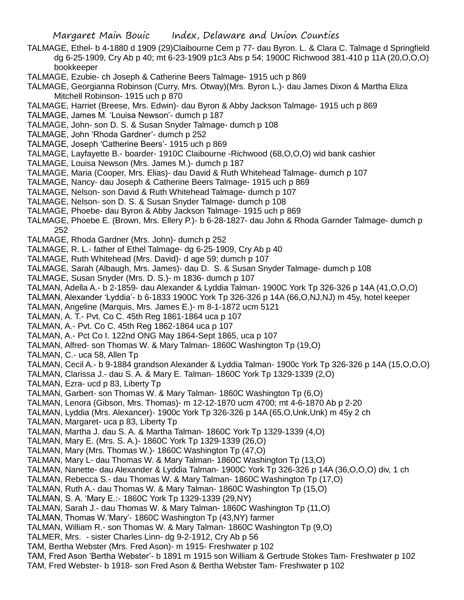TALMAGE, Ethel- b 4-1880 d 1909 (29)Claibourne Cem p 77- dau Byron. L. & Clara C. Talmage d Springfield dg 6-25-1909, Cry Ab p 40; mt 6-23-1909 p1c3 Abs p 54; 1900C Richwood 381-410 p 11A (20,O,O,O) bookkeeper

TALMAGE, Ezubie- ch Joseph & Catherine Beers Talmage- 1915 uch p 869

- TALMAGE, Georgianna Robinson (Curry, Mrs. Otway)(Mrs. Byron L.)- dau James Dixon & Martha Eliza Mitchell Robinson- 1915 uch p 870
- TALMAGE, Harriet (Breese, Mrs. Edwin)- dau Byron & Abby Jackson Talmage- 1915 uch p 869
- TALMAGE, James M. 'Louisa Newson'- dumch p 187
- TALMAGE, John- son D. S. & Susan Snyder Talmage- dumch p 108
- TALMAGE, John 'Rhoda Gardner'- dumch p 252
- TALMAGE, Joseph 'Catherine Beers'- 1915 uch p 869
- TALMAGE, Layfayette B.- boarder- 1910C Claibourne -Richwood (68,O,O,O) wid bank cashier
- TALMAGE, Louisa Newson (Mrs. James M.)- dumch p 187
- TALMAGE, Maria (Cooper, Mrs. Elias)- dau David & Ruth Whitehead Talmage- dumch p 107
- TALMAGE, Nancy- dau Joseph & Catherine Beers Talmage- 1915 uch p 869
- TALMAGE, Nelson- son David & Ruth Whitehead Talmage- dumch p 107
- TALMAGE, Nelson- son D. S. & Susan Snyder Talmage- dumch p 108
- TALMAGE, Phoebe- dau Byron & Abby Jackson Talmage- 1915 uch p 869
- TALMAGE, Phoebe E. (Brown, Mrs. Ellery P.)- b 6-28-1827- dau John & Rhoda Garnder Talmage- dumch p 252
- TALMAGE, Rhoda Gardner (Mrs. John)- dumch p 252
- TALMAGE, R. L.- father of Ethel Talmage- dg 6-25-1909, Cry Ab p 40
- TALMAGE, Ruth Whitehead (Mrs. David)- d age 59; dumch p 107
- TALMAGE, Sarah (Albaugh, Mrs. James)- dau D. S. & Susan Snyder Talmage- dumch p 108
- TALMAGE, Susan Snyder (Mrs. D. S.)- m 1836- dumch p 107
- TALMAN, Adella A.- b 2-1859- dau Alexander & Lyddia Talman- 1900C York Tp 326-326 p 14A (41,O,O,O)
- TALMAN, Alexander 'Lyddia'- b 6-1833 1900C York Tp 326-326 p 14A (66,O,NJ,NJ) m 45y, hotel keeper
- TALMAN, Angeline (Marquis, Mrs. James E.)- m 8-1-1872 ucm 5121
- TALMAN, A. T.- Pvt. Co C. 45th Reg 1861-1864 uca p 107
- TALMAN, A.- Pvt. Co C. 45th Reg 1862-1864 uca p 107
- TALMAN, A.- Pct Co I. 122nd ONG May 1864-Sept 1865, uca p 107
- TALMAN, Alfred- son Thomas W. & Mary Talman- 1860C Washington Tp (19,O)
- TALMAN, C.- uca 58, Allen Tp
- TALMAN, Cecil A.- b 9-1884 grandson Alexander & Lyddia Talman- 1900c York Tp 326-326 p 14A (15,O,O,O)
- TALMAN, Clarissa J.- dau S. A. & Mary E. Talman- 1860C York Tp 1329-1339 (2,O)
- TALMAN, Ezra- ucd p 83, Liberty Tp
- TALMAN, Garbert- son Thomas W. & Mary Talman- 1860C Washington Tp (6,O)
- TALMAN, Lenora (Gibson, Mrs. Thomas)- m 12-12-1870 ucm 4700; mt 4-6-1870 Ab p 2-20
- TALMAN, Lyddia (Mrs. Alexancer)- 1900c York Tp 326-326 p 14A (65,O,Unk,Unk) m 45y 2 ch
- TALMAN, Margaret- uca p 83, Liberty Tp
- TALMAN, Martha J. dau S. A. & Martha Talman- 1860C York Tp 1329-1339 (4,O)
- TALMAN, Mary E. (Mrs. S. A.)- 1860C York Tp 1329-1339 (26,O)
- TALMAN, Mary (Mrs. Thomas W.)- 1860C Washington Tp (47,O)
- TALMAN, Mary L- dau Thomas W. & Mary Talman- 1860C Washington Tp (13,O)
- TALMAN, Nanette- dau Alexander & Lyddia Talman- 1900C York Tp 326-326 p 14A (36,O,O,O) div, 1 ch
- TALMAN, Rebecca S.- dau Thomas W. & Mary Talman- 1860C Washington Tp (17,O)
- TALMAN, Ruth A.- dau Thomas W. & Mary Talman- 1860C Washington Tp (15,O)
- TALMAN, S. A. 'Mary E.:- 1860C York Tp 1329-1339 (29,NY)
- TALMAN, Sarah J.- dau Thomas W. & Mary Talman- 1860C Washington Tp (11,O)
- TALMAN, Thomas W.'Mary'- 1860C Washington Tp (43,NY) farmer
- TALMAN, William R.- son Thomas W. & Mary Talman- 1860C Washington Tp (9,O)
- TALMER, Mrs. sister Charles Linn- dg 9-2-1912, Cry Ab p 56
- TAM, Bertha Webster (Mrs. Fred Ason)- m 1915- Freshwater p 102
- TAM, Fred Ason 'Bertha Webster'- b 1891 m 1915 son William & Gertrude Stokes Tam- Freshwater p 102
- TAM, Fred Webster- b 1918- son Fred Ason & Bertha Webster Tam- Freshwater p 102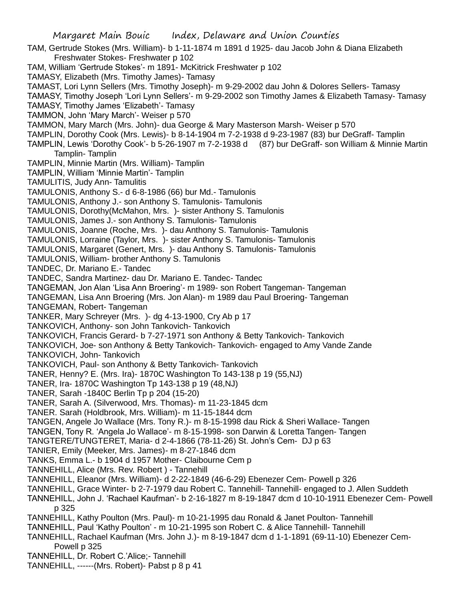TAM, Gertrude Stokes (Mrs. William)- b 1-11-1874 m 1891 d 1925- dau Jacob John & Diana Elizabeth Freshwater Stokes- Freshwater p 102

TAM, William 'Gertrude Stokes'- m 1891- McKitrick Freshwater p 102

TAMASY, Elizabeth (Mrs. Timothy James)- Tamasy

TAMAST, Lori Lynn Sellers (Mrs. Timothy Joseph)- m 9-29-2002 dau John & Dolores Sellers- Tamasy

TAMASY, Timothy Joseph 'Lori Lynn Sellers'- m 9-29-2002 son Timothy James & Elizabeth Tamasy- Tamasy

TAMASY, Timothy James 'Elizabeth'- Tamasy

TAMMON, John 'Mary March'- Weiser p 570

TAMMON, Mary March (Mrs. John)- dua George & Mary Masterson Marsh- Weiser p 570

TAMPLIN, Dorothy Cook (Mrs. Lewis)- b 8-14-1904 m 7-2-1938 d 9-23-1987 (83) bur DeGraff- Tamplin

TAMPLIN, Lewis 'Dorothy Cook'- b 5-26-1907 m 7-2-1938 d (87) bur DeGraff- son William & Minnie Martin Tamplin- Tamplin

TAMPLIN, Minnie Martin (Mrs. William)- Tamplin

TAMPLIN, William 'Minnie Martin'- Tamplin

TAMULITIS, Judy Ann- Tamulitis

TAMULONIS, Anthony S.- d 6-8-1986 (66) bur Md.- Tamulonis

TAMULONIS, Anthony J.- son Anthony S. Tamulonis- Tamulonis

TAMULONIS, Dorothy(McMahon, Mrs. )- sister Anthony S. Tamulonis

TAMULONIS, James J.- son Anthony S. Tamulonis- Tamulonis

TAMULONIS, Joanne (Roche, Mrs. )- dau Anthony S. Tamulonis- Tamulonis

TAMULONIS, Lorraine (Taylor, Mrs. )- sister Anthony S. Tamulonis- Tamulonis

TAMULONIS, Margaret (Genert, Mrs. )- dau Anthony S. Tamulonis- Tamulonis

TAMULONIS, William- brother Anthony S. Tamulonis

TANDEC, Dr. Mariano E.- Tandec

TANDEC, Sandra Martinez- dau Dr. Mariano E. Tandec- Tandec

TANGEMAN, Jon Alan 'Lisa Ann Broering'- m 1989- son Robert Tangeman- Tangeman

TANGEMAN, Lisa Ann Broering (Mrs. Jon Alan)- m 1989 dau Paul Broering- Tangeman

TANGEMAN, Robert- Tangeman

TANKER, Mary Schreyer (Mrs. )- dg 4-13-1900, Cry Ab p 17

TANKOVICH, Anthony- son John Tankovich- Tankovich

TANKOVICH, Francis Gerard- b 7-27-1971 son Anthony & Betty Tankovich- Tankovich

TANKOVICH, Joe- son Anthony & Betty Tankovich- Tankovich- engaged to Amy Vande Zande TANKOVICH, John- Tankovich

TANKOVICH, Paul- son Anthony & Betty Tankovich- Tankovich

TANER, Henny? E. (Mrs. Ira)- 1870C Washington To 143-138 p 19 (55,NJ)

TANER, Ira- 1870C Washington Tp 143-138 p 19 (48,NJ)

TANER, Sarah -1840C Berlin Tp p 204 (15-20)

TANER, Sarah A. (Silverwood, Mrs. Thomas)- m 11-23-1845 dcm

TANER. Sarah (Holdbrook, Mrs. William)- m 11-15-1844 dcm

TANGEN, Angele Jo Wallace (Mrs. Tony R.)- m 8-15-1998 dau Rick & Sheri Wallace- Tangen

TANGEN, Tony R. 'Angela Jo Wallace'- m 8-15-1998- son Darwin & Loretta Tangen- Tangen

TANGTERE/TUNGTERET, Maria- d 2-4-1866 (78-11-26) St. John's Cem- DJ p 63

TANIER, Emily (Meeker, Mrs. James)- m 8-27-1846 dcm

TANKS, Emma L.- b 1904 d 1957 Mother- Claibourne Cem p

TANNEHILL, Alice (Mrs. Rev. Robert ) - Tannehill

TANNEHILL, Eleanor (Mrs. William)- d 2-22-1849 (46-6-29) Ebenezer Cem- Powell p 326

TANNEHILL, Grace Winter- b 2-7-1979 dau Robert C. Tannehill- Tannehill- engaged to J. Allen Suddeth

TANNEHILL, John J. 'Rachael Kaufman'- b 2-16-1827 m 8-19-1847 dcm d 10-10-1911 Ebenezer Cem- Powell p 325

TANNEHILL, Kathy Poulton (Mrs. Paul)- m 10-21-1995 dau Ronald & Janet Poulton- Tannehill

TANNEHILL, Paul 'Kathy Poulton' - m 10-21-1995 son Robert C. & Alice Tannehill- Tannehill

- TANNEHILL, Rachael Kaufman (Mrs. John J.)- m 8-19-1847 dcm d 1-1-1891 (69-11-10) Ebenezer Cem-Powell p 325
- TANNEHILL, Dr. Robert C.'Alice;- Tannehill

TANNEHILL, ------(Mrs. Robert)- Pabst p 8 p 41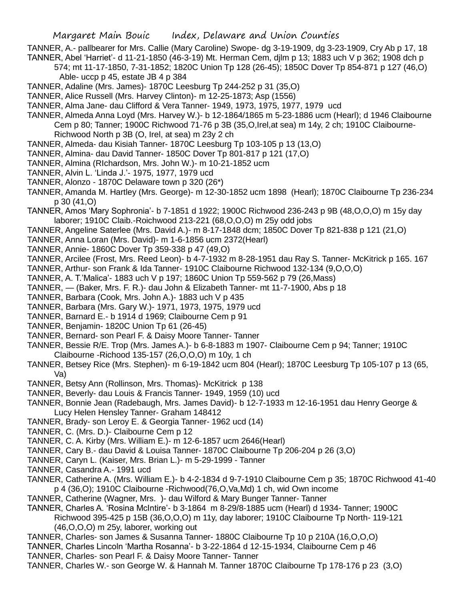TANNER, A.- pallbearer for Mrs. Callie (Mary Caroline) Swope- dg 3-19-1909, dg 3-23-1909, Cry Ab p 17, 18 TANNER, Abel 'Harriet'- d 11-21-1850 (46-3-19) Mt. Herman Cem, djlm p 13; 1883 uch V p 362; 1908 dch p

574; mt 11-17-1850, 7-31-1852; 1820C Union Tp 128 (26-45); 1850C Dover Tp 854-871 p 127 (46,O) Able- uccp p 45, estate JB 4 p 384

- TANNER, Adaline (Mrs. James)- 1870C Leesburg Tp 244-252 p 31 (35,O)
- TANNER, Alice Russell (Mrs. Harvey Clinton)- m 12-25-1873; Asp (1556)
- TANNER, Alma Jane- dau Clifford & Vera Tanner- 1949, 1973, 1975, 1977, 1979 ucd
- TANNER, Almeda Anna Loyd (Mrs. Harvey W.)- b 12-1864/1865 m 5-23-1886 ucm (Hearl); d 1946 Claibourne Cem p 80; Tanner; 1900C Richwood 71-76 p 3B (35,O,Irel,at sea) m 14y, 2 ch; 1910C Claibourne-Richwood North p 3B (O, Irel, at sea) m 23y 2 ch
- TANNER, Almeda- dau Kisiah Tanner- 1870C Leesburg Tp 103-105 p 13 (13,O)
- TANNER, Almina- dau David Tanner- 1850C Dover Tp 801-817 p 121 (17,O)
- TANNER, Almina (RIchardson, Mrs. John W.)- m 10-21-1852 ucm
- TANNER, Alvin L. 'Linda J.'- 1975, 1977, 1979 ucd
- TANNER, Alonzo 1870C Delaware town p 320 (26\*)
- TANNER, Amanda M. Hartley (Mrs. George)- m 12-30-1852 ucm 1898 (Hearl); 1870C Claibourne Tp 236-234 p 30 (41,O)
- TANNER, Amos 'Mary Sophronia'- b 7-1851 d 1922; 1900C Richwood 236-243 p 9B (48,O,O,O) m 15y day laborer; 1910C Claib.-Roichwood 213-221 (68,O,O,O) m 25y odd jobs

TANNER, Angeline Saterlee (Mrs. David A.)- m 8-17-1848 dcm; 1850C Dover Tp 821-838 p 121 (21,O)

- TANNER, Anna Loran (Mrs. David)- m 1-6-1856 ucm 2372(Hearl)
- TANNER, Annie- 1860C Dover Tp 359-338 p 47 (49,O)
- TANNER, Arcilee (Frost, Mrs. Reed Leon)- b 4-7-1932 m 8-28-1951 dau Ray S. Tanner- McKitrick p 165. 167
- TANNER, Arthur- son Frank & Ida Tanner- 1910C Claibourne Richwood 132-134 (9,O,O,O)
- TANNER, A. T.'Malica'- 1883 uch V p 197; 1860C Union Tp 559-562 p 79 (26,Mass)
- TANNER, (Baker, Mrs. F. R.)- dau John & Elizabeth Tanner- mt 11-7-1900, Abs p 18
- TANNER, Barbara (Cook, Mrs. John A.)- 1883 uch V p 435
- TANNER, Barbara (Mrs. Gary W.)- 1971, 1973, 1975, 1979 ucd
- TANNER, Barnard E.- b 1914 d 1969; Claibourne Cem p 91
- TANNER, Benjamin- 1820C Union Tp 61 (26-45)
- TANNER, Bernard- son Pearl F. & Daisy Moore Tanner- Tanner
- TANNER, Bessie R/E. Trop (Mrs. James A.)- b 6-8-1883 m 1907- Claibourne Cem p 94; Tanner; 1910C Claibourne -Richood 135-157 (26,O,O,O) m 10y, 1 ch
- TANNER, Betsey Rice (Mrs. Stephen)- m 6-19-1842 ucm 804 (Hearl); 1870C Leesburg Tp 105-107 p 13 (65, Va)
- TANNER, Betsy Ann (Rollinson, Mrs. Thomas)- McKitrick p 138
- TANNER, Beverly- dau Louis & Francis Tanner- 1949, 1959 (10) ucd
- TANNER, Bonnie Jean (Radebaugh, Mrs. James David)- b 12-7-1933 m 12-16-1951 dau Henry George & Lucy Helen Hensley Tanner- Graham 148412
- TANNER, Brady- son Leroy E. & Georgia Tanner- 1962 ucd (14)
- TANNER, C. (Mrs. D.)- Claibourne Cem p 12
- TANNER, C. A. Kirby (Mrs. William E.)- m 12-6-1857 ucm 2646(Hearl)
- TANNER, Cary B.- dau David & Louisa Tanner- 1870C Claibourne Tp 206-204 p 26 (3,O)
- TANNER, Caryn L. (Kaiser, Mrs. Brian L.)- m 5-29-1999 Tanner
- TANNER, Casandra A.- 1991 ucd
- TANNER, Catherine A. (Mrs. William E.)- b 4-2-1834 d 9-7-1910 Claibourne Cem p 35; 1870C Richwood 41-40 p 4 (36,O); 1910C Claibourne -Richwood(76,O,Va,Md) 1 ch, wid Own income
- TANNER, Catherine (Wagner, Mrs. )- dau Wilford & Mary Bunger Tanner- Tanner
- TANNER, Charles A. 'Rosina McIntire'- b 3-1864 m 8-29/8-1885 ucm (Hearl) d 1934- Tanner; 1900C Richwood 395-425 p 15B (36,O,O,O) m 11y, day laborer; 1910C Claibourne Tp North- 119-121
	- (46,O,O,O) m 25y, laborer, working out
- TANNER, Charles- son James & Susanna Tanner- 1880C Claibourne Tp 10 p 210A (16,O,O,O)
- TANNER, Charles Lincoln 'Martha Rosanna'- b 3-22-1864 d 12-15-1934, Claibourne Cem p 46
- TANNER, Charles- son Pearl F. & Daisy Moore Tanner- Tanner
- TANNER, Charles W.- son George W. & Hannah M. Tanner 1870C Claibourne Tp 178-176 p 23 (3,O)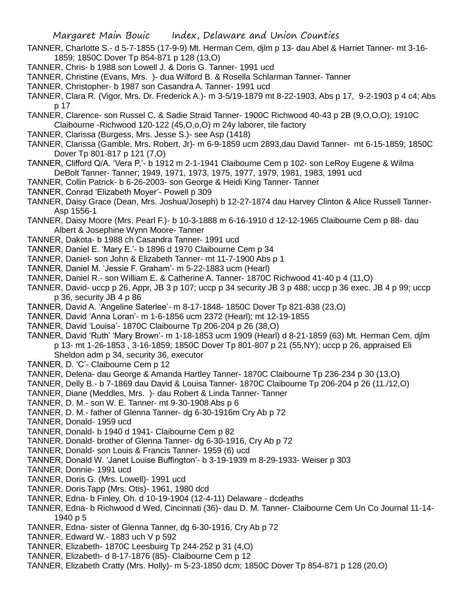- TANNER, Charlotte S.- d 5-7-1855 (17-9-9) Mt. Herman Cem, djlm p 13- dau Abel & Harriet Tanner- mt 3-16- 1859; 1850C Dover Tp 854-871 p 128 (13,O)
- TANNER, Chris- b 1988 son Lowell J. & Doris G. Tanner- 1991 ucd
- TANNER, Christine (Evans, Mrs. )- dua Wilford B. & Rosella Schlarman Tanner- Tanner
- TANNER, Christopher- b 1987 son Casandra A. Tanner- 1991 ucd
- TANNER, Clara R. (Vigor, Mrs. Dr. Frederick A.)- m 3-5/19-1879 mt 8-22-1903, Abs p 17, 9-2-1903 p 4 c4; Abs p 17
- TANNER, Clarence- son Russel C. & Sadie Straid Tanner- 1900C Richwood 40-43 p 2B (9,O,O,O); 1910C Claibourne -Richwood 120-122 (45,O,o,O) m 24y laborer, tile factory
- TANNER, Clarissa (Burgess, Mrs. Jesse S.)- see Asp (1418)
- TANNER, Clarissa (Gamble, Mrs. Robert, Jr)- m 6-9-1859 ucm 2893,dau David Tanner- mt 6-15-1859; 1850C Dover Tp 801-817 p 121 (7,O)
- TANNER, Clifford Q/A. 'Vera P,'- b 1912 m 2-1-1941 Claibourne Cem p 102- son LeRoy Eugene & Wilma DeBolt Tanner- Tanner; 1949, 1971, 1973, 1975, 1977, 1979, 1981, 1983, 1991 ucd
- TANNER, Collin Patrick- b 6-26-2003- son George & Heidi King Tanner- Tanner
- TANNER, Conrad 'Elizabeth Moyer'- Powell p 309
- TANNER, Daisy Grace (Dean, Mrs. Joshua/Joseph) b 12-27-1874 dau Harvey Clinton & Alice Russell Tanner-Asp 1556-1
- TANNER, Daisy Moore (Mrs. Pearl F.)- b 10-3-1888 m 6-16-1910 d 12-12-1965 Claibourne Cem p 88- dau Albert & Josephine Wynn Moore- Tanner
- TANNER, Dakota- b 1988 ch Casandra Tanner- 1991 ucd
- TANNER, Daniel E. 'Mary E.'- b 1896 d 1970 Claibourne Cem p 34
- TANNER, Daniel- son John & Elizabeth Tanner- mt 11-7-1900 Abs p 1
- TANNER, Daniel M. 'Jessie F. Graham'- m 5-22-1883 ucm (Hearl)
- TANNER, Daniel R.- son William E. & Catherine A. Tanner- 1870C Richwood 41-40 p 4 (11,O)
- TANNER, David- uccp p 26, Appr, JB 3 p 107; uccp p 34 security JB 3 p 488; uccp p 36 exec. JB 4 p 99; uccp p 36, security JB 4 p 86
- TANNER, David A. 'Angeline Saterlee'- m 8-17-1848- 1850C Dover Tp 821-838 (23,O)
- TANNER, David 'Anna Loran'- m 1-6-1856 ucm 2372 (Hearl); mt 12-19-1855
- TANNER, David 'Louisa'- 1870C Claibourne Tp 206-204 p 26 (38,O)
- TANNER, David 'Ruth' 'Mary Brown'- m 1-18-1853 ucm 1909 (Hearl) d 8-21-1859 (63) Mt. Herman Cem, djlm p 13- mt 1-26-1853 , 3-16-1859; 1850C Dover Tp 801-807 p 21 (55,NY); uccp p 26, appraised Eli Sheldon adm p 34, security 36, executor
- TANNER, D. 'C'- Claibourne Cem p 12
- TANNER, Delena- dau George & Amanda Hartley Tanner- 1870C Claibourne Tp 236-234 p 30 (13,O)
- TANNER, Delly B.- b 7-1869 dau David & Louisa Tanner- 1870C Claibourne Tp 206-204 p 26 (11./12,O)
- TANNER, Diane (Meddles, Mrs. )- dau Robert & Linda Tanner- Tanner
- TANNER, D. M.- son W. E. Tanner- mt 9-30-1908 Abs p 6
- TANNER, D. M.- father of Glenna Tanner- dg 6-30-1916m Cry Ab p 72
- TANNER, Donald- 1959 ucd
- TANNER, Donald- b 1940 d 1941- Claibourne Cem p 82
- TANNER, Donald- brother of Glenna Tanner- dg 6-30-1916, Cry Ab p 72
- TANNER, Donald- son Louis & Francis Tanner- 1959 (6) ucd
- TANNER, Donald W. 'Janet Louise Buffington'- b 3-19-1939 m 8-29-1933- Weiser p 303
- TANNER, Donnie- 1991 ucd
- TANNER, Doris G. (Mrs. Lowell)- 1991 ucd
- TANNER, Doris Tapp (Mrs. Otis)- 1961, 1980 dcd
- TANNER, Edna- b Finley, Oh. d 10-19-1904 (12-4-11) Delaware dcdeaths
- TANNER, Edna- b Richwood d Wed, Cincinnati (36)- dau D. M. Tanner- Claibourne Cem Un Co Journal 11-14- 1940 p 5
- TANNER, Edna- sister of Glenna Tanner, dg 6-30-1916, Cry Ab p 72
- TANNER, Edward W.- 1883 uch V p 592
- TANNER, Elizabeth- 1870C Leesbuirg Tp 244-252 p 31 (4,O)
- TANNER, Elizabeth- d 8-17-1876 (85)- Claibourne Cem p 12
- TANNER, Elizabeth Cratty (Mrs. Holly)- m 5-23-1850 dcm; 1850C Dover Tp 854-871 p 128 (20,O)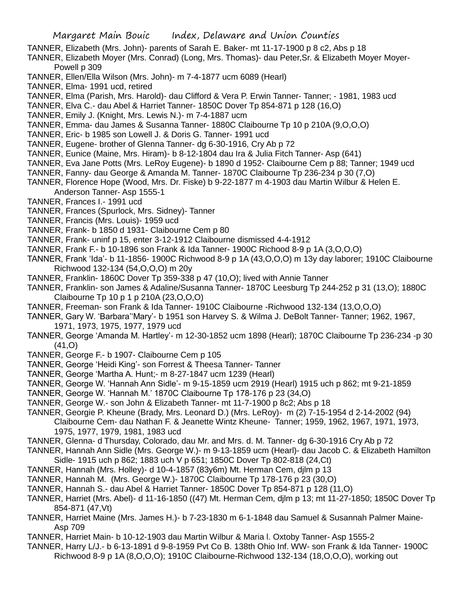- TANNER, Elizabeth (Mrs. John)- parents of Sarah E. Baker- mt 11-17-1900 p 8 c2, Abs p 18
- TANNER, Elizabeth Moyer (Mrs. Conrad) (Long, Mrs. Thomas)- dau Peter,Sr. & Elizabeth Moyer Moyer-Powell p 309
- TANNER, Ellen/Ella Wilson (Mrs. John)- m 7-4-1877 ucm 6089 (Hearl)
- TANNER, Elma- 1991 ucd, retired
- TANNER, Elma (Parish, Mrs. Harold)- dau Clifford & Vera P. Erwin Tanner- Tanner; 1981, 1983 ucd
- TANNER, Elva C.- dau Abel & Harriet Tanner- 1850C Dover Tp 854-871 p 128 (16,O)
- TANNER, Emily J. (Knight, Mrs. Lewis N.)- m 7-4-1887 ucm
- TANNER, Emma- dau James & Susanna Tanner- 1880C Claibourne Tp 10 p 210A (9,O,O,O)
- TANNER, Eric- b 1985 son Lowell J. & Doris G. Tanner- 1991 ucd
- TANNER, Eugene- brother of Glenna Tanner- dg 6-30-1916, Cry Ab p 72
- TANNER, Eunice (Maine, Mrs. Hiram)- b 8-12-1804 dau Ira & Julia Fitch Tanner- Asp (641)
- TANNER, Eva Jane Potts (Mrs. LeRoy Eugene)- b 1890 d 1952- Claibourne Cem p 88; Tanner; 1949 ucd
- TANNER, Fanny- dau George & Amanda M. Tanner- 1870C Claibourne Tp 236-234 p 30 (7,O)
- TANNER, Florence Hope (Wood, Mrs. Dr. Fiske) b 9-22-1877 m 4-1903 dau Martin Wilbur & Helen E. Anderson Tanner- Asp 1555-1
- TANNER, Frances I.- 1991 ucd
- TANNER, Frances (Spurlock, Mrs. Sidney)- Tanner
- TANNER, Francis (Mrs. Louis)- 1959 ucd
- TANNER, Frank- b 1850 d 1931- Claibourne Cem p 80
- TANNER, Frank- uninf p 15, enter 3-12-1912 Claibourne dismissed 4-4-1912
- TANNER, Frank F.- b 10-1896 son Frank & Ida Tanner- 1900C Richood 8-9 p 1A (3,O,O,O)
- TANNER, Frank 'Ida'- b 11-1856- 1900C Richwood 8-9 p 1A (43,O,O,O) m 13y day laborer; 1910C Claibourne Richwood 132-134 (54,O,O,O) m 20y
- TANNER, Franklin- 1860C Dover Tp 359-338 p 47 (10,O); lived with Annie Tanner
- TANNER, Franklin- son James & Adaline/Susanna Tanner- 1870C Leesburg Tp 244-252 p 31 (13,O); 1880C Claibourne Tp 10 p 1 p 210A (23,O,O,O)
- TANNER, Freeman- son Frank & Ida Tanner- 1910C Claibourne -Richwood 132-134 (13,O,O,O)
- TANNER, Gary W. 'Barbara''Mary'- b 1951 son Harvey S. & Wilma J. DeBolt Tanner- Tanner; 1962, 1967, 1971, 1973, 1975, 1977, 1979 ucd
- TANNER, George 'Amanda M. Hartley'- m 12-30-1852 ucm 1898 (Hearl); 1870C Claibourne Tp 236-234 -p 30 (41,O)
- TANNER, George F.- b 1907- Claibourne Cem p 105
- TANNER, George 'Heidi King'- son Forrest & Theesa Tanner- Tanner
- TANNER, George 'Martha A. Hunt;- m 8-27-1847 ucm 1239 (Hearl)
- TANNER, George W. 'Hannah Ann Sidle'- m 9-15-1859 ucm 2919 (Hearl) 1915 uch p 862; mt 9-21-1859
- TANNER, George W. 'Hannah M.' 1870C Claibourne Tp 178-176 p 23 (34,O)
- TANNER, George W.- son John & Elizabeth Tanner- mt 11-7-1900 p 8c2; Abs p 18
- TANNER, Georgie P. Kheune (Brady, Mrs. Leonard D.) (Mrs. LeRoy)- m (2) 7-15-1954 d 2-14-2002 (94)
	- Claibourne Cem- dau Nathan F. & Jeanette Wintz Kheune- Tanner; 1959, 1962, 1967, 1971, 1973, 1975, 1977, 1979, 1981, 1983 ucd
- TANNER, Glenna- d Thursday, Colorado, dau Mr. and Mrs. d. M. Tanner- dg 6-30-1916 Cry Ab p 72
- TANNER, Hannah Ann Sidle (Mrs. George W.)- m 9-13-1859 ucm (Hearl)- dau Jacob C. & Elizabeth Hamilton Sidle- 1915 uch p 862; 1883 uch V p 651; 1850C Dover Tp 802-818 (24,Ct)
- TANNER, Hannah (Mrs. Holley)- d 10-4-1857 (83y6m) Mt. Herman Cem, djlm p 13
- TANNER, Hannah M. (Mrs. George W.)- 1870C Claibourne Tp 178-176 p 23 (30,O)
- TANNER, Hannah S.- dau Abel & Harriet Tanner- 1850C Dover Tp 854-871 p 128 (11,O)
- TANNER, Harriet (Mrs. Abel)- d 11-16-1850 ((47) Mt. Herman Cem, djlm p 13; mt 11-27-1850; 1850C Dover Tp 854-871 (47,Vt)
- TANNER, Harriet Maine (Mrs. James H.)- b 7-23-1830 m 6-1-1848 dau Samuel & Susannah Palmer Maine-Asp 709
- TANNER, Harriet Main- b 10-12-1903 dau Martin Wilbur & Maria l. Oxtoby Tanner- Asp 1555-2
- TANNER, Harry L/J.- b 6-13-1891 d 9-8-1959 Pvt Co B. 138th Ohio Inf. WW- son Frank & Ida Tanner- 1900C Richwood 8-9 p 1A (8,O,O,O); 1910C Claibourne-Richwood 132-134 (18,O,O,O), working out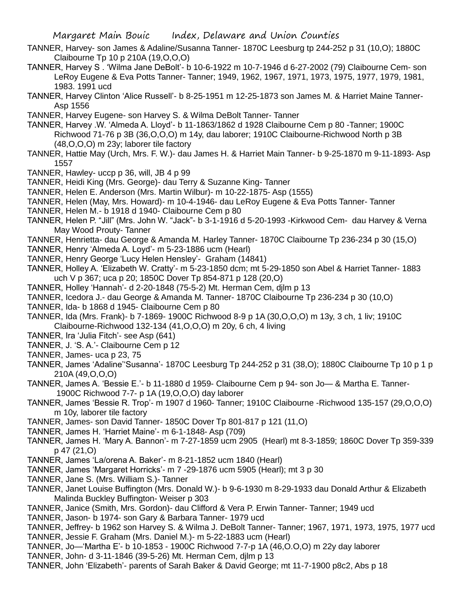- TANNER, Harvey- son James & Adaline/Susanna Tanner- 1870C Leesburg tp 244-252 p 31 (10,O); 1880C Claibourne Tp 10 p 210A (19,O,O,O)
- TANNER, Harvey S . 'Wilma Jane DeBolt'- b 10-6-1922 m 10-7-1946 d 6-27-2002 (79) Claibourne Cem- son LeRoy Eugene & Eva Potts Tanner- Tanner; 1949, 1962, 1967, 1971, 1973, 1975, 1977, 1979, 1981, 1983. 1991 ucd
- TANNER, Harvey Clinton 'Alice Russell'- b 8-25-1951 m 12-25-1873 son James M. & Harriet Maine Tanner-Asp 1556
- TANNER, Harvey Eugene- son Harvey S. & Wilma DeBolt Tanner- Tanner
- TANNER, Harvey .W. 'Almeda A. Lloyd'- b 11-1863/1862 d 1928 Claibourne Cem p 80 -Tanner; 1900C Richwood 71-76 p 3B (36,O,O,O) m 14y, dau laborer; 1910C Claibourne-Richwood North p 3B (48,O,O,O) m 23y; laborer tile factory
- TANNER, Hattie May (Urch, Mrs. F. W.)- dau James H. & Harriet Main Tanner- b 9-25-1870 m 9-11-1893- Asp 1557
- TANNER, Hawley- uccp p 36, will, JB 4 p 99
- TANNER, Heidi King (Mrs. George)- dau Terry & Suzanne King- Tanner
- TANNER, Helen E. Anderson (Mrs. Martin Wilbur)- m 10-22-1875- Asp (1555)
- TANNER, Helen (May, Mrs. Howard)- m 10-4-1946- dau LeRoy Eugene & Eva Potts Tanner- Tanner
- TANNER, Helen M.- b 1918 d 1940- Claibourne Cem p 80
- TANNER, Helen P. "Jill" (Mrs. John W. "Jack"- b 3-1-1916 d 5-20-1993 -Kirkwood Cem- dau Harvey & Verna May Wood Prouty- Tanner
- TANNER, Henrietta- dau George & Amanda M. Harley Tanner- 1870C Claibourne Tp 236-234 p 30 (15,O)
- TANNER, Henry 'Almeda A. Loyd'- m 5-23-1886 ucm (Hearl)
- TANNER, Henry George 'Lucy Helen Hensley'- Graham (14841)
- TANNER, Holley A. 'Elizabeth W. Cratty'- m 5-23-1850 dcm; mt 5-29-1850 son Abel & Harriet Tanner- 1883 uch V p 367; uca p 20; 1850C Dover Tp 854-871 p 128 (20,O)
- TANNER, Holley 'Hannah'- d 2-20-1848 (75-5-2) Mt. Herman Cem, djlm p 13
- TANNER, Icedora J.- dau George & Amanda M. Tanner- 1870C Claibourne Tp 236-234 p 30 (10,O)
- TANNER, Ida- b 1868 d 1945- Claibourne Cem p 80
- TANNER, Ida (Mrs. Frank)- b 7-1869- 1900C Richwood 8-9 p 1A (30,O,O,O) m 13y, 3 ch, 1 liv; 1910C Claibourne-Richwood 132-134 (41,O,O,O) m 20y, 6 ch, 4 living
- TANNER, Ira 'Julia Fitch'- see Asp (641)
- TANNER, J. 'S. A.'- Claibourne Cem p 12
- TANNER, James- uca p 23, 75
- TANNER, James 'Adaline''Susanna'- 1870C Leesburg Tp 244-252 p 31 (38,O); 1880C Claibourne Tp 10 p 1 p 210A (49,O,O,O)
- TANNER, James A. 'Bessie E.'- b 11-1880 d 1959- Claibourne Cem p 94- son Jo— & Martha E. Tanner-1900C Richwood 7-7- p 1A (19,O,O,O) day laborer
- TANNER, James 'Bessie R. Trop'- m 1907 d 1960- Tanner; 1910C Claibourne -Richwood 135-157 (29,O,O,O) m 10y, laborer tile factory
- TANNER, James- son David Tanner- 1850C Dover Tp 801-817 p 121 (11,O)
- TANNER, James H. 'Harriet Maine'- m 6-1-1848- Asp (709)
- TANNER, James H. 'Mary A. Bannon'- m 7-27-1859 ucm 2905 (Hearl) mt 8-3-1859; 1860C Dover Tp 359-339 p 47 (21,O)
- TANNER, James 'La/orena A. Baker'- m 8-21-1852 ucm 1840 (Hearl)
- TANNER, James 'Margaret Horricks'- m 7 -29-1876 ucm 5905 (Hearl); mt 3 p 30
- TANNER, Jane S. (Mrs. William S.)- Tanner
- TANNER, Janet Louise Buffington (Mrs. Donald W.)- b 9-6-1930 m 8-29-1933 dau Donald Arthur & Elizabeth Malinda Buckley Buffington- Weiser p 303
- TANNER, Janice (Smith, Mrs. Gordon)- dau Clifford & Vera P. Erwin Tanner- Tanner; 1949 ucd
- TANNER, Jason- b 1974- son Gary & Barbara Tanner- 1979 ucd
- TANNER, Jeffrey- b 1962 son Harvey S. & Wilma J. DeBolt Tanner- Tanner; 1967, 1971, 1973, 1975, 1977 ucd TANNER, Jessie F. Graham (Mrs. Daniel M.)- m 5-22-1883 ucm (Hearl)
- TANNER, Jo—'Martha E'- b 10-1853 1900C Richwood 7-7-p 1A (46,O.O,O) m 22y day laborer
- TANNER, John- d 3-11-1846 (39-5-26) Mt. Herman Cem, djlm p 13
- TANNER, John 'Elizabeth'- parents of Sarah Baker & David George; mt 11-7-1900 p8c2, Abs p 18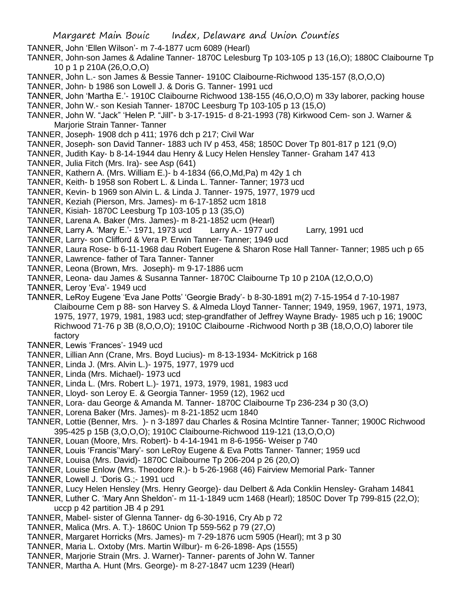- Margaret Main Bouic Index, Delaware and Union Counties
- TANNER, John 'Ellen Wilson'- m 7-4-1877 ucm 6089 (Hearl)
- TANNER, John-son James & Adaline Tanner- 1870C Lelesburg Tp 103-105 p 13 (16,O); 1880C Claibourne Tp 10 p 1 p 210A (26,O,O,O)
- TANNER, John L.- son James & Bessie Tanner- 1910C Claibourne-Richwood 135-157 (8,O,O,O)
- TANNER, John- b 1986 son Lowell J. & Doris G. Tanner- 1991 ucd
- TANNER, John 'Martha E.'- 1910C Claibourne Richwood 138-155 (46,O,O,O) m 33y laborer, packing house TANNER, John W.- son Kesiah Tanner- 1870C Leesburg Tp 103-105 p 13 (15,O)
- TANNER, John W. "Jack" 'Helen P. "Jill"- b 3-17-1915- d 8-21-1993 (78) Kirkwood Cem- son J. Warner & Marjorie Strain Tanner- Tanner
- TANNER, Joseph- 1908 dch p 411; 1976 dch p 217; Civil War
- TANNER, Joseph- son David Tanner- 1883 uch IV p 453, 458; 1850C Dover Tp 801-817 p 121 (9,O)
- TANNER, Judith Kay- b 8-14-1944 dau Henry & Lucy Helen Hensley Tanner- Graham 147 413
- TANNER, Julia Fitch (Mrs. Ira)- see Asp (641)
- TANNER, Kathern A. (Mrs. William E.)- b 4-1834 (66,O,Md,Pa) m 42y 1 ch
- TANNER, Keith- b 1958 son Robert L. & Linda L. Tanner- Tanner; 1973 ucd
- TANNER, Kevin- b 1969 son Alvin L. & Linda J. Tanner- 1975, 1977, 1979 ucd
- TANNER, Keziah (Pierson, Mrs. James)- m 6-17-1852 ucm 1818
- TANNER, Kisiah- 1870C Leesburg Tp 103-105 p 13 (35,O)
- TANNER, Larena A. Baker (Mrs. James)- m 8-21-1852 ucm (Hearl)
- TANNER, Larry A. 'Mary E.'- 1971, 1973 ucd Larry A.- 1977 ucd Larry, 1991 ucd
- TANNER, Larry- son Clifford & Vera P. Erwin Tanner- Tanner; 1949 ucd
- TANNER, Laura Rose- b 6-11-1968 dau Robert Eugene & Sharon Rose Hall Tanner- Tanner; 1985 uch p 65
- TANNER, Lawrence- father of Tara Tanner- Tanner
- TANNER, Leona (Brown, Mrs. Joseph)- m 9-17-1886 ucm
- TANNER, Leona- dau James & Susanna Tanner- 1870C Claibourne Tp 10 p 210A (12,O,O,O)
- TANNER, Leroy 'Eva'- 1949 ucd
- TANNER, LeRoy Eugene 'Eva Jane Potts' 'Georgie Brady'- b 8-30-1891 m(2) 7-15-1954 d 7-10-1987 Claibourne Cem p 88- son Harvey S. & Almeda Lloyd Tanner- Tanner; 1949, 1959, 1967, 1971, 1973, 1975, 1977, 1979, 1981, 1983 ucd; step-grandfather of Jeffrey Wayne Brady- 1985 uch p 16; 1900C Richwood 71-76 p 3B (8,O,O,O); 1910C Claibourne -Richwood North p 3B (18,O,O,O) laborer tile factory
- TANNER, Lewis 'Frances'- 1949 ucd
- TANNER, Lillian Ann (Crane, Mrs. Boyd Lucius)- m 8-13-1934- McKitrick p 168
- TANNER, Linda J. (Mrs. Alvin L.)- 1975, 1977, 1979 ucd
- TANNER, Linda (Mrs. Michael)- 1973 ucd
- TANNER, Linda L. (Mrs. Robert L.)- 1971, 1973, 1979, 1981, 1983 ucd
- TANNER, Lloyd- son Leroy E. & Georgia Tanner- 1959 (12), 1962 ucd
- TANNER, Lora- dau George & Amanda M. Tanner- 1870C Claibourne Tp 236-234 p 30 (3,O)
- TANNER, Lorena Baker (Mrs. James)- m 8-21-1852 ucm 1840
- TANNER, Lottie (Benner, Mrs. )- n 3-1897 dau Charles & Rosina McIntire Tanner- Tanner; 1900C Richwood 395-425 p 15B (3,O,O,O); 1910C Claibourne-Richwood 119-121 (13,O,O,O)
- TANNER, Louan (Moore, Mrs. Robert)- b 4-14-1941 m 8-6-1956- Weiser p 740
- TANNER, Louis 'Francis''Mary'- son LeRoy Eugene & Eva Potts Tanner- Tanner; 1959 ucd
- TANNER, Louisa (Mrs. David)- 1870C Claibourne Tp 206-204 p 26 (20,O)
- TANNER, Louise Enlow (Mrs. Theodore R.)- b 5-26-1968 (46) Fairview Memorial Park- Tanner
- TANNER, Lowell J. 'Doris G.;- 1991 ucd
- TANNER, Lucy Helen Hensley (Mrs. Henry George)- dau Delbert & Ada Conklin Hensley- Graham 14841
- TANNER, Luther C. 'Mary Ann Sheldon'- m 11-1-1849 ucm 1468 (Hearl); 1850C Dover Tp 799-815 (22,O); uccp p 42 partition JB 4 p 291
- TANNER, Mabel- sister of Glenna Tanner- dg 6-30-1916, Cry Ab p 72
- TANNER, Malica (Mrs. A. T.)- 1860C Union Tp 559-562 p 79 (27,O)
- TANNER, Margaret Horricks (Mrs. James)- m 7-29-1876 ucm 5905 (Hearl); mt 3 p 30
- TANNER, Maria L. Oxtoby (Mrs. Martin Wilbur)- m 6-26-1898- Aps (1555)
- TANNER, Marjorie Strain (Mrs. J. Warner)- Tanner- parents of John W. Tanner
- TANNER, Martha A. Hunt (Mrs. George)- m 8-27-1847 ucm 1239 (Hearl)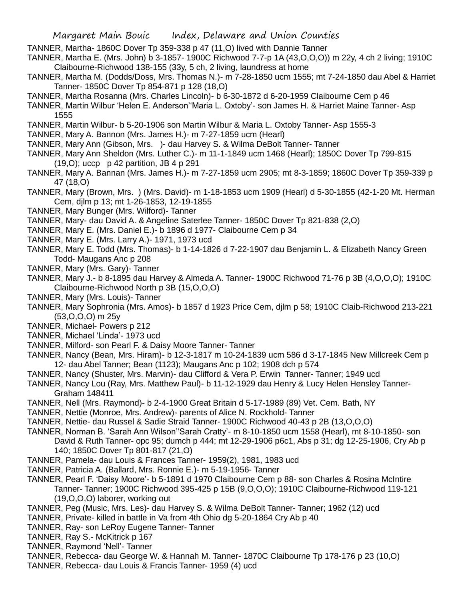TANNER, Martha- 1860C Dover Tp 359-338 p 47 (11,O) lived with Dannie Tanner

TANNER, Martha E. (Mrs. John) b 3-1857- 1900C Richwood 7-7-p 1A (43,O,O,O)) m 22y, 4 ch 2 living; 1910C Claibourne-Richwood 138-155 (33y, 5 ch, 2 living, laundress at home

- TANNER, Martha M. (Dodds/Doss, Mrs. Thomas N.)- m 7-28-1850 ucm 1555; mt 7-24-1850 dau Abel & Harriet Tanner- 1850C Dover Tp 854-871 p 128 (18,O)
- TANNER, Martha Rosanna (Mrs. Charles Lincoln)- b 6-30-1872 d 6-20-1959 Claibourne Cem p 46
- TANNER, Martin Wilbur 'Helen E. Anderson''Maria L. Oxtoby'- son James H. & Harriet Maine Tanner- Asp 1555
- TANNER, Martin Wilbur- b 5-20-1906 son Martin Wilbur & Maria L. Oxtoby Tanner- Asp 1555-3
- TANNER, Mary A. Bannon (Mrs. James H.)- m 7-27-1859 ucm (Hearl)
- TANNER, Mary Ann (Gibson, Mrs. )- dau Harvey S. & Wilma DeBolt Tanner- Tanner
- TANNER, Mary Ann Sheldon (Mrs. Luther C.)- m 11-1-1849 ucm 1468 (Hearl); 1850C Dover Tp 799-815 (19,O); uccp p 42 partition, JB 4 p 291
- TANNER, Mary A. Bannan (Mrs. James H.)- m 7-27-1859 ucm 2905; mt 8-3-1859; 1860C Dover Tp 359-339 p 47 (18,O)
- TANNER, Mary (Brown, Mrs. ) (Mrs. David)- m 1-18-1853 ucm 1909 (Hearl) d 5-30-1855 (42-1-20 Mt. Herman Cem, djlm p 13; mt 1-26-1853, 12-19-1855
- TANNER, Mary Bunger (Mrs. Wilford)- Tanner
- TANNER, Mary- dau David A. & Angeline Saterlee Tanner- 1850C Dover Tp 821-838 (2,O)
- TANNER, Mary E. (Mrs. Daniel E.)- b 1896 d 1977- Claibourne Cem p 34
- TANNER, Mary E. (Mrs. Larry A.)- 1971, 1973 ucd
- TANNER, Mary E. Todd (Mrs. Thomas)- b 1-14-1826 d 7-22-1907 dau Benjamin L. & Elizabeth Nancy Green Todd- Maugans Anc p 208
- TANNER, Mary (Mrs. Gary)- Tanner
- TANNER, Mary J.- b 8-1895 dau Harvey & Almeda A. Tanner- 1900C Richwood 71-76 p 3B (4,O,O,O); 1910C Claibourne-Richwood North p 3B (15,O,O,O)
- TANNER, Mary (Mrs. Louis)- Tanner
- TANNER, Mary Sophronia (Mrs. Amos)- b 1857 d 1923 Price Cem, djlm p 58; 1910C Claib-Richwood 213-221 (53,O,O,O) m 25y
- TANNER, Michael- Powers p 212
- TANNER, Michael 'Linda'- 1973 ucd
- TANNER, Milford- son Pearl F. & Daisy Moore Tanner- Tanner
- TANNER, Nancy (Bean, Mrs. Hiram)- b 12-3-1817 m 10-24-1839 ucm 586 d 3-17-1845 New Millcreek Cem p 12- dau Abel Tanner; Bean (1123); Maugans Anc p 102; 1908 dch p 574
- TANNER, Nancy (Shuster, Mrs. Marvin)- dau Clifford & Vera P. Erwin Tanner- Tanner; 1949 ucd
- TANNER, Nancy Lou (Ray, Mrs. Matthew Paul)- b 11-12-1929 dau Henry & Lucy Helen Hensley Tanner-Graham 148411
- TANNER, Nell (Mrs. Raymond)- b 2-4-1900 Great Britain d 5-17-1989 (89) Vet. Cem. Bath, NY
- TANNER, Nettie (Monroe, Mrs. Andrew)- parents of Alice N. Rockhold- Tanner
- TANNER, Nettie- dau Russel & Sadie Straid Tanner- 1900C Richwood 40-43 p 2B (13,O,O,O)
- TANNER, Norman B. 'Sarah Ann Wilson''Sarah Cratty'- m 8-10-1850 ucm 1558 (Hearl), mt 8-10-1850- son David & Ruth Tanner- opc 95; dumch p 444; mt 12-29-1906 p6c1, Abs p 31; dg 12-25-1906, Cry Ab p 140; 1850C Dover Tp 801-817 (21,O)
- TANNER, Pamela- dau Louis & Frances Tanner- 1959(2), 1981, 1983 ucd
- TANNER, Patricia A. (Ballard, Mrs. Ronnie E.)- m 5-19-1956- Tanner
- TANNER, Pearl F. 'Daisy Moore'- b 5-1891 d 1970 Claibourne Cem p 88- son Charles & Rosina McIntire Tanner- Tanner; 1900C Richwood 395-425 p 15B (9,O,O,O); 1910C Claibourne-Richwood 119-121 (19,O,O,O) laborer, working out
- TANNER, Peg (Music, Mrs. Les)- dau Harvey S. & Wilma DeBolt Tanner- Tanner; 1962 (12) ucd
- TANNER, Private- killed in battle in Va from 4th Ohio dg 5-20-1864 Cry Ab p 40
- TANNER, Ray- son LeRoy Eugene Tanner- Tanner
- TANNER, Ray S.- McKitrick p 167
- TANNER, Raymond 'Nell'- Tanner
- TANNER, Rebecca- dau George W. & Hannah M. Tanner- 1870C Claibourne Tp 178-176 p 23 (10,O)
- TANNER, Rebecca- dau Louis & Francis Tanner- 1959 (4) ucd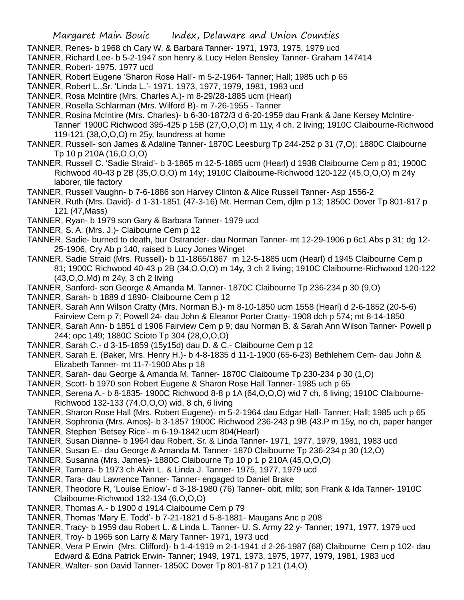- TANNER, Renes- b 1968 ch Cary W. & Barbara Tanner- 1971, 1973, 1975, 1979 ucd
- TANNER, Richard Lee- b 5-2-1947 son henry & Lucy Helen Bensley Tanner- Graham 147414
- TANNER, Robert- 1975. 1977 ucd
- TANNER, Robert Eugene 'Sharon Rose Hall'- m 5-2-1964- Tanner; Hall; 1985 uch p 65
- TANNER, Robert L.,Sr. 'Linda L.'- 1971, 1973, 1977, 1979, 1981, 1983 ucd
- TANNER, Rosa McIntire (Mrs. Charles A.)- m 8-29/28-1885 ucm (Hearl)
- TANNER, Rosella Schlarman (Mrs. Wilford B)- m 7-26-1955 Tanner
- TANNER, Rosina McIntire (Mrs. Charles)- b 6-30-1872/3 d 6-20-1959 dau Frank & Jane Kersey McIntire-Tanner' 1900C Richwood 395-425 p 15B (27,O,O,O) m 11y, 4 ch, 2 living; 1910C Claibourne-Richwood 119-121 (38,O,O,O) m 25y, laundress at home
- TANNER, Russell- son James & Adaline Tanner- 1870C Leesburg Tp 244-252 p 31 (7,O); 1880C Claibourne Tp 10 p 210A (16,O,O,O)
- TANNER, Russell C. 'Sadie Straid'- b 3-1865 m 12-5-1885 ucm (Hearl) d 1938 Claibourne Cem p 81; 1900C Richwood 40-43 p 2B (35,O,O,O) m 14y; 1910C Claibourne-Richwood 120-122 (45,O,O,O) m 24y laborer, tile factory
- TANNER, Russell Vaughn- b 7-6-1886 son Harvey Clinton & Alice Russell Tanner- Asp 1556-2
- TANNER, Ruth (Mrs. David)- d 1-31-1851 (47-3-16) Mt. Herman Cem, djlm p 13; 1850C Dover Tp 801-817 p 121 (47,Mass)
- TANNER, Ryan- b 1979 son Gary & Barbara Tanner- 1979 ucd
- TANNER, S. A. (Mrs. J.)- Claibourne Cem p 12
- TANNER, Sadie- burned to death, bur Ostrander- dau Norman Tanner- mt 12-29-1906 p 6c1 Abs p 31; dg 12- 25-1906, Cry Ab p 140, raised b Lucy Jones Winget
- TANNER, Sadie Straid (Mrs. Russell)- b 11-1865/1867 m 12-5-1885 ucm (Hearl) d 1945 Claibourne Cem p 81; 1900C Richwood 40-43 p 2B (34,O,O,O) m 14y, 3 ch 2 living; 1910C Claibourne-Richwood 120-122 (43,O,O,Md) m 24y, 3 ch 2 living
- TANNER, Sanford- son George & Amanda M. Tanner- 1870C Claibourne Tp 236-234 p 30 (9,O)
- TANNER, Sarah- b 1889 d 1890- Claibourne Cem p 12
- TANNER, Sarah Ann Wilson Cratty (Mrs. Norman B.)- m 8-10-1850 ucm 1558 (Hearl) d 2-6-1852 (20-5-6) Fairview Cem p 7; Powell 24- dau John & Eleanor Porter Cratty- 1908 dch p 574; mt 8-14-1850
- TANNER, Sarah Ann- b 1851 d 1906 Fairview Cem p 9; dau Norman B. & Sarah Ann Wilson Tanner- Powell p 244; opc 149; 1880C Scioto Tp 304 (28,O,O,O)
- TANNER, Sarah C.- d 3-15-1859 (15y15d) dau D. & C.- Claibourne Cem p 12
- TANNER, Sarah E. (Baker, Mrs. Henry H.)- b 4-8-1835 d 11-1-1900 (65-6-23) Bethlehem Cem- dau John & Elizabeth Tanner- mt 11-7-1900 Abs p 18
- TANNER, Sarah- dau George & Amanda M. Tanner- 1870C Claibourne Tp 230-234 p 30 (1,O)
- TANNER, Scott- b 1970 son Robert Eugene & Sharon Rose Hall Tanner- 1985 uch p 65
- TANNER, Serena A.- b 8-1835- 1900C Richwood 8-8 p 1A (64,O,O,O) wid 7 ch, 6 living; 1910C Claibourne-Richwood 132-133 (74,O,O,O) wid, 8 ch, 6 living
- TANNER, Sharon Rose Hall (Mrs. Robert Eugene)- m 5-2-1964 dau Edgar Hall- Tanner; Hall; 1985 uch p 65
- TANNER, Sophronia (Mrs. Amos)- b 3-1857 1900C Richwood 236-243 p 9B (43.P m 15y, no ch, paper hanger
- TANNER, Stephen 'Betsey Rice'- m 6-19-1842 ucm 804(Hearl)
- TANNER, Susan Dianne- b 1964 dau Robert, Sr. & Linda Tanner- 1971, 1977, 1979, 1981, 1983 ucd
- TANNER, Susan E.- dau George & Amanda M. Tanner- 1870 Claibourne Tp 236-234 p 30 (12,O)
- TANNER, Susanna (Mrs. James)- 1880C Claibourne Tp 10 p 1 p 210A (45,O,O,O)
- TANNER, Tamara- b 1973 ch Alvin L. & Linda J. Tanner- 1975, 1977, 1979 ucd
- TANNER, Tara- dau Lawrence Tanner- Tanner- engaged to Daniel Brake
- TANNER, Theodore R, 'Louise Enlow'- d 3-18-1980 (76) Tanner- obit, mlib; son Frank & Ida Tanner- 1910C Claibourne-Richwood 132-134 (6,O,O,O)
- TANNER, Thomas A.- b 1900 d 1914 Claibourne Cem p 79
- TANNER, Thomas 'Mary E. Todd'- b 7-21-1821 d 5-8-1881- Maugans Anc p 208
- TANNER, Tracy- b 1959 dau Robert L. & Linda L. Tanner- U. S. Army 22 y- Tanner; 1971, 1977, 1979 ucd
- TANNER, Troy- b 1965 son Larry & Mary Tanner- 1971, 1973 ucd
- TANNER, Vera P Erwin (Mrs. Clifford)- b 1-4-1919 m 2-1-1941 d 2-26-1987 (68) Claibourne Cem p 102- dau Edward & Edna Patrick Erwin- Tanner; 1949, 1971, 1973, 1975, 1977, 1979, 1981, 1983 ucd
- TANNER, Walter- son David Tanner- 1850C Dover Tp 801-817 p 121 (14,O)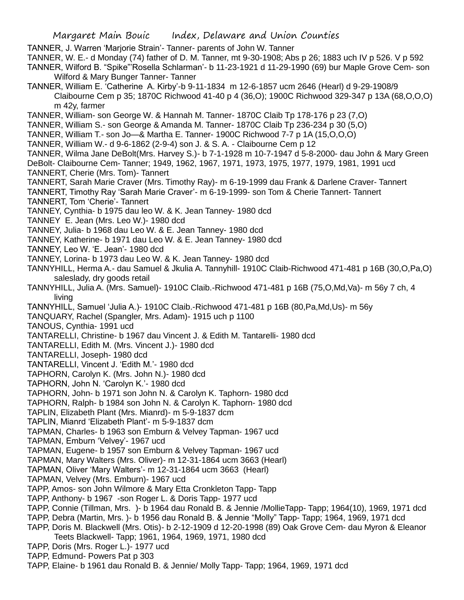TANNER, J. Warren 'Marjorie Strain'- Tanner- parents of John W. Tanner

TANNER, W. E.- d Monday (74) father of D. M. Tanner, mt 9-30-1908; Abs p 26; 1883 uch IV p 526. V p 592

- TANNER, Wilford B. "Spike"'Rosella Schlarman'- b 11-23-1921 d 11-29-1990 (69) bur Maple Grove Cem- son Wilford & Mary Bunger Tanner- Tanner
- TANNER, William E. 'Catherine A. Kirby'-b 9-11-1834 m 12-6-1857 ucm 2646 (Hearl) d 9-29-1908/9 Claibourne Cem p 35; 1870C Richwood 41-40 p 4 (36,O); 1900C Richwood 329-347 p 13A (68,O,O,O) m 42y, farmer
- TANNER, William- son George W. & Hannah M. Tanner- 1870C Claib Tp 178-176 p 23 (7,O)
- TANNER, William S.- son George & Amanda M. Tanner- 1870C Claib Tp 236-234 p 30 (5,O)
- TANNER, William T.- son Jo—& Martha E. Tanner- 1900C Richwood 7-7 p 1A (15,O,O,O)
- TANNER, William W.- d 9-6-1862 (2-9-4) son J. & S. A. Claibourne Cem p 12
- TANNER, Wilma Jane DeBolt(Mrs. Harvey S.)- b 7-1-1928 m 10-7-1947 d 5-8-2000- dau John & Mary Green DeBolt- Claibourne Cem- Tanner; 1949, 1962, 1967, 1971, 1973, 1975, 1977, 1979, 1981, 1991 ucd TANNERT, Cherie (Mrs. Tom)- Tannert
- TANNERT, Sarah Marie Craver (Mrs. Timothy Ray)- m 6-19-1999 dau Frank & Darlene Craver- Tannert
- TANNERT, Timothy Ray 'Sarah Marie Craver'- m 6-19-1999- son Tom & Cherie Tannert- Tannert TANNERT, Tom 'Cherie'- Tannert
- TANNEY, Cynthia- b 1975 dau leo W. & K. Jean Tanney- 1980 dcd
- TANNEY E. Jean (Mrs. Leo W.)- 1980 dcd
- TANNEY, Julia- b 1968 dau Leo W. & E. Jean Tanney- 1980 dcd
- TANNEY, Katherine- b 1971 dau Leo W. & E. Jean Tanney- 1980 dcd
- TANNEY, Leo W. 'E. Jean'- 1980 dcd
- TANNEY, Lorina- b 1973 dau Leo W. & K. Jean Tanney- 1980 dcd
- TANNYHILL, Herma A.- dau Samuel & Jkulia A. Tannyhill- 1910C Claib-Richwood 471-481 p 16B (30,O,Pa,O) saleslady, dry goods retail
- TANNYHILL, Julia A. (Mrs. Samuel)- 1910C Claib.-Richwood 471-481 p 16B (75,O,Md,Va)- m 56y 7 ch, 4 living
- TANNYHILL, Samuel 'Julia A.)- 1910C Claib.-Richwood 471-481 p 16B (80,Pa,Md,Us)- m 56y
- TANQUARY, Rachel (Spangler, Mrs. Adam)- 1915 uch p 1100
- TANOUS, Cynthia- 1991 ucd
- TANTARELLI, Christine- b 1967 dau Vincent J. & Edith M. Tantarelli- 1980 dcd
- TANTARELLI, Edith M. (Mrs. Vincent J.)- 1980 dcd
- TANTARELLI, Joseph- 1980 dcd
- TANTARELLI, Vincent J. 'Edith M.'- 1980 dcd
- TAPHORN, Carolyn K. (Mrs. John N.)- 1980 dcd
- TAPHORN, John N. 'Carolyn K.'- 1980 dcd
- TAPHORN, John- b 1971 son John N. & Carolyn K. Taphorn- 1980 dcd
- TAPHORN, Ralph- b 1984 son John N. & Carolyn K. Taphorn- 1980 dcd
- TAPLIN, Elizabeth Plant (Mrs. Mianrd)- m 5-9-1837 dcm
- TAPLIN, Mianrd 'Elizabeth Plant'- m 5-9-1837 dcm
- TAPMAN, Charles- b 1963 son Emburn & Velvey Tapman- 1967 ucd
- TAPMAN, Emburn 'Velvey'- 1967 ucd
- TAPMAN, Eugene- b 1957 son Emburn & Velvey Tapman- 1967 ucd
- TAPMAN, Mary Walters (Mrs. Oliver)- m 12-31-1864 ucm 3663 (Hearl)
- TAPMAN, Oliver 'Mary Walters'- m 12-31-1864 ucm 3663 (Hearl)
- TAPMAN, Velvey (Mrs. Emburn)- 1967 ucd
- TAPP, Amos- son John Wilmore & Mary Etta Cronkleton Tapp- Tapp
- TAPP, Anthony- b 1967 -son Roger L. & Doris Tapp- 1977 ucd
- TAPP, Connie (Tillman, Mrs. )- b 1964 dau Ronald B. & Jennie /MollieTapp- Tapp; 1964(10), 1969, 1971 dcd
- TAPP, Debra (Martin, Mrs. )- b 1956 dau Ronald B. & Jennie "Molly" Tapp- Tapp; 1964, 1969, 1971 dcd
- TAPP, Doris M. Blackwell (Mrs. Otis)- b 2-12-1909 d 12-20-1998 (89) Oak Grove Cem- dau Myron & Eleanor Teets Blackwell- Tapp; 1961, 1964, 1969, 1971, 1980 dcd
- TAPP, Doris (Mrs. Roger L.)- 1977 ucd
- TAPP, Edmund- Powers Pat p 303
- TAPP, Elaine- b 1961 dau Ronald B. & Jennie/ Molly Tapp- Tapp; 1964, 1969, 1971 dcd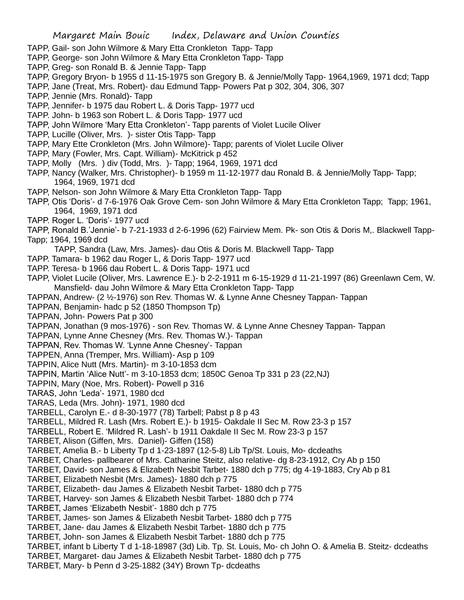- TAPP, Gail- son John Wilmore & Mary Etta Cronkleton Tapp- Tapp
- TAPP, George- son John Wilmore & Mary Etta Cronkleton Tapp- Tapp
- TAPP, Greg- son Ronald B. & Jennie Tapp- Tapp
- TAPP, Gregory Bryon- b 1955 d 11-15-1975 son Gregory B. & Jennie/Molly Tapp- 1964,1969, 1971 dcd; Tapp
- TAPP, Jane (Treat, Mrs. Robert)- dau Edmund Tapp- Powers Pat p 302, 304, 306, 307
- TAPP, Jennie (Mrs. Ronald)- Tapp
- TAPP, Jennifer- b 1975 dau Robert L. & Doris Tapp- 1977 ucd
- TAPP. John- b 1963 son Robert L. & Doris Tapp- 1977 ucd
- TAPP, John Wilmore 'Mary Etta Cronkleton'- Tapp parents of Violet Lucile Oliver
- TAPP, Lucille (Oliver, Mrs. )- sister Otis Tapp- Tapp
- TAPP, Mary Ette Cronkleton (Mrs. John Wilmore)- Tapp; parents of Violet Lucile Oliver
- TAPP, Mary (Fowler, Mrs. Capt. William)- McKitrick p 452
- TAPP, Molly (Mrs. ) div (Todd, Mrs. )- Tapp; 1964, 1969, 1971 dcd
- TAPP, Nancy (Walker, Mrs. Christopher)- b 1959 m 11-12-1977 dau Ronald B. & Jennie/Molly Tapp- Tapp; 1964, 1969, 1971 dcd
- TAPP, Nelson- son John Wilmore & Mary Etta Cronkleton Tapp- Tapp
- TAPP, Otis 'Doris'- d 7-6-1976 Oak Grove Cem- son John Wilmore & Mary Etta Cronkleton Tapp; Tapp; 1961, 1964, 1969, 1971 dcd
- TAPP. Roger L. 'Doris'- 1977 ucd
- TAPP, Ronald B.'Jennie'- b 7-21-1933 d 2-6-1996 (62) Fairview Mem. Pk- son Otis & Doris M,. Blackwell Tapp-Tapp; 1964, 1969 dcd
- TAPP, Sandra (Law, Mrs. James)- dau Otis & Doris M. Blackwell Tapp- Tapp
- TAPP. Tamara- b 1962 dau Roger L, & Doris Tapp- 1977 ucd
- TAPP. Teresa- b 1966 dau Robert L. & Doris Tapp- 1971 ucd
- TAPP, Violet Lucile (Oliver, Mrs. Lawrence E.)- b 2-2-1911 m 6-15-1929 d 11-21-1997 (86) Greenlawn Cem, W. Mansfield- dau John Wilmore & Mary Etta Cronkleton Tapp- Tapp
- TAPPAN, Andrew- (2 ½-1976) son Rev. Thomas W. & Lynne Anne Chesney Tappan- Tappan
- TAPPAN, Benjamin- hadc p 52 (1850 Thompson Tp)
- TAPPAN, John- Powers Pat p 300
- TAPPAN, Jonathan (9 mos-1976) son Rev. Thomas W. & Lynne Anne Chesney Tappan- Tappan
- TAPPAN, Lynne Anne Chesney (Mrs. Rev. Thomas W.)- Tappan
- TAPPAN, Rev. Thomas W. 'Lynne Anne Chesney'- Tappan
- TAPPEN, Anna (Tremper, Mrs. William)- Asp p 109
- TAPPIN, Alice Nutt (Mrs. Martin)- m 3-10-1853 dcm
- TAPPIN, Martin 'Alice Nutt'- m 3-10-1853 dcm; 1850C Genoa Tp 331 p 23 (22,NJ)
- TAPPIN, Mary (Noe, Mrs. Robert)- Powell p 316
- TARAS, John 'Leda'- 1971, 1980 dcd
- TARAS, Leda (Mrs. John)- 1971, 1980 dcd
- TARBELL, Carolyn E.- d 8-30-1977 (78) Tarbell; Pabst p 8 p 43
- TARBELL, Mildred R. Lash (Mrs. Robert E.)- b 1915- Oakdale II Sec M. Row 23-3 p 157
- TARBELL, Robert E. 'Mildred R. Lash'- b 1911 Oakdale II Sec M. Row 23-3 p 157
- TARBET, Alison (Giffen, Mrs. Daniel)- Giffen (158)
- TARBET, Amelia B.- b Liberty Tp d 1-23-1897 (12-5-8) Lib Tp/St. Louis, Mo- dcdeaths
- TARBET, Charles- pallbearer of Mrs. Catharine Steitz, also relative- dg 8-23-1912, Cry Ab p 150
- TARBET, David- son James & Elizabeth Nesbit Tarbet- 1880 dch p 775; dg 4-19-1883, Cry Ab p 81
- TARBET, Elizabeth Nesbit (Mrs. James)- 1880 dch p 775
- TARBET, Elizabeth- dau James & Elizabeth Nesbit Tarbet- 1880 dch p 775
- TARBET, Harvey- son James & Elizabeth Nesbit Tarbet- 1880 dch p 774
- TARBET, James 'Elizabeth Nesbit'- 1880 dch p 775
- TARBET, James- son James & Elizabeth Nesbit Tarbet- 1880 dch p 775
- TARBET, Jane- dau James & Elizabeth Nesbit Tarbet- 1880 dch p 775
- TARBET, John- son James & Elizabeth Nesbit Tarbet- 1880 dch p 775
- TARBET, infant b Liberty T d 1-18-18987 (3d) Lib. Tp. St. Louis, Mo- ch John O. & Amelia B. Steitz- dcdeaths
- TARBET, Margaret- dau James & Elizabeth Nesbit Tarbet- 1880 dch p 775
- TARBET, Mary- b Penn d 3-25-1882 (34Y) Brown Tp- dcdeaths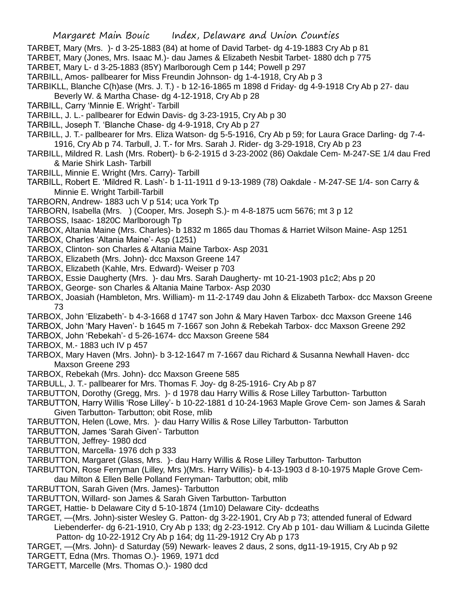- TARBET, Mary (Mrs. )- d 3-25-1883 (84) at home of David Tarbet- dg 4-19-1883 Cry Ab p 81
- TARBET, Mary (Jones, Mrs. Isaac M.)- dau James & Elizabeth Nesbit Tarbet- 1880 dch p 775
- TARBET, Mary L- d 3-25-1883 (85Y) Marlborough Cem p 144; Powell p 297
- TARBILL, Amos- pallbearer for Miss Freundin Johnson- dg 1-4-1918, Cry Ab p 3
- TARBIKLL, Blanche C(h)ase (Mrs. J. T.) b 12-16-1865 m 1898 d Friday- dg 4-9-1918 Cry Ab p 27- dau
- Beverly W. & Martha Chase- dg 4-12-1918, Cry Ab p 28
- TARBILL, Carry 'Minnie E. Wright'- Tarbill
- TARBILL, J. L.- pallbearer for Edwin Davis- dg 3-23-1915, Cry Ab p 30
- TARBILL, Joseph T. 'Blanche Chase- dg 4-9-1918, Cry Ab p 27
- TARBILL, J. T.- pallbearer for Mrs. Eliza Watson- dg 5-5-1916, Cry Ab p 59; for Laura Grace Darling- dg 7-4- 1916, Cry Ab p 74. Tarbull, J. T.- for Mrs. Sarah J. Rider- dg 3-29-1918, Cry Ab p 23
- TARBILL, Mildred R. Lash (Mrs. Robert)- b 6-2-1915 d 3-23-2002 (86) Oakdale Cem- M-247-SE 1/4 dau Fred & Marie Shirk Lash- Tarbill
- TARBILL, Minnie E. Wright (Mrs. Carry)- Tarbill
- TARBILL, Robert E. 'Mildred R. Lash'- b 1-11-1911 d 9-13-1989 (78) Oakdale M-247-SE 1/4- son Carry & Minnie E. Wright Tarbill-Tarbill
- TARBORN, Andrew- 1883 uch V p 514; uca York Tp
- TARBORN, Isabella (Mrs. ) (Cooper, Mrs. Joseph S.)- m 4-8-1875 ucm 5676; mt 3 p 12
- TARBOSS, Isaac- 1820C Marlborough Tp
- TARBOX, Altania Maine (Mrs. Charles)- b 1832 m 1865 dau Thomas & Harriet Wilson Maine- Asp 1251
- TARBOX, Charles 'Altania Maine'- Asp (1251)
- TARBOX, Clinton- son Charles & Altania Maine Tarbox- Asp 2031
- TARBOX, Elizabeth (Mrs. John)- dcc Maxson Greene 147
- TARBOX, Elizabeth (Kahle, Mrs. Edward)- Weiser p 703
- TARBOX, Essie Daugherty (Mrs. )- dau Mrs. Sarah Daugherty- mt 10-21-1903 p1c2; Abs p 20
- TARBOX, George- son Charles & Altania Maine Tarbox- Asp 2030
- TARBOX, Joasiah (Hambleton, Mrs. William)- m 11-2-1749 dau John & Elizabeth Tarbox- dcc Maxson Greene 73
- TARBOX, John 'Elizabeth'- b 4-3-1668 d 1747 son John & Mary Haven Tarbox- dcc Maxson Greene 146
- TARBOX, John 'Mary Haven'- b 1645 m 7-1667 son John & Rebekah Tarbox- dcc Maxson Greene 292
- TARBOX, John 'Rebekah'- d 5-26-1674- dcc Maxson Greene 584
- TARBOX, M.- 1883 uch IV p 457
- TARBOX, Mary Haven (Mrs. John)- b 3-12-1647 m 7-1667 dau Richard & Susanna Newhall Haven- dcc Maxson Greene 293
- TARBOX, Rebekah (Mrs. John)- dcc Maxson Greene 585
- TARBULL, J. T.- pallbearer for Mrs. Thomas F. Joy- dg 8-25-1916- Cry Ab p 87
- TARBUTTON, Dorothy (Gregg, Mrs. )- d 1978 dau Harry Willis & Rose Lilley Tarbutton- Tarbutton
- TARBUTTON, Harry Willis 'Rose Lilley'- b 10-22-1881 d 10-24-1963 Maple Grove Cem- son James & Sarah Given Tarbutton- Tarbutton; obit Rose, mlib
- TARBUTTON, Helen (Lowe, Mrs. )- dau Harry Willis & Rose Lilley Tarbutton- Tarbutton
- TARBUTTON, James 'Sarah Given'- Tarbutton
- TARBUTTON, Jeffrey- 1980 dcd
- TARBUTTON, Marcella- 1976 dch p 333
- TARBUTTON, Margaret (Glass, Mrs. )- dau Harry Willis & Rose Lilley Tarbutton- Tarbutton
- TARBUTTON, Rose Ferryman (Lilley, Mrs )(Mrs. Harry Willis)- b 4-13-1903 d 8-10-1975 Maple Grove Cemdau Milton & Ellen Belle Polland Ferryman- Tarbutton; obit, mlib
- TARBUTTON, Sarah Given (Mrs. James)- Tarbutton
- TARBUTTON, Willard- son James & Sarah Given Tarbutton- Tarbutton
- TARGET, Hattie- b Delaware City d 5-10-1874 (1m10) Delaware City- dcdeaths
- TARGET, —(Mrs. John)-sister Wesley G. Patton- dg 3-22-1901, Cry Ab p 73; attended funeral of Edward Liebenderfer- dg 6-21-1910, Cry Ab p 133; dg 2-23-1912. Cry Ab p 101- dau William & Lucinda Gilette Patton- dg 10-22-1912 Cry Ab p 164; dg 11-29-1912 Cry Ab p 173
- TARGET, —(Mrs. John)- d Saturday (59) Newark- leaves 2 daus, 2 sons, dg11-19-1915, Cry Ab p 92
- TARGETT, Edna (Mrs. Thomas O.)- 1969, 1971 dcd
- TARGETT, Marcelle (Mrs. Thomas O.)- 1980 dcd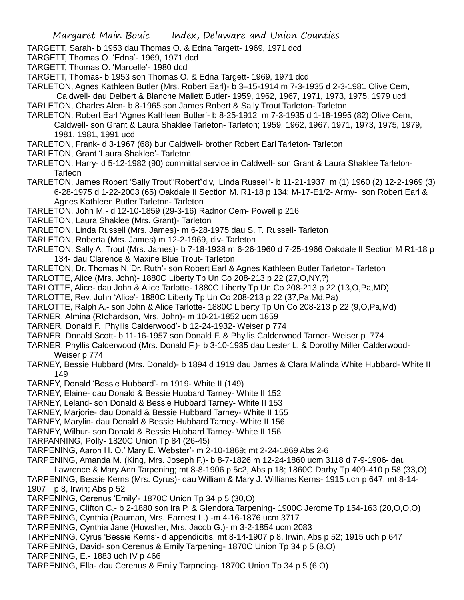TARGETT, Sarah- b 1953 dau Thomas O. & Edna Targett- 1969, 1971 dcd

TARGETT, Thomas O. 'Edna'- 1969, 1971 dcd

TARGETT, Thomas O. 'Marcelle'- 1980 dcd

TARGETT, Thomas- b 1953 son Thomas O. & Edna Targett- 1969, 1971 dcd

TARLETON, Agnes Kathleen Butler (Mrs. Robert Earl)- b 3–15-1914 m 7-3-1935 d 2-3-1981 Olive Cem, Caldwell- dau Delbert & Blanche Mallett Butler- 1959, 1962, 1967, 1971, 1973, 1975, 1979 ucd

TARLETON, Charles Alen- b 8-1965 son James Robert & Sally Trout Tarleton- Tarleton

TARLETON, Robert Earl 'Agnes Kathleen Butler'- b 8-25-1912 m 7-3-1935 d 1-18-1995 (82) Olive Cem, Caldwell- son Grant & Laura Shaklee Tarleton- Tarleton; 1959, 1962, 1967, 1971, 1973, 1975, 1979, 1981, 1981, 1991 ucd

TARLETON, Frank- d 3-1967 (68) bur Caldwell- brother Robert Earl Tarleton- Tarleton

TARLETON, Grant 'Laura Shaklee'- Tarleton

TARLETON, Harry- d 5-12-1982 (90) committal service in Caldwell- son Grant & Laura Shaklee Tarleton-**Tarleon** 

TARLETON, James Robert 'Sally Trout''Robert"div, 'Linda Russell'- b 11-21-1937 m (1) 1960 (2) 12-2-1969 (3) 6-28-1975 d 1-22-2003 (65) Oakdale II Section M. R1-18 p 134; M-17-E1/2- Army- son Robert Earl & Agnes Kathleen Butler Tarleton- Tarleton

TARLETON, John M.- d 12-10-1859 (29-3-16) Radnor Cem- Powell p 216

TARLETON, Laura Shaklee (Mrs. Grant)- Tarleton

TARLETON, Linda Russell (Mrs. James)- m 6-28-1975 dau S. T. Russell- Tarleton

TARLETON, Roberta (Mrs. James) m 12-2-1969, div- Tarleton

TARLETON, Sally A. Trout (Mrs. James)- b 7-18-1938 m 6-26-1960 d 7-25-1966 Oakdale II Section M R1-18 p 134- dau Clarence & Maxine Blue Trout- Tarleton

TARLETON, Dr. Thomas N.'Dr. Ruth'- son Robert Earl & Agnes Kathleen Butler Tarleton- Tarleton

TARLOTTE, Alice (Mrs. John)- 1880C Liberty Tp Un Co 208-213 p 22 (27,O,NY,?)

TARLOTTE, Alice- dau John & Alice Tarlotte- 1880C Liberty Tp Un Co 208-213 p 22 (13,O,Pa,MD)

TARLOTTE, Rev. John 'Alice'- 1880C Liberty Tp Un Co 208-213 p 22 (37,Pa,Md,Pa)

TARLOTTE, Ralph A.- son John & Alice Tarlotte- 1880C Liberty Tp Un Co 208-213 p 22 (9,O,Pa,Md)

TARNER, Almina (RIchardson, Mrs. John)- m 10-21-1852 ucm 1859

TARNER, Donald F. 'Phyllis Calderwood'- b 12-24-1932- Weiser p 774

TARNER, Donald Scott- b 11-16-1957 son Donald F. & Phyllis Calderwood Tarner- Weiser p 774

TARNER, Phyllis Calderwood (Mrs. Donald F.)- b 3-10-1935 dau Lester L. & Dorothy Miller Calderwood-Weiser p 774

TARNEY, Bessie Hubbard (Mrs. Donald)- b 1894 d 1919 dau James & Clara Malinda White Hubbard- White II 149

TARNEY, Donald 'Bessie Hubbard'- m 1919- White II (149)

TARNEY, Elaine- dau Donald & Bessie Hubbard Tarney- White II 152

TARNEY, Leland- son Donald & Bessie Hubbard Tarney- White II 153

TARNEY, Marjorie- dau Donald & Bessie Hubbard Tarney- White II 155

TARNEY, Marylin- dau Donald & Bessie Hubbard Tarney- White II 156

TARNEY, Wilbur- son Donald & Bessie Hubbard Tarney- White II 156

TARPANNING, Polly- 1820C Union Tp 84 (26-45)

TARPENING, Aaron H. O.' Mary E. Webster'- m 2-10-1869; mt 2-24-1869 Abs 2-6

TARPENING, Amanda M. (King, Mrs. Joseph F.)- b 8-7-1826 m 12-24-1860 ucm 3118 d 7-9-1906- dau

Lawrence & Mary Ann Tarpening; mt 8-8-1906 p 5c2, Abs p 18; 1860C Darby Tp 409-410 p 58 (33,O) TARPENING, Bessie Kerns (Mrs. Cyrus)- dau William & Mary J. Williams Kerns- 1915 uch p 647; mt 8-14- 1907 p 8, Irwin; Abs p 52

TARPENING, Cerenus 'Emily'- 1870C Union Tp 34 p 5 (30,O)

TARPENING, Clifton C.- b 2-1880 son Ira P. & Glendora Tarpening- 1900C Jerome Tp 154-163 (20,O,O,O)

TARPENING, Cynthia (Bauman, Mrs. Earnest L.) -m 4-16-1876 ucm 3717

TARPENING, Cynthia Jane (Howsher, Mrs. Jacob G.)- m 3-2-1854 ucm 2083

TARPENING, Cyrus 'Bessie Kerns'- d appendicitis, mt 8-14-1907 p 8, Irwin, Abs p 52; 1915 uch p 647

TARPENING, David- son Cerenus & Emily Tarpening- 1870C Union Tp 34 p 5 (8,O)

TARPENING, E.- 1883 uch IV p 466

TARPENING, Ella- dau Cerenus & Emily Tarpneing- 1870C Union Tp 34 p 5 (6,O)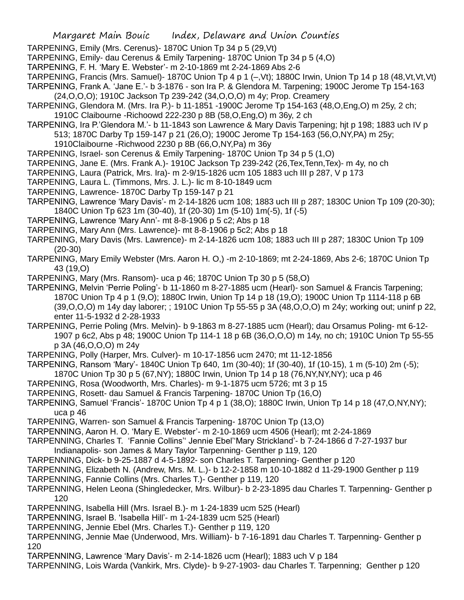- TARPENING, Emily (Mrs. Cerenus)- 1870C Union Tp 34 p 5 (29,Vt)
- TARPENING, Emily- dau Cerenus & Emily Tarpening- 1870C Union Tp 34 p 5 (4,O)
- TARPENING, F. H. 'Mary E. Webster'- m 2-10-1869 mt 2-24-1869 Abs 2-6
- TARPENING, Francis (Mrs. Samuel)- 1870C Union Tp 4 p 1 (–,Vt); 1880C Irwin, Union Tp 14 p 18 (48,Vt,Vt,Vt) TARPENING, Frank A. 'Jane E.'- b 3-1876 - son Ira P. & Glendora M. Tarpening; 1900C Jerome Tp 154-163
- (24,O,O,O); 1910C Jackson Tp 239-242 (34,O,O,O) m 4y; Prop. Creamery
- TARPENING, Glendora M. (Mrs. Ira P.)- b 11-1851 -1900C Jerome Tp 154-163 (48,O,Eng,O) m 25y, 2 ch; 1910C Claibourne -Richoowd 222-230 p 8B (58,O,Eng,O) m 36y, 2 ch
- TARPENING, Ira P.'Glendora M.'- b 11-1843 son Lawrence & Mary Davis Tarpening; hjt p 198; 1883 uch IV p 513; 1870C Darby Tp 159-147 p 21 (26,O); 1900C Jerome Tp 154-163 (56,O,NY,PA) m 25y;
	- 1910Claibourne -Richwood 2230 p 8B (66,O,NY,Pa) m 36y
- TARPENING, Israel- son Cerenus & Emily Tarpening- 1870C Union Tp 34 p 5 (1,O)
- TARPENING, Jane E. (Mrs. Frank A.)- 1910C Jackson Tp 239-242 (26,Tex,Tenn,Tex)- m 4y, no ch
- TARPENING, Laura (Patrick, Mrs. Ira)- m 2-9/15-1826 ucm 105 1883 uch III p 287, V p 173
- TARPENING, Laura L. (Timmons, Mrs. J. L.)- lic m 8-10-1849 ucm
- TARPENING, Lawrence- 1870C Darby Tp 159-147 p 21
- TARPENING, Lawrence 'Mary Davis'- m 2-14-1826 ucm 108; 1883 uch III p 287; 1830C Union Tp 109 (20-30); 1840C Union Tp 623 1m (30-40), 1f (20-30) 1m (5-10) 1m(-5), 1f (-5)
- TARPENING, Lawrence 'Mary Ann'- mt 8-8-1906 p 5 c2; Abs p 18
- TARPENING, Mary Ann (Mrs. Lawrence)- mt 8-8-1906 p 5c2; Abs p 18
- TARPENING, Mary Davis (Mrs. Lawrence)- m 2-14-1826 ucm 108; 1883 uch III p 287; 1830C Union Tp 109 (20-30)
- TARPENING, Mary Emily Webster (Mrs. Aaron H. O,) -m 2-10-1869; mt 2-24-1869, Abs 2-6; 1870C Union Tp 43 (19,O)
- TARPENING, Mary (Mrs. Ransom)- uca p 46; 1870C Union Tp 30 p 5 (58,O)
- TARPENING, Melvin 'Perrie Poling'- b 11-1860 m 8-27-1885 ucm (Hearl)- son Samuel & Francis Tarpening; 1870C Union Tp 4 p 1 (9,O); 1880C Irwin, Union Tp 14 p 18 (19,O); 1900C Union Tp 1114-118 p 6B (39,O,O,O) m 14y day laborer; ; 1910C Union Tp 55-55 p 3A (48,O,O,O) m 24y; working out; uninf p 22, enter 11-5-1932 d 2-28-1933
- TARPENING, Perrie Poling (Mrs. Melvin)- b 9-1863 m 8-27-1885 ucm (Hearl); dau Orsamus Poling- mt 6-12- 1907 p 6c2, Abs p 48; 1900C Union Tp 114-1 18 p 6B (36,O,O,O) m 14y, no ch; 1910C Union Tp 55-55 p 3A (46,O,O,O) m 24y
- TARPENING, Polly (Harper, Mrs. Culver)- m 10-17-1856 ucm 2470; mt 11-12-1856
- TARPENING, Ransom 'Mary'- 1840C Union Tp 640, 1m (30-40); 1f (30-40), 1f (10-15), 1 m (5-10) 2m (-5); 1870C Union Tp 30 p 5 (67,NY); 1880C Irwin, Union Tp 14 p 18 (76,NY,NY,NY); uca p 46
- TARPENING, Rosa (Woodworth, Mrs. Charles)- m 9-1-1875 ucm 5726; mt 3 p 15
- TARPENING, Rosett- dau Samuel & Francis Tarpening- 1870C Union Tp (16,O)
- TARPENING, Samuel 'Francis'- 1870C Union Tp 4 p 1 (38,O); 1880C Irwin, Union Tp 14 p 18 (47,O,NY,NY); uca p 46
- TARPENING, Warren- son Samuel & Francis Tarpening- 1870C Union Tp (13,O)
- TARPENNING, Aaron H. O. 'Mary E. Webster'- m 2-10-1869 ucm 4506 (Hearl); mt 2-24-1869
- TARPENNING, Charles T. 'Fannie Collins'' Jennie Ebel''Mary Strickland'- b 7-24-1866 d 7-27-1937 bur Indianapolis- son James & Mary Taylor Tarpenning- Genther p 119, 120
- TARPENNING, Dick- b 9-25-1887 d 4-5-1892- son Charles T. Tarpenning- Genther p 120
- TARPENNING, Elizabeth N. (Andrew, Mrs. M. L.)- b 12-2-1858 m 10-10-1882 d 11-29-1900 Genther p 119
- TARPENNING, Fannie Collins (Mrs. Charles T.)- Genther p 119, 120
- TARPENNING, Helen Leona (Shingledecker, Mrs. Wilbur)- b 2-23-1895 dau Charles T. Tarpenning- Genther p 120
- TARPENNING, Isabella Hill (Mrs. Israel B.)- m 1-24-1839 ucm 525 (Hearl)
- TARPENNING, Israel B. 'Isabella Hill'- m 1-24-1839 ucm 525 (Hearl)
- TARPENNING, Jennie Ebel (Mrs. Charles T.)- Genther p 119, 120
- TARPENNING, Jennie Mae (Underwood, Mrs. William)- b 7-16-1891 dau Charles T. Tarpenning- Genther p 120
- TARPENNING, Lawrence 'Mary Davis'- m 2-14-1826 ucm (Hearl); 1883 uch V p 184
- TARPENNING, Lois Warda (Vankirk, Mrs. Clyde)- b 9-27-1903- dau Charles T. Tarpenning; Genther p 120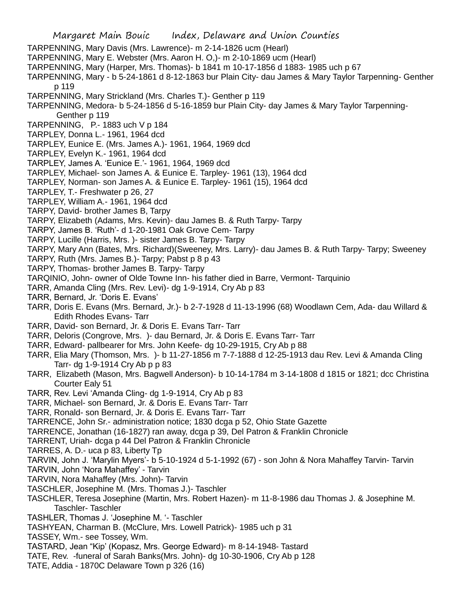- TARPENNING, Mary Davis (Mrs. Lawrence)- m 2-14-1826 ucm (Hearl)
- TARPENNING, Mary E. Webster (Mrs. Aaron H. O,)- m 2-10-1869 ucm (Hearl)
- TARPENNING, Mary (Harper, Mrs. Thomas)- b 1841 m 10-17-1856 d 1883- 1985 uch p 67
- TARPENNING, Mary b 5-24-1861 d 8-12-1863 bur Plain City- dau James & Mary Taylor Tarpenning- Genther p 119
- TARPENNING, Mary Strickland (Mrs. Charles T.)- Genther p 119
- TARPENNING, Medora- b 5-24-1856 d 5-16-1859 bur Plain City- day James & Mary Taylor Tarpenning-Genther p 119
- TARPENNING, P.- 1883 uch V p 184
- TARPLEY, Donna L.- 1961, 1964 dcd
- TARPLEY, Eunice E. (Mrs. James A.)- 1961, 1964, 1969 dcd
- TARPLEY, Evelyn K.- 1961, 1964 dcd
- TARPLEY, James A. 'Eunice E.'- 1961, 1964, 1969 dcd
- TARPLEY, Michael- son James A. & Eunice E. Tarpley- 1961 (13), 1964 dcd
- TARPLEY, Norman- son James A. & Eunice E. Tarpley- 1961 (15), 1964 dcd
- TARPLEY, T.- Freshwater p 26, 27
- TARPLEY, William A.- 1961, 1964 dcd
- TARPY, David- brother James B, Tarpy
- TARPY, Elizabeth (Adams, Mrs. Kevin)- dau James B. & Ruth Tarpy- Tarpy
- TARPY, James B. 'Ruth'- d 1-20-1981 Oak Grove Cem- Tarpy
- TARPY, Lucille (Harris, Mrs. )- sister James B. Tarpy- Tarpy
- TARPY, Mary Ann (Bates, Mrs. Richard)(Sweeney, Mrs. Larry)- dau James B. & Ruth Tarpy- Tarpy; Sweeney
- TARPY, Ruth (Mrs. James B.)- Tarpy; Pabst p 8 p 43
- TARPY, Thomas- brother James B. Tarpy- Tarpy
- TARQINIO, John- owner of Olde Towne Inn- his father died in Barre, Vermont- Tarquinio
- TARR, Amanda Cling (Mrs. Rev. Levi)- dg 1-9-1914, Cry Ab p 83
- TARR, Bernard, Jr. 'Doris E. Evans'
- TARR, Doris E. Evans (Mrs. Bernard, Jr.)- b 2-7-1928 d 11-13-1996 (68) Woodlawn Cem, Ada- dau Willard & Edith Rhodes Evans- Tarr
- TARR, David- son Bernard, Jr. & Doris E. Evans Tarr- Tarr
- TARR, Deloris (Congrove, Mrs. )- dau Bernard, Jr. & Doris E. Evans Tarr- Tarr
- TARR, Edward- pallbearer for Mrs. John Keefe- dg 10-29-1915, Cry Ab p 88
- TARR, Elia Mary (Thomson, Mrs. )- b 11-27-1856 m 7-7-1888 d 12-25-1913 dau Rev. Levi & Amanda Cling Tarr- dg 1-9-1914 Cry Ab p p 83
- TARR, Elizabeth (Mason, Mrs. Bagwell Anderson)- b 10-14-1784 m 3-14-1808 d 1815 or 1821; dcc Christina Courter Ealy 51
- TARR, Rev. Levi 'Amanda Cling- dg 1-9-1914, Cry Ab p 83
- TARR, Michael- son Bernard, Jr. & Doris E. Evans Tarr- Tarr
- TARR, Ronald- son Bernard, Jr. & Doris E. Evans Tarr- Tarr
- TARRENCE, John Sr.- administration notice; 1830 dcga p 52, Ohio State Gazette
- TARRENCE, Jonathan (16-1827) ran away, dcga p 39, Del Patron & Franklin Chronicle
- TARRENT, Uriah- dcga p 44 Del Patron & Franklin Chronicle
- TARRES, A. D.- uca p 83, Liberty Tp
- TARVIN, John J. 'Marylin Myers'- b 5-10-1924 d 5-1-1992 (67) son John & Nora Mahaffey Tarvin- Tarvin
- TARVIN, John 'Nora Mahaffey' Tarvin
- TARVIN, Nora Mahaffey (Mrs. John)- Tarvin
- TASCHLER, Josephine M. (Mrs. Thomas J.)- Taschler
- TASCHLER, Teresa Josephine (Martin, Mrs. Robert Hazen)- m 11-8-1986 dau Thomas J. & Josephine M. Taschler- Taschler
- TASHLER, Thomas J. 'Josephine M. '- Taschler
- TASHYEAN, Charman B. (McClure, Mrs. Lowell Patrick)- 1985 uch p 31
- TASSEY, Wm.- see Tossey, Wm.
- TASTARD, Jean "Kip' (Kopasz, Mrs. George Edward)- m 8-14-1948- Tastard
- TATE, Rev. -funeral of Sarah Banks(Mrs. John)- dg 10-30-1906, Cry Ab p 128
- TATE, Addia 1870C Delaware Town p 326 (16)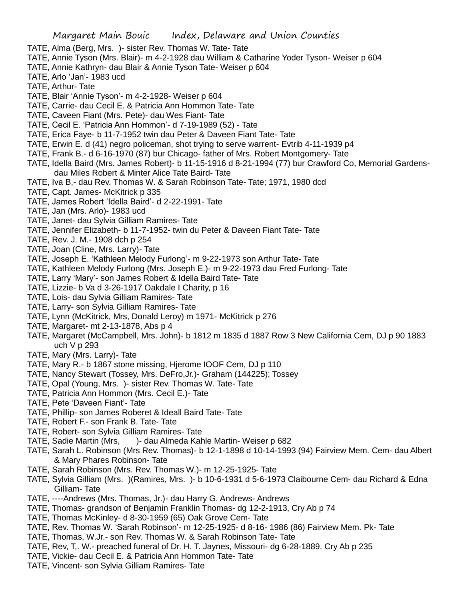- TATE, Alma (Berg, Mrs. )- sister Rev. Thomas W. Tate- Tate
- TATE, Annie Tyson (Mrs. Blair)- m 4-2-1928 dau William & Catharine Yoder Tyson- Weiser p 604
- TATE, Annie Kathryn- dau Blair & Annie Tyson Tate- Weiser p 604
- TATE, Arlo 'Jan'- 1983 ucd
- TATE, Arthur- Tate
- TATE, Blair 'Annie Tyson'- m 4-2-1928- Weiser p 604
- TATE, Carrie- dau Cecil E. & Patricia Ann Hommon Tate- Tate
- TATE, Caveen Fiant (Mrs. Pete)- dau Wes Fiant- Tate
- TATE, Cecil E. 'Patricia Ann Hommon'- d 7-19-1989 (52) Tate
- TATE, Erica Faye- b 11-7-1952 twin dau Peter & Daveen Fiant Tate- Tate
- TATE, Erwin E. d (41) negro policeman, shot trying to serve warrent- Evtrib 4-11-1939 p4
- TATE, Frank B.- d 6-16-1970 (87) bur Chicago- father of Mrs. Robert Montgomery- Tate
- TATE, Idella Baird (Mrs. James Robert)- b 11-15-1916 d 8-21-1994 (77) bur Crawford Co, Memorial Gardensdau Miles Robert & Minter Alice Tate Baird- Tate
- TATE, Iva B,- dau Rev. Thomas W. & Sarah Robinson Tate- Tate; 1971, 1980 dcd
- TATE, Capt. James- McKitrick p 335
- TATE, James Robert 'Idella Baird'- d 2-22-1991- Tate
- TATE, Jan (Mrs. Arlo)- 1983 ucd
- TATE, Janet- dau Sylvia Gilliam Ramires- Tate
- TATE, Jennifer Elizabeth- b 11-7-1952- twin du Peter & Daveen Fiant Tate- Tate
- TATE, Rev. J. M.- 1908 dch p 254
- TATE, Joan (Cline, Mrs. Larry)- Tate
- TATE, Joseph E. 'Kathleen Melody Furlong'- m 9-22-1973 son Arthur Tate- Tate
- TATE, Kathleen Melody Furlong (Mrs. Joseph E.)- m 9-22-1973 dau Fred Furlong- Tate
- TATE, Larry 'Mary'- son James Robert & Idella Baird Tate- Tate
- TATE, Lizzie- b Va d 3-26-1917 Oakdale I Charity, p 16
- TATE, Lois- dau Sylvia Gilliam Ramires- Tate
- TATE, Larry- son Sylvia Gilliam Ramires- Tate
- TATE, Lynn (McKitrick, Mrs, Donald Leroy) m 1971- McKitrick p 276
- TATE, Margaret- mt 2-13-1878, Abs p 4
- TATE, Margaret (McCampbell, Mrs. John)- b 1812 m 1835 d 1887 Row 3 New California Cem, DJ p 90 1883 uch V p 293
- TATE, Mary (Mrs. Larry)- Tate
- TATE, Mary R.- b 1867 stone missing, Hjerome IOOF Cem, DJ p 110
- TATE, Nancy Stewart (Tossey, Mrs. DeFro,Jr.)- Graham (144225); Tossey
- TATE, Opal (Young, Mrs. )- sister Rev. Thomas W. Tate- Tate
- TATE, Patricia Ann Hommon (Mrs. Cecil E.)- Tate
- TATE, Pete 'Daveen Fiant'- Tate
- TATE, Phillip- son James Roberet & Ideall Baird Tate- Tate
- TATE, Robert F.- son Frank B. Tate- Tate
- TATE, Robert- son Sylvia Gilliam Ramires- Tate
- TATE, Sadie Martin (Mrs, )- dau Almeda Kahle Martin- Weiser p 682
- TATE, Sarah L. Robinson (Mrs Rev. Thomas)- b 12-1-1898 d 10-14-1993 (94) Fairview Mem. Cem- dau Albert & Mary Phares Robinson- Tate
- TATE, Sarah Robinson (Mrs. Rev. Thomas W.)- m 12-25-1925- Tate
- TATE, Sylvia Gilliam (Mrs. )(Ramires, Mrs. )- b 10-6-1931 d 5-6-1973 Claibourne Cem- dau Richard & Edna Gilliam- Tate
- TATE, ----Andrews (Mrs. Thomas, Jr.)- dau Harry G. Andrews- Andrews
- TATE, Thomas- grandson of Benjamin Franklin Thomas- dg 12-2-1913, Cry Ab p 74
- TATE, Thomas McKinley- d 8-30-1959 (65) Oak Grove Cem- Tate
- TATE, Rev. Thomas W. 'Sarah Robinson'- m 12-25-1925- d 8-16- 1986 (86) Fairview Mem. Pk- Tate
- TATE, Thomas, W.Jr.- son Rev. Thomas W. & Sarah Robinson Tate- Tate
- TATE, Rev, T,. W.- preached funeral of Dr. H. T. Jaynes, Missouri- dg 6-28-1889. Cry Ab p 235
- TATE, Vickie- dau Cecil E. & Patricia Ann Hommon Tate- Tate
- TATE, Vincent- son Sylvia Gilliam Ramires- Tate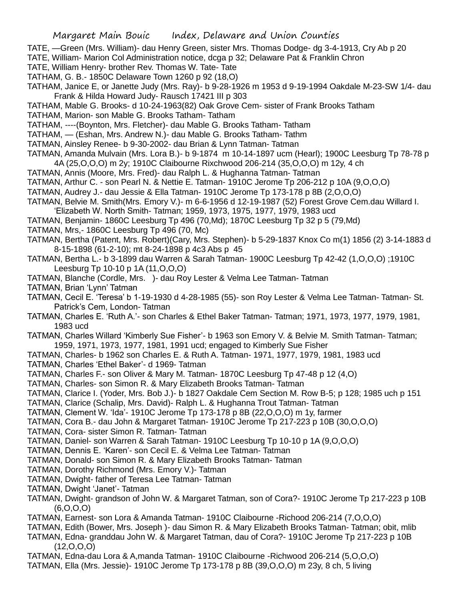- TATE, —Green (Mrs. William)- dau Henry Green, sister Mrs. Thomas Dodge- dg 3-4-1913, Cry Ab p 20
- TATE, William- Marion Col Administration notice, dcga p 32; Delaware Pat & Franklin Chron
- TATE, William Henry- brother Rev. Thomas W. Tate- Tate
- TATHAM, G. B.- 1850C Delaware Town 1260 p 92 (18,O)
- TATHAM, Janice E, or Janette Judy (Mrs. Ray)- b 9-28-1926 m 1953 d 9-19-1994 Oakdale M-23-SW 1/4- dau Frank & Hilda Howard Judy- Rausch 17421 III p 303
- TATHAM, Mable G. Brooks- d 10-24-1963(82) Oak Grove Cem- sister of Frank Brooks Tatham
- TATHAM, Marion- son Mable G. Brooks Tatham- Tatham
- TATHAM, ----(Boynton, Mrs. Fletcher)- dau Mable G. Brooks Tatham- Tatham
- TATHAM, (Eshan, Mrs. Andrew N.)- dau Mable G. Brooks Tatham- Tathm
- TATMAN, Ainsley Renee- b 9-30-2002- dau Brian & Lynn Tatman- Tatman
- TATMAN, Amanda Mulvain (Mrs. Lora B.)- b 9-1874 m 10-14-1897 ucm (Hearl); 1900C Leesburg Tp 78-78 p 4A (25,O,O,O) m 2y; 1910C Claibourne Rixchwood 206-214 (35,O,O,O) m 12y, 4 ch
- TATMAN, Annis (Moore, Mrs. Fred)- dau Ralph L. & Hughanna Tatman- Tatman
- TATMAN, Arthur C. son Pearl N. & Nettie E. Tatman- 1910C Jerome Tp 206-212 p 10A (9,O,O,O)
- TATMAN, Audrey J.- dau Jessie & Ella Tatman- 1910C Jerome Tp 173-178 p 8B (2,O,O,O)
- TATMAN, Belvie M. Smith(Mrs. Emory V.)- m 6-6-1956 d 12-19-1987 (52) Forest Grove Cem.dau Willard I.
- 'Elizabeth W. North Smith- Tatman; 1959, 1973, 1975, 1977, 1979, 1983 ucd
- TATMAN, Benjamin- 1860C Leesburg Tp 496 (70,Md); 1870C Leesburg Tp 32 p 5 (79,Md)
- TATMAN, Mrs,- 1860C Leesburg Tp 496 (70, Mc)
- TATMAN, Bertha (Patent, Mrs. Robert)(Cary, Mrs. Stephen)- b 5-29-1837 Knox Co m(1) 1856 (2) 3-14-1883 d 8-15-1898 (61-2-10); mt 8-24-1898 p 4c3 Abs p 45
- TATMAN, Bertha L.- b 3-1899 dau Warren & Sarah Tatman- 1900C Leesburg Tp 42-42 (1,O,O,O) ;1910C Leesburg Tp 10-10 p 1A (11,O,O,O)
- TATMAN, Blanche (Cordle, Mrs. )- dau Roy Lester & Velma Lee Tatman- Tatman
- TATMAN, Brian 'Lynn' Tatman
- TATMAN, Cecil E. 'Teresa' b 1-19-1930 d 4-28-1985 (55)- son Roy Lester & Velma Lee Tatman- Tatman- St. Patrick's Cem, London- Tatman
- TATMAN, Charles E. 'Ruth A.'- son Charles & Ethel Baker Tatman- Tatman; 1971, 1973, 1977, 1979, 1981, 1983 ucd
- TATMAN, Charles Willard 'Kimberly Sue Fisher'- b 1963 son Emory V. & Belvie M. Smith Tatman- Tatman; 1959, 1971, 1973, 1977, 1981, 1991 ucd; engaged to Kimberly Sue Fisher
- TATMAN, Charles- b 1962 son Charles E. & Ruth A. Tatman- 1971, 1977, 1979, 1981, 1983 ucd
- TATMAN, Charles 'Ethel Baker'- d 1969- Tatman
- TATMAN, Charles F.- son Oliver & Mary M. Tatman- 1870C Leesburg Tp 47-48 p 12 (4,O)
- TATMAN, Charles- son Simon R. & Mary Elizabeth Brooks Tatman- Tatman
- TATMAN, Clarice I. (Yoder, Mrs. Bob J.)- b 1827 Oakdale Cem Section M. Row B-5; p 128; 1985 uch p 151
- TATMAN, Clarice (Schalip, Mrs. David)- Ralph L. & Hughanna Trout Tatman- Tatman
- TATMAN, Clement W. 'Ida'- 1910C Jerome Tp 173-178 p 8B (22,O,O,O) m 1y, farmer
- TATMAN, Cora B.- dau John & Margaret Tatman- 1910C Jerome Tp 217-223 p 10B (30,O,O,O)
- TATMAN, Cora- sister Simon R. Tatman- Tatman
- TATMAN, Daniel- son Warren & Sarah Tatman- 1910C Leesburg Tp 10-10 p 1A (9,O,O,O)
- TATMAN, Dennis E. 'Karen'- son Cecil E. & Velma Lee Tatman- Tatman
- TATMAN, Donald- son Simon R. & Mary Elizabeth Brooks Tatman- Tatman
- TATMAN, Dorothy Richmond (Mrs. Emory V.)- Tatman
- TATMAN, Dwight- father of Teresa Lee Tatman- Tatman
- TATMAN, Dwight 'Janet'- Tatman
- TATMAN, Dwight- grandson of John W. & Margaret Tatman, son of Cora?- 1910C Jerome Tp 217-223 p 10B (6,O,O,O)
- TATMAN, Earnest- son Lora & Amanda Tatman- 1910C Claibourne -Richood 206-214 (7,O,O,O)
- TATMAN, Edith (Bower, Mrs. Joseph )- dau Simon R. & Mary Elizabeth Brooks Tatman- Tatman; obit, mlib
- TATMAN, Edna- granddau John W. & Margaret Tatman, dau of Cora?- 1910C Jerome Tp 217-223 p 10B  $(12, 0, 0, 0)$
- TATMAN, Edna-dau Lora & A,manda Tatman- 1910C Claibourne -Richwood 206-214 (5,O,O,O)
- TATMAN, Ella (Mrs. Jessie)- 1910C Jerome Tp 173-178 p 8B (39,O,O,O) m 23y, 8 ch, 5 living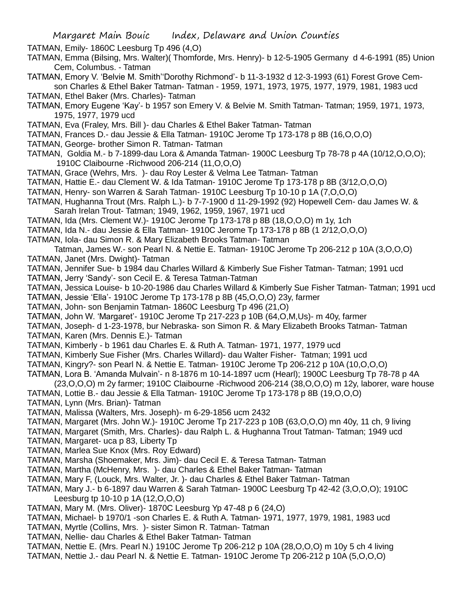TATMAN, Emily- 1860C Leesburg Tp 496 (4,O)

- TATMAN, Emma (Bilsing, Mrs. Walter)( Thomforde, Mrs. Henry)- b 12-5-1905 Germany d 4-6-1991 (85) Union Cem, Columbus. - Tatman
- TATMAN, Emory V. 'Belvie M. Smith''Dorothy Richmond'- b 11-3-1932 d 12-3-1993 (61) Forest Grove Cemson Charles & Ethel Baker Tatman- Tatman - 1959, 1971, 1973, 1975, 1977, 1979, 1981, 1983 ucd

TATMAN, Ethel Baker (Mrs. Charles)- Tatman

- TATMAN, Emory Eugene 'Kay'- b 1957 son Emery V. & Belvie M. Smith Tatman- Tatman; 1959, 1971, 1973, 1975, 1977, 1979 ucd
- TATMAN, Eva (Fraley, Mrs. Bill )- dau Charles & Ethel Baker Tatman- Tatman
- TATMAN, Frances D.- dau Jessie & Ella Tatman- 1910C Jerome Tp 173-178 p 8B (16,O,O,O)
- TATMAN, George- brother Simon R. Tatman- Tatman
- TATMAN, Goldia M.- b 7-1899-dau Lora & Amanda Tatman- 1900C Leesburg Tp 78-78 p 4A (10/12,O,O,O); 1910C Claibourne -Richwood 206-214 (11,O,O,O)
- TATMAN, Grace (Wehrs, Mrs. )- dau Roy Lester & Velma Lee Tatman- Tatman
- TATMAN, Hattie E.- dau Clement W. & Ida Tatman- 1910C Jerome Tp 173-178 p 8B (3/12,O,O,O)
- TATMAN, Henry- son Warren & Sarah Tatman- 1910C Leesburg Tp 10-10 p 1A (7,O,O,O)
- TATMAN, Hughanna Trout (Mrs. Ralph L.)- b 7-7-1900 d 11-29-1992 (92) Hopewell Cem- dau James W. & Sarah Irelan Trout- Tatman; 1949, 1962, 1959, 1967, 1971 ucd
- TATMAN, Ida (Mrs. Clement W.)- 1910C Jerome Tp 173-178 p 8B (18,O,O,O) m 1y, 1ch
- TATMAN, Ida N.- dau Jessie & Ella Tatman- 1910C Jerome Tp 173-178 p 8B (1 2/12,O,O,O)
- TATMAN, Iola- dau Simon R. & Mary Elizabeth Brooks Tatman- Tatman
- Tatman, James W.- son Pearl N. & Nettie E. Tatman- 1910C Jerome Tp 206-212 p 10A (3,O,O,O) TATMAN, Janet (Mrs. Dwight)- Tatman
- TATMAN, Jennifer Sue- b 1984 dau Charles Willard & Kimberly Sue Fisher Tatman- Tatman; 1991 ucd
- TATMAN, Jerry 'Sandy'- son Cecil E. & Teresa Tatman-Tatman
- TATMAN, Jessica Louise- b 10-20-1986 dau Charles Willard & Kimberly Sue Fisher Tatman- Tatman; 1991 ucd
- TATMAN, Jessie 'Ella'- 1910C Jerome Tp 173-178 p 8B (45,O,O,O) 23y, farmer
- TATMAN, John- son Benjamin Tatman- 1860C Leesburg Tp 496 (21,O)
- TATMAN, John W. 'Margaret'- 1910C Jerome Tp 217-223 p 10B (64,O,M,Us)- m 40y, farmer
- TATMAN, Joseph- d 1-23-1978, bur Nebraska- son Simon R. & Mary Elizabeth Brooks Tatman- Tatman TATMAN, Karen (Mrs. Dennis E.)- Tatman
- TATMAN, Kimberly b 1961 dau Charles E. & Ruth A. Tatman- 1971, 1977, 1979 ucd
- TATMAN, Kimberly Sue Fisher (Mrs. Charles Willard)- dau Walter Fisher- Tatman; 1991 ucd
- TATMAN, Kingry?- son Pearl N. & Nettie E. Tatman- 1910C Jerome Tp 206-212 p 10A (10,O,O,O)
- TATMAN, Lora B. 'Amanda Mulvain'- n 8-1876 m 10-14-1897 ucm (Hearl); 1900C Leesburg Tp 78-78 p 4A
- (23,O,O,O) m 2y farmer; 1910C Claibourne -Richwood 206-214 (38,O,O,O) m 12y, laborer, ware house
- TATMAN, Lottie B.- dau Jessie & Ella Tatman- 1910C Jerome Tp 173-178 p 8B (19,O,O,O)
- TATMAN, Lynn (Mrs. Brian)- Tatman
- TATMAN, Malissa (Walters, Mrs. Joseph)- m 6-29-1856 ucm 2432
- TATMAN, Margaret (Mrs. John W.)- 1910C Jerome Tp 217-223 p 10B (63,O,O,O) mn 40y, 11 ch, 9 living
- TATMAN, Margaret (Smith, Mrs. Charles)- dau Ralph L. & Hughanna Trout Tatman- Tatman; 1949 ucd
- TATMAN, Margaret- uca p 83, Liberty Tp
- TATMAN, Marlea Sue Knox (Mrs. Roy Edward)
- TATMAN, Marsha (Shoemaker, Mrs. Jim)- dau Cecil E. & Teresa Tatman- Tatman
- TATMAN, Martha (McHenry, Mrs. )- dau Charles & Ethel Baker Tatman- Tatman
- TATMAN, Mary F, (Louck, Mrs. Walter, Jr. )- dau Charles & Ethel Baker Tatman- Tatman
- TATMAN, Mary J.- b 6-1897 dau Warren & Sarah Tatman- 1900C Leesburg Tp 42-42 (3,O,O,O); 1910C Leesburg tp 10-10 p 1A (12,O,O,O)
- TATMAN, Mary M. (Mrs. Oliver)- 1870C Leesburg Yp 47-48 p 6 (24,O)
- TATMAN, Michael- b 1970/1 -son Charles E. & Ruth A. Tatman- 1971, 1977, 1979, 1981, 1983 ucd
- TATMAN, Myrtle (Collins, Mrs. )- sister Simon R. Tatman- Tatman
- TATMAN, Nellie- dau Charles & Ethel Baker Tatman- Tatman
- TATMAN, Nettie E. (Mrs. Pearl N.) 1910C Jerome Tp 206-212 p 10A (28,O,O,O) m 10y 5 ch 4 living
- TATMAN, Nettie J.- dau Pearl N. & Nettie E. Tatman- 1910C Jerome Tp 206-212 p 10A (5,O,O,O)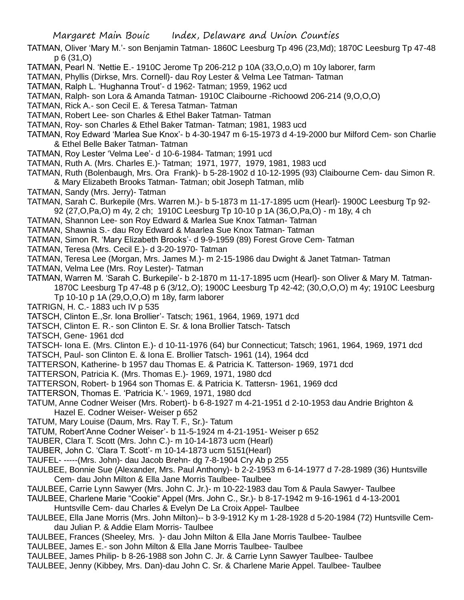- TATMAN, Oliver 'Mary M.'- son Benjamin Tatman- 1860C Leesburg Tp 496 (23,Md); 1870C Leesburg Tp 47-48 p 6 (31,O)
- TATMAN, Pearl N. 'Nettie E.- 1910C Jerome Tp 206-212 p 10A (33,O,o,O) m 10y laborer, farm
- TATMAN, Phyllis (Dirkse, Mrs. Cornell)- dau Roy Lester & Velma Lee Tatman- Tatman
- TATMAN, Ralph L. 'Hughanna Trout'- d 1962- Tatman; 1959, 1962 ucd
- TATMAN, Ralph- son Lora & Amanda Tatman- 1910C Claibourne -Richoowd 206-214 (9,O,O,O)
- TATMAN, Rick A.- son Cecil E. & Teresa Tatman- Tatman
- TATMAN, Robert Lee- son Charles & Ethel Baker Tatman- Tatman
- TATMAN, Roy- son Charles & Ethel Baker Tatman- Tatman; 1981, 1983 ucd
- TATMAN, Roy Edward 'Marlea Sue Knox'- b 4-30-1947 m 6-15-1973 d 4-19-2000 bur Milford Cem- son Charlie & Ethel Belle Baker Tatman- Tatman
- TATMAN, Roy Lester 'Velma Lee'- d 10-6-1984- Tatman; 1991 ucd
- TATMAN, Ruth A. (Mrs. Charles E.)- Tatman; 1971, 1977, 1979, 1981, 1983 ucd
- TATMAN, Ruth (Bolenbaugh, Mrs. Ora Frank)- b 5-28-1902 d 10-12-1995 (93) Claibourne Cem- dau Simon R. & Mary Elizabeth Brooks Tatman- Tatman; obit Joseph Tatman, mlib
- TATMAN, Sandy (Mrs. Jerry)- Tatman
- TATMAN, Sarah C. Burkepile (Mrs. Warren M.)- b 5-1873 m 11-17-1895 ucm (Hearl)- 1900C Leesburg Tp 92- 92 (27,O,Pa,O) m 4y, 2 ch; 1910C Leesburg Tp 10-10 p 1A (36,O,Pa,O) - m 18y, 4 ch
- TATMAN, Shannon Lee- son Roy Edward & Marlea Sue Knox Tatman- Tatman
- TATMAN, Shawnia S.- dau Roy Edward & Maarlea Sue Knox Tatman- Tatman
- TATMAN, Simon R. 'Mary Elizabeth Brooks'- d 9-9-1959 (89) Forest Grove Cem- Tatman
- TATMAN, Teresa (Mrs. Cecil E.)- d 3-20-1970- Tatman
- TATMAN, Teresa Lee (Morgan, Mrs. James M.)- m 2-15-1986 dau Dwight & Janet Tatman- Tatman
- TATMAN, Velma Lee (Mrs. Roy Lester)- Tatman
- TATMAN, Warren M. 'Sarah C. Burkepile'- b 2-1870 m 11-17-1895 ucm (Hearl)- son Oliver & Mary M. Tatman-1870C Leesburg Tp 47-48 p 6 (3/12,.O); 1900C Leesburg Tp 42-42; (30,O,O,O) m 4y; 1910C Leesburg Tp 10-10 p 1A (29,O,O,O) m 18y, farm laborer
- TATRIGN, H. C.- 1883 uch IV p 535
- TATSCH, Clinton E.,Sr. Iona Brollier'- Tatsch; 1961, 1964, 1969, 1971 dcd
- TATSCH, Clinton E. R.- son Clinton E. Sr. & Iona Brollier Tatsch- Tatsch
- TATSCH, Gene- 1961 dcd
- TATSCH- Iona E. (Mrs. Clinton E.)- d 10-11-1976 (64) bur Connecticut; Tatsch; 1961, 1964, 1969, 1971 dcd TATSCH, Paul- son Clinton E. & Iona E. Brollier Tatsch- 1961 (14), 1964 dcd
- TATTERSON, Katherine- b 1957 dau Thomas E. & Patricia K. Tatterson- 1969, 1971 dcd
- TATTERSON, Patricia K. (Mrs. Thomas E.)- 1969, 1971, 1980 dcd
- TATTERSON, Robert- b 1964 son Thomas E. & Patricia K. Tattersn- 1961, 1969 dcd
- TATTERSON, Thomas E. 'Patricia K.'- 1969, 1971, 1980 dcd
- TATUM, Anne Codner Weiser (Mrs. Robert)- b 6-8-1927 m 4-21-1951 d 2-10-1953 dau Andrie Brighton & Hazel E. Codner Weiser- Weiser p 652
- TATUM, Mary Louise (Daum, Mrs. Ray T. F., Sr.)- Tatum
- TATUM, Robert'Anne Codner Weiser'- b 11-5-1924 m 4-21-1951- Weiser p 652
- TAUBER, Clara T. Scott (Mrs. John C.)- m 10-14-1873 ucm (Hearl)
- TAUBER, John C. 'Clara T. Scott'- m 10-14-1873 ucm 5151(Hearl)
- TAUFEL- -----(Mrs. John)- dau Jacob Brehn- dg 7-8-1904 Cry Ab p 255
- TAULBEE, Bonnie Sue (Alexander, Mrs. Paul Anthony)- b 2-2-1953 m 6-14-1977 d 7-28-1989 (36) Huntsville Cem- dau John Milton & Ella Jane Morris Taulbee- Taulbee
- TAULBEE, Carrie Lynn Sawyer (Mrs. John C. Jr.)- m 10-22-1983 dau Tom & Paula Sawyer- Taulbee
- TAULBEE, Charlene Marie "Cookie" Appel (Mrs. John C., Sr.)- b 8-17-1942 m 9-16-1961 d 4-13-2001
	- Huntsville Cem- dau Charles & Evelyn De La Croix Appel- Taulbee
- TAULBEE, Ella Jane Morris (Mrs. John Milton)-- b 3-9-1912 Ky m 1-28-1928 d 5-20-1984 (72) Huntsville Cemdau Julian P. & Addie Elam Morris- Taulbee
- TAULBEE, Frances (Sheeley, Mrs. )- dau John Milton & Ella Jane Morris Taulbee- Taulbee
- TAULBEE, James E.- son John Milton & Ella Jane Morris Taulbee- Taulbee
- TAULBEE, James Philip- b 8-26-1988 son John C. Jr. & Carrie Lynn Sawyer Taulbee- Taulbee
- TAULBEE, Jenny (Kibbey, Mrs. Dan)-dau John C. Sr. & Charlene Marie Appel. Taulbee- Taulbee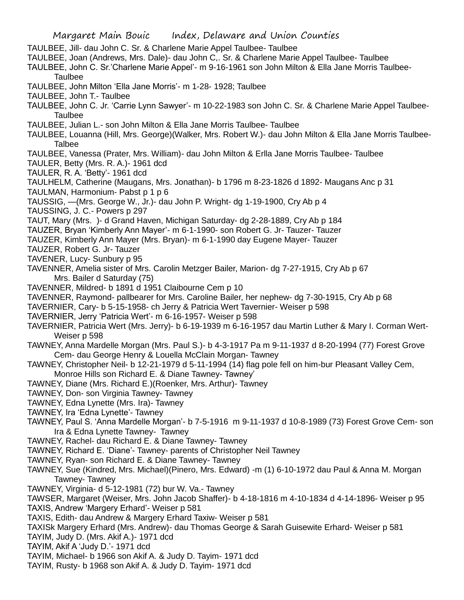- TAULBEE, Jill- dau John C. Sr. & Charlene Marie Appel Taulbee- Taulbee
- TAULBEE, Joan (Andrews, Mrs. Dale)- dau John C,. Sr. & Charlene Marie Appel Taulbee- Taulbee
- TAULBEE, John C. Sr.'Charlene Marie Appel'- m 9-16-1961 son John Milton & Ella Jane Morris Taulbee-Taulbee
- TAULBEE, John Milton 'Ella Jane Morris'- m 1-28- 1928; Taulbee
- TAULBEE, John T.- Taulbee
- TAULBEE, John C. Jr. 'Carrie Lynn Sawyer'- m 10-22-1983 son John C. Sr. & Charlene Marie Appel Taulbee-Taulbee
- TAULBEE, Julian L.- son John Milton & Ella Jane Morris Taulbee- Taulbee
- TAULBEE, Louanna (Hill, Mrs. George)(Walker, Mrs. Robert W.)- dau John Milton & Ella Jane Morris Taulbee-Talbee
- TAULBEE, Vanessa (Prater, Mrs. William)- dau John Milton & Erlla Jane Morris Taulbee- Taulbee
- TAULER, Betty (Mrs. R. A.)- 1961 dcd
- TAULER, R. A. 'Betty'- 1961 dcd
- TAULHELM, Catherine (Maugans, Mrs. Jonathan)- b 1796 m 8-23-1826 d 1892- Maugans Anc p 31
- TAULMAN, Harmonium- Pabst p 1 p 6
- TAUSSIG, —(Mrs. George W., Jr.)- dau John P. Wright- dg 1-19-1900, Cry Ab p 4
- TAUSSING, J. C.- Powers p 297
- TAUT, Mary (Mrs. )- d Grand Haven, Michigan Saturday- dg 2-28-1889, Cry Ab p 184
- TAUZER, Bryan 'Kimberly Ann Mayer'- m 6-1-1990- son Robert G. Jr- Tauzer- Tauzer
- TAUZER, Kimberly Ann Mayer (Mrs. Bryan)- m 6-1-1990 day Eugene Mayer- Tauzer
- TAUZER, Robert G. Jr- Tauzer
- TAVENER, Lucy- Sunbury p 95
- TAVENNER, Amelia sister of Mrs. Carolin Metzger Bailer, Marion- dg 7-27-1915, Cry Ab p 67 Mrs. Bailer d Saturday (75)
- TAVENNER, Mildred- b 1891 d 1951 Claibourne Cem p 10
- TAVENNER, Raymond- pallbearer for Mrs. Caroline Bailer, her nephew- dg 7-30-1915, Cry Ab p 68
- TAVERNIER, Cary- b 5-15-1958- ch Jerry & Patricia Wert Tavernier- Weiser p 598
- TAVERNIER, Jerry 'Patricia Wert'- m 6-16-1957- Weiser p 598
- TAVERNIER, Patricia Wert (Mrs. Jerry)- b 6-19-1939 m 6-16-1957 dau Martin Luther & Mary I. Corman Wert-Weiser p 598
- TAWNEY, Anna Mardelle Morgan (Mrs. Paul S.)- b 4-3-1917 Pa m 9-11-1937 d 8-20-1994 (77) Forest Grove Cem- dau George Henry & Louella McClain Morgan- Tawney
- TAWNEY, Christopher Neil- b 12-21-1979 d 5-11-1994 (14) flag pole fell on him-bur Pleasant Valley Cem, Monroe Hills son Richard E. & Diane Tawney- Tawney'
- TAWNEY, Diane (Mrs. Richard E.)(Roenker, Mrs. Arthur)- Tawney
- TAWNEY, Don- son Virginia Tawney- Tawney
- TAWNEY, Edna Lynette (Mrs. Ira)- Tawney
- TAWNEY, Ira 'Edna Lynette'- Tawney
- TAWNEY, Paul S. 'Anna Mardelle Morgan'- b 7-5-1916 m 9-11-1937 d 10-8-1989 (73) Forest Grove Cem- son Ira & Edna Lynette Tawney- Tawney
- TAWNEY, Rachel- dau Richard E. & Diane Tawney- Tawney
- TAWNEY, Richard E. 'Diane'- Tawney- parents of Christopher Neil Tawney
- TAWNEY, Ryan- son Richard E. & Diane Tawney- Tawney
- TAWNEY, Sue (Kindred, Mrs. Michael)(Pinero, Mrs. Edward) -m (1) 6-10-1972 dau Paul & Anna M. Morgan Tawney- Tawney
- TAWNEY, Virginia- d 5-12-1981 (72) bur W. Va.- Tawney
- TAWSER, Margaret (Weiser, Mrs. John Jacob Shaffer)- b 4-18-1816 m 4-10-1834 d 4-14-1896- Weiser p 95 TAXIS, Andrew 'Margery Erhard'- Weiser p 581
- TAXIS, Edith- dau Andrew & Margery Erhard Taxiw- Weiser p 581
- TAXISk Margery Erhard (Mrs. Andrew)- dau Thomas George & Sarah Guisewite Erhard- Weiser p 581
- TAYIM, Judy D. (Mrs. Akif A.)- 1971 dcd
- TAYIM, Akif A 'Judy D.'- 1971 dcd
- TAYIM, Michael- b 1966 son Akif A. & Judy D. Tayim- 1971 dcd
- TAYIM, Rusty- b 1968 son Akif A. & Judy D. Tayim- 1971 dcd